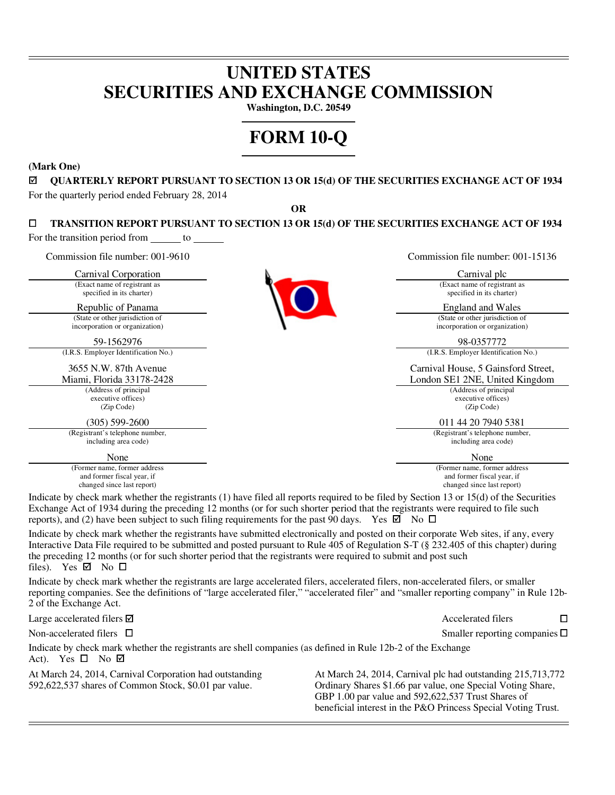# **UNITED STATES SECURITIES AND EXCHANGE COMMISSION**

**Washington, D.C. 20549** 

# **FORM 10-Q**

**(Mark One)** 

 $\overline{a}$ 

## **QUARTERLY REPORT PURSUANT TO SECTION 13 OR 15(d) OF THE SECURITIES EXCHANGE ACT OF 1934**

For the quarterly period ended February 28, 2014

**OR** 

### **TRANSITION REPORT PURSUANT TO SECTION 13 OR 15(d) OF THE SECURITIES EXCHANGE ACT OF 1934**

For the transition period from <u>the second</u> to

Commission file number: 001-9610 Commission file number: 001-15136

Carnival Corporation (Exact name of registrant as specified in its charter)

Republic of Panama (State or other jurisdiction of incorporation or organization)

59-1562976 (I.R.S. Employer Identification No.)

3655 N.W. 87th Avenue

Miami, Florida 33178-2428 (Address of principal

executive offices) (Zip Code)

(305) 599-2600 (Registrant's telephone number,

including area code)

None

(Former name, former address and former fiscal year, if changed since last report)

Carnival plc (Exact name of registrant as

specified in its charter) specified in its charter) England and Wales (State or other jurisdiction of

incorporation or organization)

98-0357772 (I.R.S. Employer Identification No.)

Carnival House, 5 Gainsford Street, London SE1 2NE, United Kingdom

> (Address of principal executive offices) (Zip Code)

011 44 20 7940 5381 (Registrant's telephone number, including area code)

None

(Former name, former address and former fiscal year, if changed since last report)

Indicate by check mark whether the registrants (1) have filed all reports required to be filed by Section 13 or 15(d) of the Securities Exchange Act of 1934 during the preceding 12 months (or for such shorter period that the registrants were required to file such reports), and (2) have been subject to such filing requirements for the past 90 days. Yes  $\boxtimes$  No  $\Box$ <br>Indicate hy sheels weak whather the prejectments have submitted algebrasically and posted on their same

Indicate by check mark whether the registrants have submitted electronically and posted on their corporate Web sites, if any, every Interactive Data File required to be submitted and posted pursuant to Rule 405 of Regulation S-T (§ 232.405 of this chapter) during the preceding 12 months (or for such shorter period that the registrants were required to submit and post such files). Yes  $\boxtimes$  No  $\square$ <br>Indicate hyphodometric

Indicate by check mark whether the registrants are large accelerated filers, accelerated filers, non-accelerated filers, or smaller reporting companies. See the definitions of "large accelerated filer," "accelerated filer" and "smaller reporting company" in Rule 12b-2 of the Exchange Act.

Non-accelerated filers  $\Box$ 

 $\overline{a}$ 

Large accelerated filers  $\Box$ <br>  $\Box$  $\Box$ 

Smaller reporting companies  $\Box$ 

Indicate by check mark whether the registrants are shell companies (as defined in Rule 12b-2 of the Exchange Act). Yes  $\square$  No  $\square$ 

At March 24, 2014, Carnival Corporation had outstanding 592,622,537 shares of Common Stock, \$0.01 par value.

At March 24, 2014, Carnival plc had outstanding 215,713,772 Ordinary Shares \$1.66 par value, one Special Voting Share, GBP 1.00 par value and 592,622,537 Trust Shares of beneficial interest in the P&O Princess Special Voting Trust.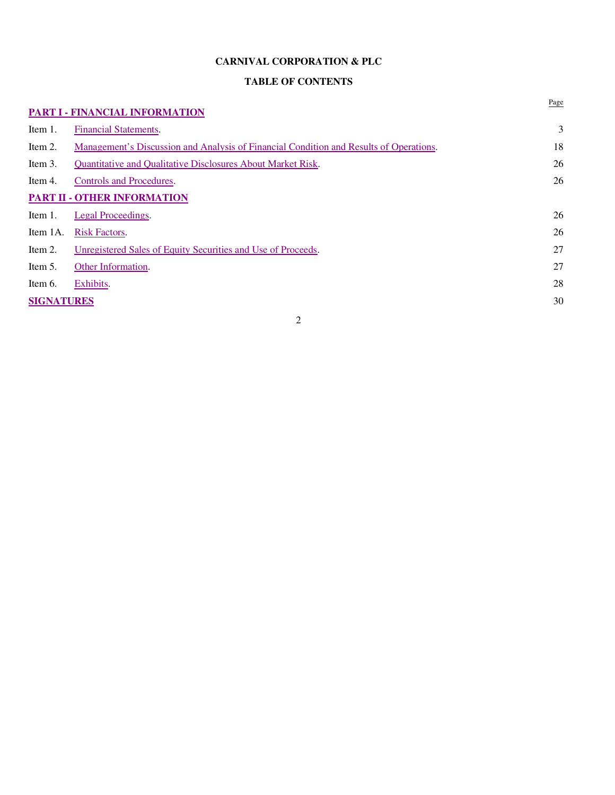### **CARNIVAL CORPORATION & PLC**

### **TABLE OF CONTENTS**

|                   | PART I - FINANCIAL INFORMATION                                                         | Page |
|-------------------|----------------------------------------------------------------------------------------|------|
| Item 1.           | <b>Financial Statements.</b>                                                           | 3    |
| Item 2.           | Management's Discussion and Analysis of Financial Condition and Results of Operations. | 18   |
| Item 3.           | Quantitative and Qualitative Disclosures About Market Risk.                            | 26   |
| Item 4.           | Controls and Procedures.                                                               | 26   |
|                   | PART II - OTHER INFORMATION                                                            |      |
| Item 1.           | <b>Legal Proceedings.</b>                                                              | 26   |
| Item 1A.          | Risk Factors.                                                                          | 26   |
| Item 2.           | Unregistered Sales of Equity Securities and Use of Proceeds.                           | 27   |
| Item 5.           | Other Information.                                                                     | 27   |
| Item 6.           | Exhibits.                                                                              | 28   |
| <b>SIGNATURES</b> |                                                                                        | 30   |
|                   |                                                                                        |      |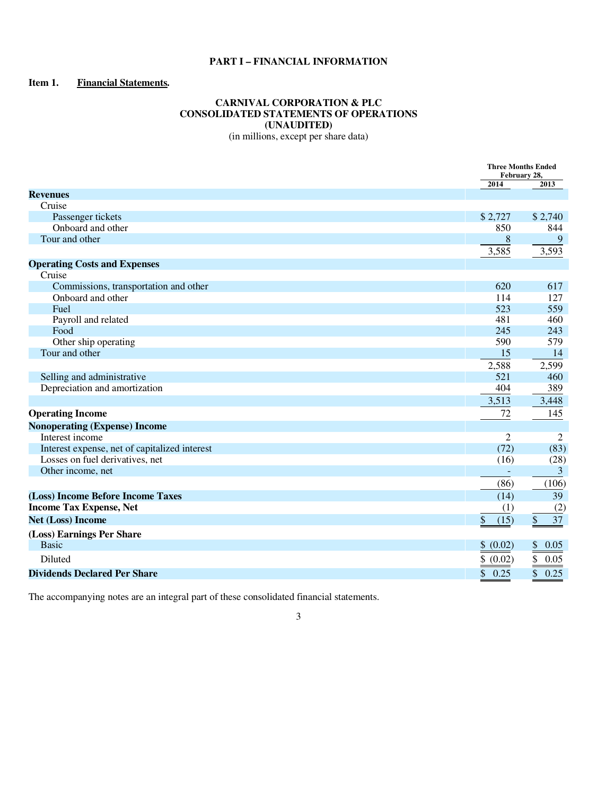#### **PART I – FINANCIAL INFORMATION**

#### Item 1. **Financial Statements.**

### **CARNIVAL CORPORATION & PLC CONSOLIDATED STATEMENTS OF OPERATIONS (UNAUDITED)**

(in millions, except per share data)

|                                               |                | <b>Three Months Ended</b><br>February 28, |
|-----------------------------------------------|----------------|-------------------------------------------|
|                                               | 2014           | 2013                                      |
| <b>Revenues</b>                               |                |                                           |
| Cruise                                        |                |                                           |
| Passenger tickets                             | \$2,727        | \$2,740                                   |
| Onboard and other                             | 850            | 844                                       |
| Tour and other                                | 8              | 9                                         |
|                                               | 3,585          | 3,593                                     |
| <b>Operating Costs and Expenses</b>           |                |                                           |
| Cruise                                        |                |                                           |
| Commissions, transportation and other         | 620            | 617                                       |
| Onboard and other                             | 114            | 127                                       |
| Fuel                                          | 523            | 559                                       |
| Payroll and related                           | 481            | 460                                       |
| Food                                          | 245            | 243                                       |
| Other ship operating                          | 590            | 579                                       |
| Tour and other                                | 15             | 14                                        |
|                                               | 2,588          | 2,599                                     |
| Selling and administrative                    | 521            | 460                                       |
| Depreciation and amortization                 | 404            | 389                                       |
|                                               | 3,513          | 3,448                                     |
| <b>Operating Income</b>                       | 72             | 145                                       |
| <b>Nonoperating (Expense) Income</b>          |                |                                           |
| Interest income                               | $\overline{2}$ | 2                                         |
| Interest expense, net of capitalized interest | (72)           | (83)                                      |
| Losses on fuel derivatives, net               | (16)           | (28)                                      |
| Other income, net                             | $\equiv$       | $\overline{3}$                            |
|                                               | (86)           | (106)                                     |
| (Loss) Income Before Income Taxes             | (14)           | 39                                        |
| <b>Income Tax Expense, Net</b>                | (1)            | (2)                                       |
| <b>Net (Loss) Income</b>                      | \$<br>(15)     | 37<br>$\$\,$                              |
| (Loss) Earnings Per Share                     |                |                                           |
| <b>Basic</b>                                  | \$ (0.02)      | \$<br>0.05                                |
| Diluted                                       | \$ (0.02)      | \$<br>0.05                                |
| <b>Dividends Declared Per Share</b>           | \$<br>0.25     | \$<br>0.25                                |
|                                               |                |                                           |

The accompanying notes are an integral part of these consolidated financial statements.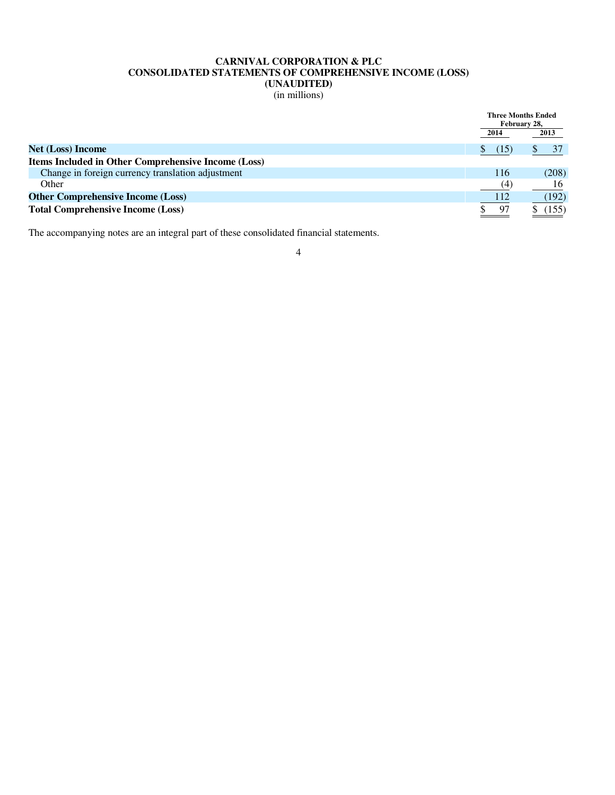#### **CARNIVAL CORPORATION & PLC CONSOLIDATED STATEMENTS OF COMPREHENSIVE INCOME (LOSS) (UNAUDITED)**

(in millions)

|                                                     |      | <b>Three Months Ended</b><br>February 28, |
|-----------------------------------------------------|------|-------------------------------------------|
|                                                     | 2014 | 2013                                      |
| <b>Net (Loss) Income</b>                            | 15   |                                           |
| Items Included in Other Comprehensive Income (Loss) |      |                                           |
| Change in foreign currency translation adjustment   | 116  | (208)                                     |
| Other                                               | (4)  | 16                                        |
| <b>Other Comprehensive Income (Loss)</b>            | 112  | (192)                                     |
| <b>Total Comprehensive Income (Loss)</b>            | 97   | (155)                                     |

4

The accompanying notes are an integral part of these consolidated financial statements.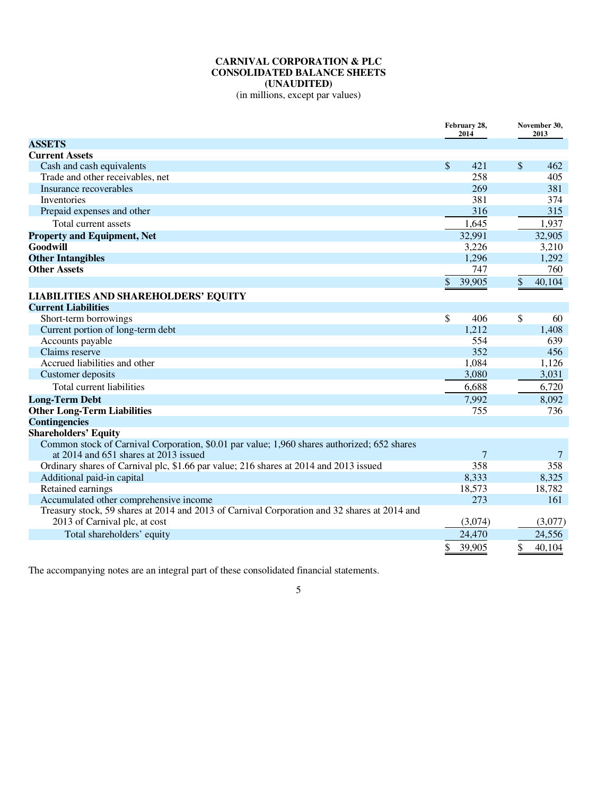### **CARNIVAL CORPORATION & PLC CONSOLIDATED BALANCE SHEETS (UNAUDITED)**

(in millions, except par values)

|                                                                                                                               |              | February 28,<br>2014 | November 30,<br>2013 |         |  |
|-------------------------------------------------------------------------------------------------------------------------------|--------------|----------------------|----------------------|---------|--|
| <b>ASSETS</b>                                                                                                                 |              |                      |                      |         |  |
| <b>Current Assets</b>                                                                                                         |              |                      |                      |         |  |
| Cash and cash equivalents                                                                                                     | $\mathbb{S}$ | 421                  | \$                   | 462     |  |
| Trade and other receivables, net                                                                                              |              | 258                  |                      | 405     |  |
| Insurance recoverables                                                                                                        |              | 269                  |                      | 381     |  |
| Inventories                                                                                                                   |              | 381                  |                      | 374     |  |
| Prepaid expenses and other                                                                                                    |              | 316                  |                      | 315     |  |
| Total current assets                                                                                                          |              | 1,645                |                      | 1,937   |  |
| <b>Property and Equipment, Net</b>                                                                                            |              | 32,991               |                      | 32,905  |  |
| Goodwill                                                                                                                      |              | 3,226                |                      | 3,210   |  |
| <b>Other Intangibles</b>                                                                                                      |              | 1,296                |                      | 1,292   |  |
| <b>Other Assets</b>                                                                                                           |              | 747                  |                      | 760     |  |
|                                                                                                                               | $\mathbb{S}$ | 39,905               | $\mathbb{S}$         | 40,104  |  |
| <b>LIABILITIES AND SHAREHOLDERS' EQUITY</b>                                                                                   |              |                      |                      |         |  |
| <b>Current Liabilities</b>                                                                                                    |              |                      |                      |         |  |
| Short-term borrowings                                                                                                         | \$           | 406                  | \$                   | 60      |  |
| Current portion of long-term debt                                                                                             |              | 1,212                |                      | 1,408   |  |
| Accounts payable                                                                                                              |              | 554                  |                      | 639     |  |
| Claims reserve                                                                                                                |              | 352                  |                      | 456     |  |
| Accrued liabilities and other                                                                                                 |              | 1,084                |                      | 1,126   |  |
| Customer deposits                                                                                                             |              | 3,080                |                      | 3,031   |  |
| Total current liabilities                                                                                                     |              | 6,688                |                      | 6,720   |  |
| <b>Long-Term Debt</b>                                                                                                         |              | 7,992                |                      | 8,092   |  |
| <b>Other Long-Term Liabilities</b>                                                                                            |              | 755                  |                      | 736     |  |
| <b>Contingencies</b>                                                                                                          |              |                      |                      |         |  |
| <b>Shareholders' Equity</b>                                                                                                   |              |                      |                      |         |  |
| Common stock of Carnival Corporation, \$0.01 par value; 1,960 shares authorized; 652 shares                                   |              |                      |                      |         |  |
| at 2014 and 651 shares at 2013 issued                                                                                         |              | 7                    |                      | 7       |  |
| Ordinary shares of Carnival plc, \$1.66 par value; 216 shares at 2014 and 2013 issued                                         |              | 358                  |                      | 358     |  |
| Additional paid-in capital                                                                                                    |              | 8,333                |                      | 8,325   |  |
| Retained earnings                                                                                                             |              | 18,573               |                      | 18,782  |  |
| Accumulated other comprehensive income                                                                                        |              | 273                  |                      | 161     |  |
| Treasury stock, 59 shares at 2014 and 2013 of Carnival Corporation and 32 shares at 2014 and<br>2013 of Carnival plc, at cost |              | (3,074)              |                      | (3,077) |  |
| Total shareholders' equity                                                                                                    |              | 24,470               |                      | 24,556  |  |
|                                                                                                                               | \$           | 39,905               | \$                   | 40,104  |  |

The accompanying notes are an integral part of these consolidated financial statements.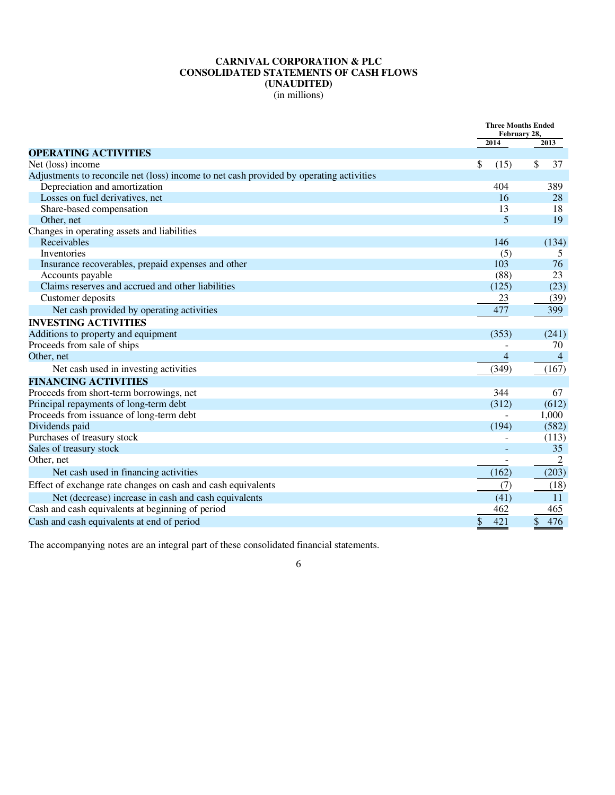#### **CARNIVAL CORPORATION & PLC CONSOLIDATED STATEMENTS OF CASH FLOWS (UNAUDITED)**  (in millions)

|                                                                                         | <b>Three Months Ended</b><br>February 28, |       |    |                |
|-----------------------------------------------------------------------------------------|-------------------------------------------|-------|----|----------------|
|                                                                                         |                                           | 2014  |    | 2013           |
| <b>OPERATING ACTIVITIES</b>                                                             |                                           |       |    |                |
| Net (loss) income                                                                       | \$                                        | (15)  | \$ | 37             |
| Adjustments to reconcile net (loss) income to net cash provided by operating activities |                                           |       |    |                |
| Depreciation and amortization                                                           |                                           | 404   |    | 389            |
| Losses on fuel derivatives, net                                                         |                                           | 16    |    | 28             |
| Share-based compensation                                                                |                                           | 13    |    | 18             |
| Other, net                                                                              |                                           | 5     |    | 19             |
| Changes in operating assets and liabilities                                             |                                           |       |    |                |
| Receivables                                                                             |                                           | 146   |    | (134)          |
| <b>Inventories</b>                                                                      |                                           | (5)   |    | 5              |
| Insurance recoverables, prepaid expenses and other                                      |                                           | 103   |    | 76             |
| Accounts payable                                                                        |                                           | (88)  |    | 23             |
| Claims reserves and accrued and other liabilities                                       |                                           | (125) |    | (23)           |
| Customer deposits                                                                       |                                           | 23    |    | (39)           |
| Net cash provided by operating activities                                               |                                           | 477   |    | 399            |
| <b>INVESTING ACTIVITIES</b>                                                             |                                           |       |    |                |
| Additions to property and equipment                                                     |                                           | (353) |    | (241)          |
| Proceeds from sale of ships                                                             |                                           |       |    | 70             |
| Other, net                                                                              |                                           | 4     |    | $\overline{4}$ |
| Net cash used in investing activities                                                   |                                           | (349) |    | (167)          |
| <b>FINANCING ACTIVITIES</b>                                                             |                                           |       |    |                |
| Proceeds from short-term borrowings, net                                                |                                           | 344   |    | 67             |
| Principal repayments of long-term debt                                                  |                                           | (312) |    | (612)          |
| Proceeds from issuance of long-term debt                                                |                                           |       |    | 1,000          |
| Dividends paid                                                                          |                                           | (194) |    | (582)          |
| Purchases of treasury stock                                                             |                                           |       |    | (113)          |
| Sales of treasury stock                                                                 |                                           |       |    | 35             |
| Other, net                                                                              |                                           |       |    | $\overline{c}$ |
| Net cash used in financing activities                                                   |                                           | (162) |    | (203)          |
| Effect of exchange rate changes on cash and cash equivalents                            |                                           | (7)   |    | (18)           |
| Net (decrease) increase in cash and cash equivalents                                    |                                           | (41)  |    | 11             |
| Cash and cash equivalents at beginning of period                                        |                                           | 462   |    | 465            |
| Cash and cash equivalents at end of period                                              | \$                                        | 421   | \$ | 476            |

The accompanying notes are an integral part of these consolidated financial statements.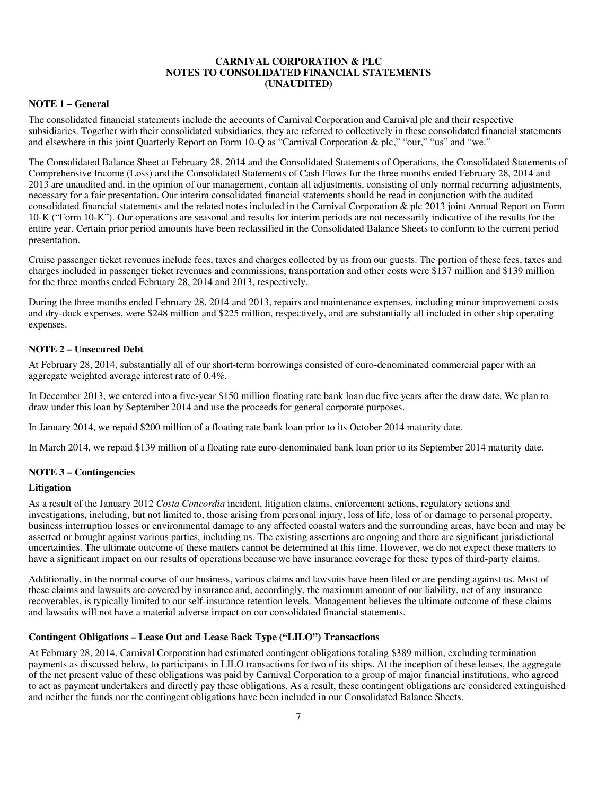#### **CARNIVAL CORPORATION & PLC NOTES TO CONSOLIDATED FINANCIAL STATEMENTS (UNAUDITED)**

#### **NOTE 1 – General**

The consolidated financial statements include the accounts of Carnival Corporation and Carnival plc and their respective subsidiaries. Together with their consolidated subsidiaries, they are referred to collectively in these consolidated financial statements and elsewhere in this joint Quarterly Report on Form 10-Q as "Carnival Corporation & plc," "our," "us" and "we."

The Consolidated Balance Sheet at February 28, 2014 and the Consolidated Statements of Operations, the Consolidated Statements of Comprehensive Income (Loss) and the Consolidated Statements of Cash Flows for the three months ended February 28, 2014 and 2013 are unaudited and, in the opinion of our management, contain all adjustments, consisting of only normal recurring adjustments, necessary for a fair presentation. Our interim consolidated financial statements should be read in conjunction with the audited consolidated financial statements and the related notes included in the Carnival Corporation & plc 2013 joint Annual Report on Form 10-K ("Form 10-K"). Our operations are seasonal and results for interim periods are not necessarily indicative of the results for the entire year. Certain prior period amounts have been reclassified in the Consolidated Balance Sheets to conform to the current period presentation.

Cruise passenger ticket revenues include fees, taxes and charges collected by us from our guests. The portion of these fees, taxes and charges included in passenger ticket revenues and commissions, transportation and other costs were \$137 million and \$139 million for the three months ended February 28, 2014 and 2013, respectively.

During the three months ended February 28, 2014 and 2013, repairs and maintenance expenses, including minor improvement costs and dry-dock expenses, were \$248 million and \$225 million, respectively, and are substantially all included in other ship operating expenses.

#### **NOTE 2 – Unsecured Debt**

At February 28, 2014, substantially all of our short-term borrowings consisted of euro-denominated commercial paper with an aggregate weighted average interest rate of 0.4%.

In December 2013, we entered into a five-year \$150 million floating rate bank loan due five years after the draw date. We plan to draw under this loan by September 2014 and use the proceeds for general corporate purposes.

In January 2014, we repaid \$200 million of a floating rate bank loan prior to its October 2014 maturity date.

In March 2014, we repaid \$139 million of a floating rate euro-denominated bank loan prior to its September 2014 maturity date.

#### **NOTE 3 – Contingencies**

#### **Litigation**

As a result of the January 2012 *Costa Concordia* incident, litigation claims, enforcement actions, regulatory actions and investigations, including, but not limited to, those arising from personal injury, loss of life, loss of or damage to personal property, business interruption losses or environmental damage to any affected coastal waters and the surrounding areas, have been and may be asserted or brought against various parties, including us. The existing assertions are ongoing and there are significant jurisdictional uncertainties. The ultimate outcome of these matters cannot be determined at this time. However, we do not expect these matters to have a significant impact on our results of operations because we have insurance coverage for these types of third-party claims.

Additionally, in the normal course of our business, various claims and lawsuits have been filed or are pending against us. Most of these claims and lawsuits are covered by insurance and, accordingly, the maximum amount of our liability, net of any insurance recoverables, is typically limited to our self-insurance retention levels. Management believes the ultimate outcome of these claims and lawsuits will not have a material adverse impact on our consolidated financial statements.

#### **Contingent Obligations – Lease Out and Lease Back Type ("LILO") Transactions**

At February 28, 2014, Carnival Corporation had estimated contingent obligations totaling \$389 million, excluding termination payments as discussed below, to participants in LILO transactions for two of its ships. At the inception of these leases, the aggregate of the net present value of these obligations was paid by Carnival Corporation to a group of major financial institutions, who agreed to act as payment undertakers and directly pay these obligations. As a result, these contingent obligations are considered extinguished and neither the funds nor the contingent obligations have been included in our Consolidated Balance Sheets.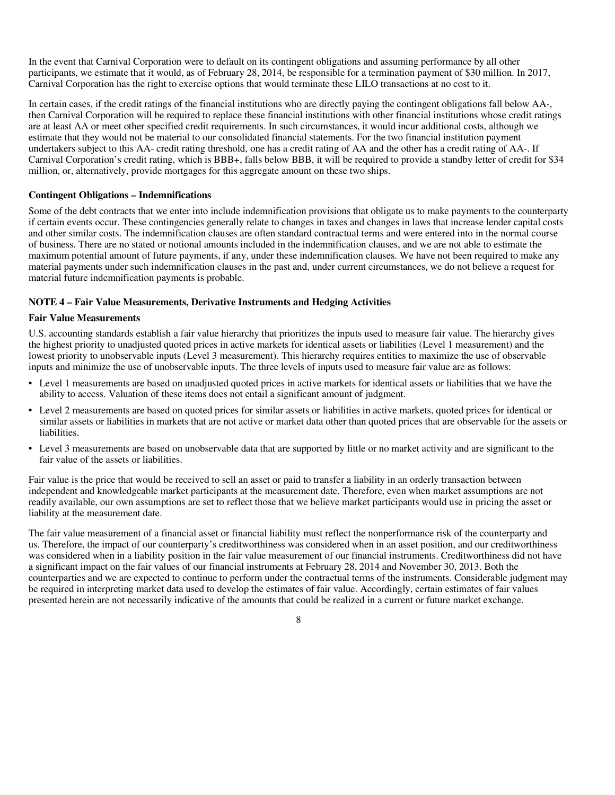In the event that Carnival Corporation were to default on its contingent obligations and assuming performance by all other participants, we estimate that it would, as of February 28, 2014, be responsible for a termination payment of \$30 million. In 2017, Carnival Corporation has the right to exercise options that would terminate these LILO transactions at no cost to it.

In certain cases, if the credit ratings of the financial institutions who are directly paying the contingent obligations fall below AA-, then Carnival Corporation will be required to replace these financial institutions with other financial institutions whose credit ratings are at least AA or meet other specified credit requirements. In such circumstances, it would incur additional costs, although we estimate that they would not be material to our consolidated financial statements. For the two financial institution payment undertakers subject to this AA- credit rating threshold, one has a credit rating of AA and the other has a credit rating of AA-. If Carnival Corporation's credit rating, which is BBB+, falls below BBB, it will be required to provide a standby letter of credit for \$34 million, or, alternatively, provide mortgages for this aggregate amount on these two ships.

#### **Contingent Obligations – Indemnifications**

Some of the debt contracts that we enter into include indemnification provisions that obligate us to make payments to the counterparty if certain events occur. These contingencies generally relate to changes in taxes and changes in laws that increase lender capital costs and other similar costs. The indemnification clauses are often standard contractual terms and were entered into in the normal course of business. There are no stated or notional amounts included in the indemnification clauses, and we are not able to estimate the maximum potential amount of future payments, if any, under these indemnification clauses. We have not been required to make any material payments under such indemnification clauses in the past and, under current circumstances, we do not believe a request for material future indemnification payments is probable.

#### **NOTE 4 – Fair Value Measurements, Derivative Instruments and Hedging Activities**

#### **Fair Value Measurements**

U.S. accounting standards establish a fair value hierarchy that prioritizes the inputs used to measure fair value. The hierarchy gives the highest priority to unadjusted quoted prices in active markets for identical assets or liabilities (Level 1 measurement) and the lowest priority to unobservable inputs (Level 3 measurement). This hierarchy requires entities to maximize the use of observable inputs and minimize the use of unobservable inputs. The three levels of inputs used to measure fair value are as follows:

- Level 1 measurements are based on unadjusted quoted prices in active markets for identical assets or liabilities that we have the ability to access. Valuation of these items does not entail a significant amount of judgment.
- • Level 2 measurements are based on quoted prices for similar assets or liabilities in active markets, quoted prices for identical or similar assets or liabilities in markets that are not active or market data other than quoted prices that are observable for the assets or liabilities.
- • Level 3 measurements are based on unobservable data that are supported by little or no market activity and are significant to the fair value of the assets or liabilities.

Fair value is the price that would be received to sell an asset or paid to transfer a liability in an orderly transaction between independent and knowledgeable market participants at the measurement date. Therefore, even when market assumptions are not readily available, our own assumptions are set to reflect those that we believe market participants would use in pricing the asset or liability at the measurement date.

The fair value measurement of a financial asset or financial liability must reflect the nonperformance risk of the counterparty and us. Therefore, the impact of our counterparty's creditworthiness was considered when in an asset position, and our creditworthiness was considered when in a liability position in the fair value measurement of our financial instruments. Creditworthiness did not have a significant impact on the fair values of our financial instruments at February 28, 2014 and November 30, 2013. Both the counterparties and we are expected to continue to perform under the contractual terms of the instruments. Considerable judgment may be required in interpreting market data used to develop the estimates of fair value. Accordingly, certain estimates of fair values presented herein are not necessarily indicative of the amounts that could be realized in a current or future market exchange.

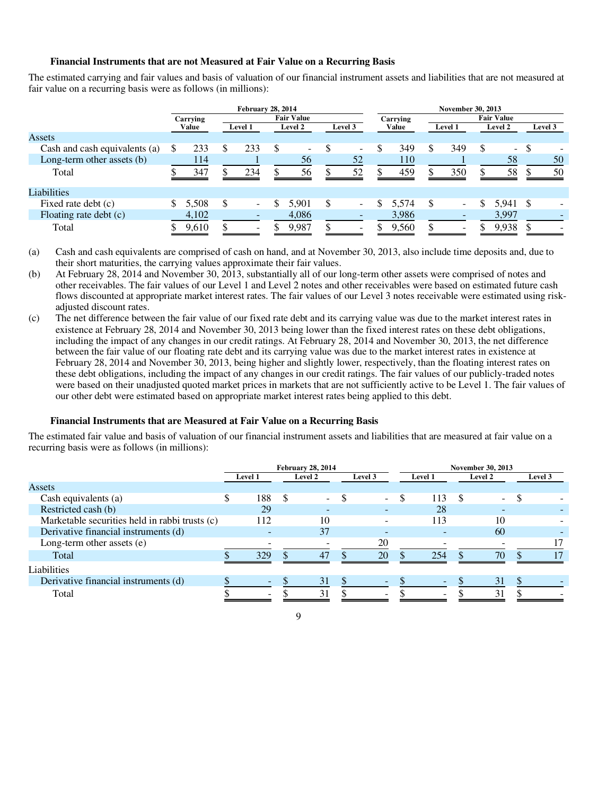#### **Financial Instruments that are not Measured at Fair Value on a Recurring Basis**

The estimated carrying and fair values and basis of valuation of our financial instrument assets and liabilities that are not measured at fair value on a recurring basis were as follows (in millions):

|                               | <b>February 28, 2014</b> |    |         |                   |         |    | <b>November 30, 2013</b> |          |       |                   |                          |    |                          |               |         |
|-------------------------------|--------------------------|----|---------|-------------------|---------|----|--------------------------|----------|-------|-------------------|--------------------------|----|--------------------------|---------------|---------|
|                               | Carrying                 |    |         | <b>Fair Value</b> |         |    |                          | Carrying |       | <b>Fair Value</b> |                          |    |                          |               |         |
|                               | Value                    |    | Level 1 |                   | Level 2 |    | Level 3                  |          | Value |                   | Level 1                  |    | Level 2                  |               | Level 3 |
| Assets                        |                          |    |         |                   |         |    |                          |          |       |                   |                          |    |                          |               |         |
| Cash and cash equivalents (a) | \$<br>233                | S  | 233     | \$                |         | \$ | ۰                        | S        | 349   | \$                | 349                      | \$ | $\overline{\phantom{a}}$ | -S            |         |
| Long-term other assets (b)    | 114                      |    |         |                   | 56      |    | 52                       |          | 110   |                   |                          |    | 58                       |               | 50      |
| Total                         | 347                      |    | 234     |                   | 56      |    | 52                       |          | 459   |                   | 350                      |    | 58                       |               | 50      |
| Liabilities                   |                          |    |         |                   |         |    |                          |          |       |                   |                          |    |                          |               |         |
| Fixed rate debt (c)           | 5,508                    | \$ |         |                   | 5.901   | S  |                          |          | 5,574 | S                 | $\sim$                   | \$ | 5,941                    | <sup>\$</sup> |         |
| Floating rate debt (c)        | 4,102                    |    |         |                   | 4,086   |    |                          |          | 3,986 |                   | $\overline{\phantom{0}}$ |    | 3,997                    |               |         |
| Total                         | 9,610                    |    |         |                   | 9,987   |    |                          |          | 9,560 |                   | $\sim$                   |    | 9,938                    |               |         |

(a) Cash and cash equivalents are comprised of cash on hand, and at November 30, 2013, also include time deposits and, due to their short maturities, the carrying values approximate their fair values.

(b) At February 28, 2014 and November 30, 2013, substantially all of our long-term other assets were comprised of notes and other receivables. The fair values of our Level 1 and Level 2 notes and other receivables were based on estimated future cash flows discounted at appropriate market interest rates. The fair values of our Level 3 notes receivable were estimated using riskadjusted discount rates.

(c) The net difference between the fair value of our fixed rate debt and its carrying value was due to the market interest rates in existence at February 28, 2014 and November 30, 2013 being lower than the fixed interest rates on these debt obligations, including the impact of any changes in our credit ratings. At February 28, 2014 and November 30, 2013, the net difference between the fair value of our floating rate debt and its carrying value was due to the market interest rates in existence at February 28, 2014 and November 30, 2013, being higher and slightly lower, respectively, than the floating interest rates on these debt obligations, including the impact of any changes in our credit ratings. The fair values of our publicly-traded notes were based on their unadjusted quoted market prices in markets that are not sufficiently active to be Level 1. The fair values of our other debt were estimated based on appropriate market interest rates being applied to this debt.

#### **Financial Instruments that are Measured at Fair Value on a Recurring Basis**

The estimated fair value and basis of valuation of our financial instrument assets and liabilities that are measured at fair value on a recurring basis were as follows (in millions):

|                                                | <b>February 28, 2014</b> |                          |         |                          |         |                          | <b>November 30, 2013</b> |                          |          |                          |         |  |
|------------------------------------------------|--------------------------|--------------------------|---------|--------------------------|---------|--------------------------|--------------------------|--------------------------|----------|--------------------------|---------|--|
|                                                | Level 1                  |                          | Level 2 |                          | Level 3 |                          | Level 1                  |                          | Level 2  |                          | Level 3 |  |
| Assets                                         |                          |                          |         |                          |         |                          |                          |                          |          |                          |         |  |
| Cash equivalents (a)                           |                          | 188                      | \$.     | $\overline{\phantom{a}}$ |         | $\overline{\phantom{a}}$ | <b>S</b>                 | 113                      | <b>S</b> | $\overline{\phantom{0}}$ |         |  |
| Restricted cash (b)                            |                          | 29                       |         |                          |         |                          |                          | 28                       |          |                          |         |  |
| Marketable securities held in rabbi trusts (c) |                          | 112                      |         | 10                       |         |                          |                          | 113                      |          | 10                       |         |  |
| Derivative financial instruments (d)           |                          |                          |         | 37                       |         |                          |                          |                          |          | 60                       |         |  |
| Long-term other assets (e)                     |                          |                          |         |                          |         | 20                       |                          |                          |          |                          |         |  |
| Total                                          |                          | 329                      |         | 47                       |         | 20                       |                          | 254                      |          | 70                       |         |  |
| Liabilities                                    |                          |                          |         |                          |         |                          |                          |                          |          |                          |         |  |
| Derivative financial instruments (d)           |                          | $\overline{\phantom{a}}$ |         | 31                       |         | $\overline{\phantom{a}}$ |                          | $\overline{\phantom{0}}$ |          | 31                       | \$      |  |
| Total                                          |                          |                          |         | 31                       |         |                          |                          |                          |          | 31                       |         |  |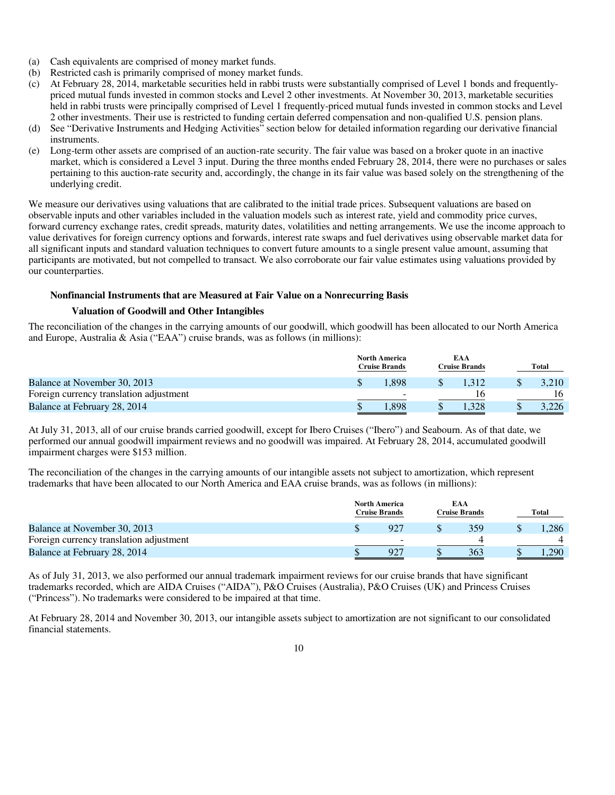- (a) Cash equivalents are comprised of money market funds.
- (b) Restricted cash is primarily comprised of money market funds.
- (c) At February 28, 2014, marketable securities held in rabbi trusts were substantially comprised of Level 1 bonds and frequentlypriced mutual funds invested in common stocks and Level 2 other investments. At November 30, 2013, marketable securities held in rabbi trusts were principally comprised of Level 1 frequently-priced mutual funds invested in common stocks and Level 2 other investments. Their use is restricted to funding certain deferred compensation and non-qualified U.S. pension plans.
- (d) See "Derivative Instruments and Hedging Activities" section below for detailed information regarding our derivative financial instruments.
- (e) Long-term other assets are comprised of an auction-rate security. The fair value was based on a broker quote in an inactive market, which is considered a Level 3 input. During the three months ended February 28, 2014, there were no purchases or sales pertaining to this auction-rate security and, accordingly, the change in its fair value was based solely on the strengthening of the underlying credit.

We measure our derivatives using valuations that are calibrated to the initial trade prices. Subsequent valuations are based on observable inputs and other variables included in the valuation models such as interest rate, yield and commodity price curves, forward currency exchange rates, credit spreads, maturity dates, volatilities and netting arrangements. We use the income approach to value derivatives for foreign currency options and forwards, interest rate swaps and fuel derivatives using observable market data for all significant inputs and standard valuation techniques to convert future amounts to a single present value amount, assuming that participants are motivated, but not compelled to transact. We also corroborate our fair value estimates using valuations provided by our counterparties.

#### **Nonfinancial Instruments that are Measured at Fair Value on a Nonrecurring Basis**

#### **Valuation of Goodwill and Other Intangibles**

The reconciliation of the changes in the carrying amounts of our goodwill, which goodwill has been allocated to our North America and Europe, Australia & Asia ("EAA") cruise brands, was as follows (in millions):

|                                         | North America<br><b>Cruise Brands</b> | EAA<br>C <b>ruise Brands</b> | <b>Total</b> |
|-----------------------------------------|---------------------------------------|------------------------------|--------------|
| Balance at November 30, 2013            | .898                                  | 1.312                        | .210         |
| Foreign currency translation adjustment | $\overline{\phantom{0}}$              |                              | 16           |
| Balance at February 28, 2014            | .898                                  | 4,328                        | 2.226        |

At July 31, 2013, all of our cruise brands carried goodwill, except for Ibero Cruises ("Ibero") and Seabourn. As of that date, we performed our annual goodwill impairment reviews and no goodwill was impaired. At February 28, 2014, accumulated goodwill impairment charges were \$153 million.

The reconciliation of the changes in the carrying amounts of our intangible assets not subject to amortization, which represent trademarks that have been allocated to our North America and EAA cruise brands, was as follows (in millions):

|                                         | <b>North America</b><br><b>Cruise Brands</b> |     | EAA<br>C <b>ruise Brands</b> |     | <b>Total</b> |
|-----------------------------------------|----------------------------------------------|-----|------------------------------|-----|--------------|
| Balance at November 30, 2013            |                                              | 927 |                              | 359 | 1.286        |
| Foreign currency translation adjustment |                                              |     |                              |     |              |
| Balance at February 28, 2014            |                                              | 927 |                              | 363 | 1.290        |

As of July 31, 2013, we also performed our annual trademark impairment reviews for our cruise brands that have significant trademarks recorded, which are AIDA Cruises ("AIDA"), P&O Cruises (Australia), P&O Cruises (UK) and Princess Cruises ("Princess"). No trademarks were considered to be impaired at that time.

At February 28, 2014 and November 30, 2013, our intangible assets subject to amortization are not significant to our consolidated financial statements.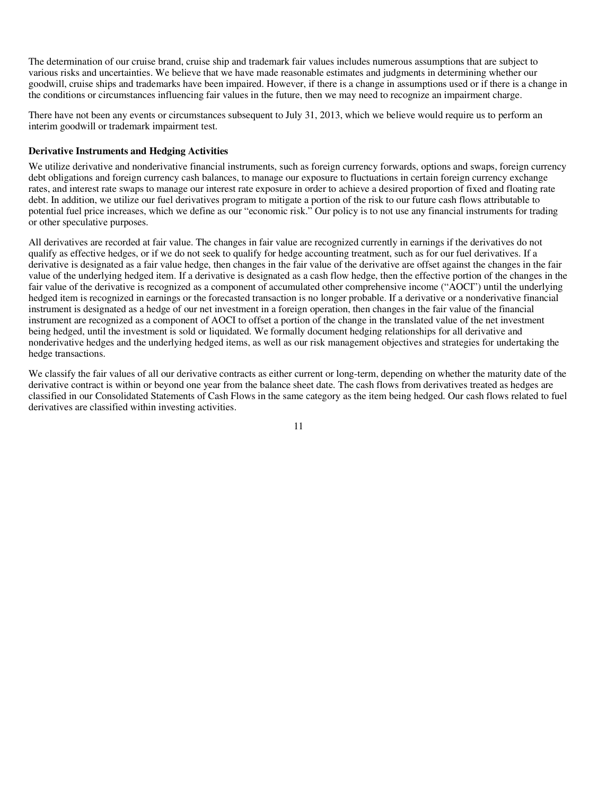The determination of our cruise brand, cruise ship and trademark fair values includes numerous assumptions that are subject to various risks and uncertainties. We believe that we have made reasonable estimates and judgments in determining whether our goodwill, cruise ships and trademarks have been impaired. However, if there is a change in assumptions used or if there is a change in the conditions or circumstances influencing fair values in the future, then we may need to recognize an impairment charge.

There have not been any events or circumstances subsequent to July 31, 2013, which we believe would require us to perform an interim goodwill or trademark impairment test.

#### **Derivative Instruments and Hedging Activities**

We utilize derivative and nonderivative financial instruments, such as foreign currency forwards, options and swaps, foreign currency debt obligations and foreign currency cash balances, to manage our exposure to fluctuations in certain foreign currency exchange rates, and interest rate swaps to manage our interest rate exposure in order to achieve a desired proportion of fixed and floating rate debt. In addition, we utilize our fuel derivatives program to mitigate a portion of the risk to our future cash flows attributable to potential fuel price increases, which we define as our "economic risk." Our policy is to not use any financial instruments for trading or other speculative purposes.

All derivatives are recorded at fair value. The changes in fair value are recognized currently in earnings if the derivatives do not qualify as effective hedges, or if we do not seek to qualify for hedge accounting treatment, such as for our fuel derivatives. If a derivative is designated as a fair value hedge, then changes in the fair value of the derivative are offset against the changes in the fair value of the underlying hedged item. If a derivative is designated as a cash flow hedge, then the effective portion of the changes in the fair value of the derivative is recognized as a component of accumulated other comprehensive income ("AOCI") until the underlying hedged item is recognized in earnings or the forecasted transaction is no longer probable. If a derivative or a nonderivative financial instrument is designated as a hedge of our net investment in a foreign operation, then changes in the fair value of the financial instrument are recognized as a component of AOCI to offset a portion of the change in the translated value of the net investment being hedged, until the investment is sold or liquidated. We formally document hedging relationships for all derivative and nonderivative hedges and the underlying hedged items, as well as our risk management objectives and strategies for undertaking the hedge transactions.

We classify the fair values of all our derivative contracts as either current or long-term, depending on whether the maturity date of the derivative contract is within or beyond one year from the balance sheet date. The cash flows from derivatives treated as hedges are classified in our Consolidated Statements of Cash Flows in the same category as the item being hedged. Our cash flows related to fuel derivatives are classified within investing activities.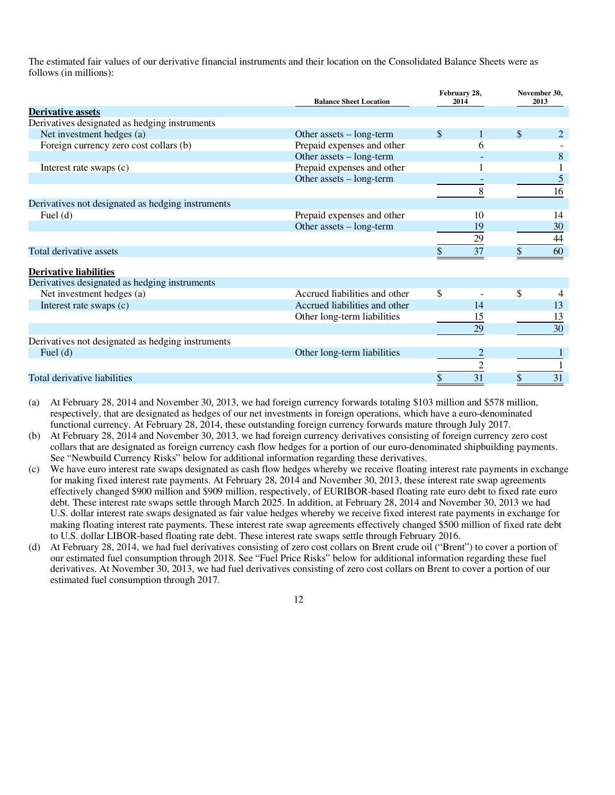The estimated fair values of our derivative financial instruments and their location on the Consolidated Balance Sheets were as follows (in millions):

|                                                   | <b>Balance Sheet Location</b> |               | February 28,<br>2014 | November 30,<br>2013 |
|---------------------------------------------------|-------------------------------|---------------|----------------------|----------------------|
| <b>Derivative assets</b>                          |                               |               |                      |                      |
| Derivatives designated as hedging instruments     |                               |               |                      |                      |
| Net investment hedges (a)                         | Other assets $-$ long-term    | $\mathcal{S}$ |                      | \$                   |
| Foreign currency zero cost collars (b)            | Prepaid expenses and other    |               | 6                    |                      |
|                                                   | Other assets – long-term      |               |                      | 8                    |
| Interest rate swaps (c)                           | Prepaid expenses and other    |               |                      |                      |
|                                                   | Other assets – long-term      |               |                      |                      |
|                                                   |                               |               | 8                    | 16                   |
| Derivatives not designated as hedging instruments |                               |               |                      |                      |
| Fuel $(d)$                                        | Prepaid expenses and other    |               | 10                   | 14                   |
|                                                   | Other assets – long-term      |               | 19                   | 30                   |
|                                                   |                               |               | 29                   | 44                   |
| Total derivative assets                           |                               |               | 37                   | 60                   |
| <b>Derivative liabilities</b>                     |                               |               |                      |                      |
| Derivatives designated as hedging instruments     |                               |               |                      |                      |
| Net investment hedges (a)                         | Accrued liabilities and other | \$            |                      | \$                   |
| Interest rate swaps (c)                           | Accrued liabilities and other |               | 14                   | 13                   |
|                                                   | Other long-term liabilities   |               | 15                   | 13                   |
|                                                   |                               |               | 29                   | 30                   |
| Derivatives not designated as hedging instruments |                               |               |                      |                      |
| Fuel $(d)$                                        | Other long-term liabilities   |               |                      |                      |
|                                                   |                               |               | $\overline{c}$       |                      |
| Total derivative liabilities                      |                               |               | 31                   | 31                   |

- (a) At February 28, 2014 and November 30, 2013, we had foreign currency forwards totaling \$103 million and \$578 million, respectively, that are designated as hedges of our net investments in foreign operations, which have a euro-denominated functional currency. At February 28, 2014, these outstanding foreign currency forwards mature through July 2017.
- (b) At February 28, 2014 and November 30, 2013, we had foreign currency derivatives consisting of foreign currency zero cost collars that are designated as foreign currency cash flow hedges for a portion of our euro-denominated shipbuilding payments. See "Newbuild Currency Risks" below for additional information regarding these derivatives.
- (c) We have euro interest rate swaps designated as cash flow hedges whereby we receive floating interest rate payments in exchange for making fixed interest rate payments. At February 28, 2014 and November 30, 2013, these interest rate swap agreements effectively changed \$900 million and \$909 million, respectively, of EURIBOR-based floating rate euro debt to fixed rate euro debt. These interest rate swaps settle through March 2025. In addition, at February 28, 2014 and November 30, 2013 we had U.S. dollar interest rate swaps designated as fair value hedges whereby we receive fixed interest rate payments in exchange for making floating interest rate payments. These interest rate swap agreements effectively changed \$500 million of fixed rate debt to U.S. dollar LIBOR-based floating rate debt. These interest rate swaps settle through February 2016.
- (d) At February 28, 2014, we had fuel derivatives consisting of zero cost collars on Brent crude oil ("Brent") to cover a portion of our estimated fuel consumption through 2018. See "Fuel Price Risks" below for additional information regarding these fuel derivatives. At November 30, 2013, we had fuel derivatives consisting of zero cost collars on Brent to cover a portion of our estimated fuel consumption through 2017.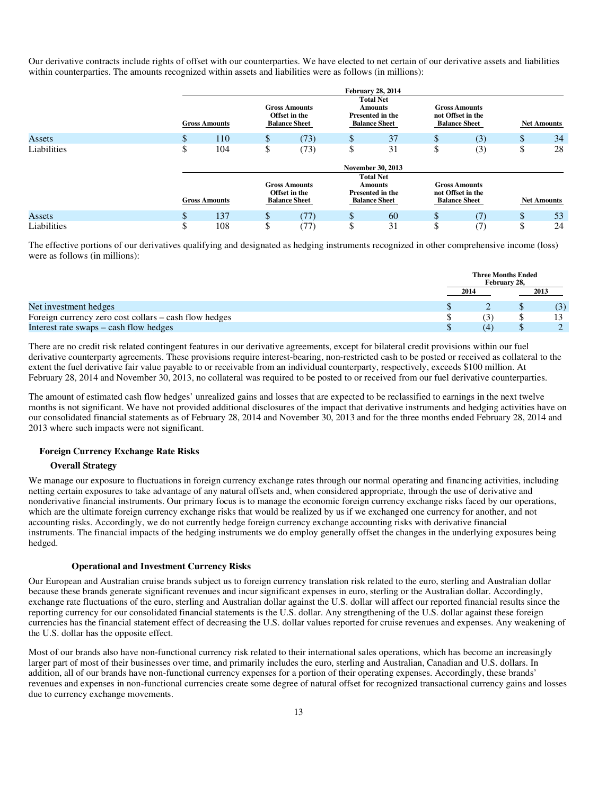Our derivative contracts include rights of offset with our counterparties. We have elected to net certain of our derivative assets and liabilities within counterparties. The amounts recognized within assets and liabilities were as follows (in millions):

|             |     |                      |                                                               |                                                               |    | <b>February 28, 2014</b>                                                       |    |                                                                   |                    |                    |  |
|-------------|-----|----------------------|---------------------------------------------------------------|---------------------------------------------------------------|----|--------------------------------------------------------------------------------|----|-------------------------------------------------------------------|--------------------|--------------------|--|
|             |     | <b>Gross Amounts</b> | <b>Gross Amounts</b><br>Offset in the<br><b>Balance Sheet</b> |                                                               |    | <b>Total Net</b><br><b>Amounts</b><br>Presented in the<br><b>Balance Sheet</b> |    | <b>Gross Amounts</b><br>not Offset in the<br><b>Balance Sheet</b> | <b>Net Amounts</b> |                    |  |
| Assets      | \$  | 110                  | \$                                                            | (73)                                                          | \$ | 37                                                                             | \$ | (3)                                                               | \$                 | 34                 |  |
| Liabilities | \$  | 104                  | \$                                                            | (73)                                                          | \$ | 31                                                                             | \$ | (3)                                                               | Φ                  | 28                 |  |
|             |     |                      |                                                               |                                                               |    | <b>November 30, 2013</b>                                                       |    |                                                                   |                    |                    |  |
|             |     | <b>Gross Amounts</b> |                                                               | <b>Gross Amounts</b><br>Offset in the<br><b>Balance Sheet</b> |    | <b>Total Net</b><br>Amounts<br>Presented in the<br><b>Balance Sheet</b>        |    | <b>Gross Amounts</b><br>not Offset in the<br><b>Balance Sheet</b> |                    | <b>Net Amounts</b> |  |
| Assets      | Эħ. | 137                  | \$                                                            | (77)                                                          | \$ | 60                                                                             | \$ | (7)                                                               | \$                 | 53                 |  |
| Liabilities | ъ   | 108                  | \$                                                            | (77)                                                          | J  | 31                                                                             | Ф  |                                                                   | D                  | 24                 |  |

The effective portions of our derivatives qualifying and designated as hedging instruments recognized in other comprehensive income (loss) were as follows (in millions):

|                                                       |      | <b>Three Months Ended</b><br>February 28, |      |
|-------------------------------------------------------|------|-------------------------------------------|------|
|                                                       | 2014 |                                           | 2013 |
| Net investment hedges                                 |      |                                           | (3)  |
| Foreign currency zero cost collars – cash flow hedges |      |                                           |      |
| Interest rate swaps – cash flow hedges                | (4)  |                                           |      |

There are no credit risk related contingent features in our derivative agreements, except for bilateral credit provisions within our fuel derivative counterparty agreements. These provisions require interest-bearing, non-restricted cash to be posted or received as collateral to the extent the fuel derivative fair value payable to or receivable from an individual counterparty, respectively, exceeds \$100 million. At February 28, 2014 and November 30, 2013, no collateral was required to be posted to or received from our fuel derivative counterparties.

The amount of estimated cash flow hedges' unrealized gains and losses that are expected to be reclassified to earnings in the next twelve months is not significant. We have not provided additional disclosures of the impact that derivative instruments and hedging activities have on our consolidated financial statements as of February 28, 2014 and November 30, 2013 and for the three months ended February 28, 2014 and 2013 where such impacts were not significant.

#### **Foreign Currency Exchange Rate Risks**

#### **Overall Strategy**

We manage our exposure to fluctuations in foreign currency exchange rates through our normal operating and financing activities, including netting certain exposures to take advantage of any natural offsets and, when considered appropriate, through the use of derivative and nonderivative financial instruments. Our primary focus is to manage the economic foreign currency exchange risks faced by our operations, which are the ultimate foreign currency exchange risks that would be realized by us if we exchanged one currency for another, and not accounting risks. Accordingly, we do not currently hedge foreign currency exchange accounting risks with derivative financial instruments. The financial impacts of the hedging instruments we do employ generally offset the changes in the underlying exposures being hedged.

#### **Operational and Investment Currency Risks**

Our European and Australian cruise brands subject us to foreign currency translation risk related to the euro, sterling and Australian dollar because these brands generate significant revenues and incur significant expenses in euro, sterling or the Australian dollar. Accordingly, exchange rate fluctuations of the euro, sterling and Australian dollar against the U.S. dollar will affect our reported financial results since the reporting currency for our consolidated financial statements is the U.S. dollar. Any strengthening of the U.S. dollar against these foreign currencies has the financial statement effect of decreasing the U.S. dollar values reported for cruise revenues and expenses. Any weakening of the U.S. dollar has the opposite effect.

Most of our brands also have non-functional currency risk related to their international sales operations, which has become an increasingly larger part of most of their businesses over time, and primarily includes the euro, sterling and Australian, Canadian and U.S. dollars. In addition, all of our brands have non-functional currency expenses for a portion of their operating expenses. Accordingly, these brands' revenues and expenses in non-functional currencies create some degree of natural offset for recognized transactional currency gains and losses due to currency exchange movements.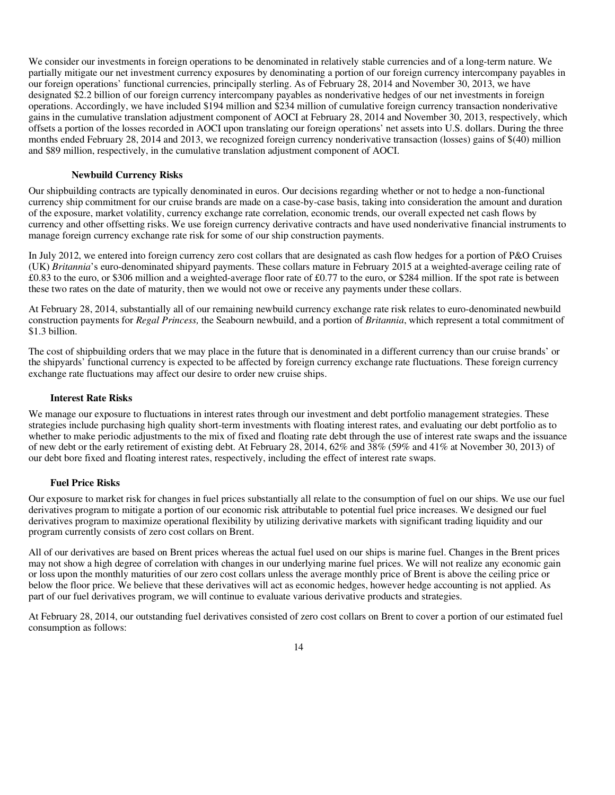We consider our investments in foreign operations to be denominated in relatively stable currencies and of a long-term nature. We partially mitigate our net investment currency exposures by denominating a portion of our foreign currency intercompany payables in our foreign operations' functional currencies, principally sterling. As of February 28, 2014 and November 30, 2013, we have designated \$2.2 billion of our foreign currency intercompany payables as nonderivative hedges of our net investments in foreign operations. Accordingly, we have included \$194 million and \$234 million of cumulative foreign currency transaction nonderivative gains in the cumulative translation adjustment component of AOCI at February 28, 2014 and November 30, 2013, respectively, which offsets a portion of the losses recorded in AOCI upon translating our foreign operations' net assets into U.S. dollars. During the three months ended February 28, 2014 and 2013, we recognized foreign currency nonderivative transaction (losses) gains of \$(40) million and \$89 million, respectively, in the cumulative translation adjustment component of AOCI.

#### **Newbuild Currency Risks**

Our shipbuilding contracts are typically denominated in euros. Our decisions regarding whether or not to hedge a non-functional currency ship commitment for our cruise brands are made on a case-by-case basis, taking into consideration the amount and duration of the exposure, market volatility, currency exchange rate correlation, economic trends, our overall expected net cash flows by currency and other offsetting risks. We use foreign currency derivative contracts and have used nonderivative financial instruments to manage foreign currency exchange rate risk for some of our ship construction payments.

In July 2012, we entered into foreign currency zero cost collars that are designated as cash flow hedges for a portion of P&O Cruises (UK) *Britannia*'s euro-denominated shipyard payments. These collars mature in February 2015 at a weighted-average ceiling rate of £0.83 to the euro, or \$306 million and a weighted-average floor rate of £0.77 to the euro, or \$284 million. If the spot rate is between these two rates on the date of maturity, then we would not owe or receive any payments under these collars.

At February 28, 2014, substantially all of our remaining newbuild currency exchange rate risk relates to euro-denominated newbuild construction payments for *Regal Princess,* the Seabourn newbuild, and a portion of *Britannia*, which represent a total commitment of \$1.3 billion.

The cost of shipbuilding orders that we may place in the future that is denominated in a different currency than our cruise brands' or the shipyards' functional currency is expected to be affected by foreign currency exchange rate fluctuations. These foreign currency exchange rate fluctuations may affect our desire to order new cruise ships.

#### **Interest Rate Risks**

We manage our exposure to fluctuations in interest rates through our investment and debt portfolio management strategies. These strategies include purchasing high quality short-term investments with floating interest rates, and evaluating our debt portfolio as to whether to make periodic adjustments to the mix of fixed and floating rate debt through the use of interest rate swaps and the issuance of new debt or the early retirement of existing debt. At February 28, 2014, 62% and 38% (59% and 41% at November 30, 2013) of our debt bore fixed and floating interest rates, respectively, including the effect of interest rate swaps.

#### **Fuel Price Risks**

Our exposure to market risk for changes in fuel prices substantially all relate to the consumption of fuel on our ships. We use our fuel derivatives program to mitigate a portion of our economic risk attributable to potential fuel price increases. We designed our fuel derivatives program to maximize operational flexibility by utilizing derivative markets with significant trading liquidity and our program currently consists of zero cost collars on Brent.

All of our derivatives are based on Brent prices whereas the actual fuel used on our ships is marine fuel. Changes in the Brent prices may not show a high degree of correlation with changes in our underlying marine fuel prices. We will not realize any economic gain or loss upon the monthly maturities of our zero cost collars unless the average monthly price of Brent is above the ceiling price or below the floor price. We believe that these derivatives will act as economic hedges, however hedge accounting is not applied. As part of our fuel derivatives program, we will continue to evaluate various derivative products and strategies.

At February 28, 2014, our outstanding fuel derivatives consisted of zero cost collars on Brent to cover a portion of our estimated fuel consumption as follows: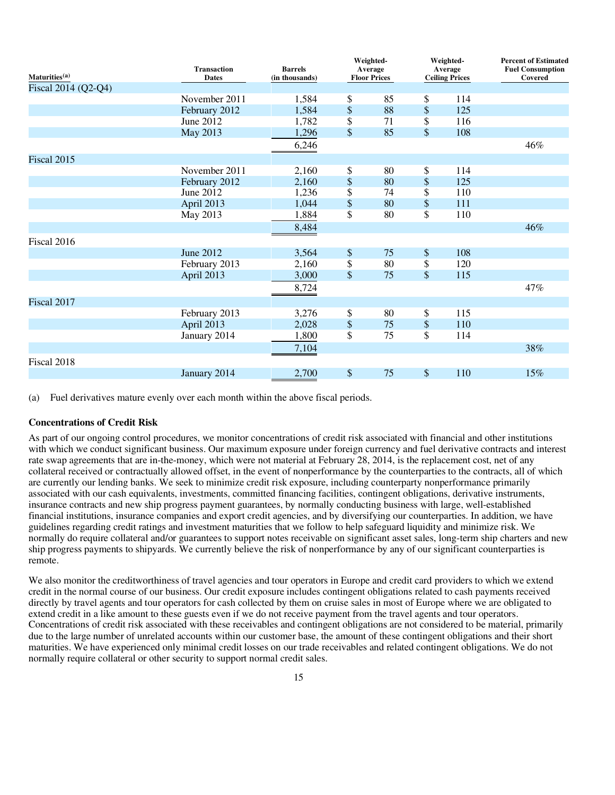| Maturities <sup>(a)</sup> | <b>Transaction</b><br><b>Dates</b> | <b>Barrels</b><br>(in thousands) | Weighted-<br>Average<br><b>Floor Prices</b> |    | Weighted-<br>Average<br><b>Ceiling Prices</b> |     | <b>Percent of Estimated</b><br><b>Fuel Consumption</b><br>Covered |  |
|---------------------------|------------------------------------|----------------------------------|---------------------------------------------|----|-----------------------------------------------|-----|-------------------------------------------------------------------|--|
| Fiscal 2014 (Q2-Q4)       |                                    |                                  |                                             |    |                                               |     |                                                                   |  |
|                           | November 2011                      | 1,584                            | \$                                          | 85 | \$                                            | 114 |                                                                   |  |
|                           | February 2012                      | 1,584                            | $\boldsymbol{\$}$                           | 88 | \$                                            | 125 |                                                                   |  |
|                           | June 2012                          | 1,782                            | \$                                          | 71 | \$                                            | 116 |                                                                   |  |
|                           | May 2013                           | 1,296                            | \$                                          | 85 | \$                                            | 108 |                                                                   |  |
|                           |                                    | 6,246                            |                                             |    |                                               |     | 46%                                                               |  |
| Fiscal 2015               |                                    |                                  |                                             |    |                                               |     |                                                                   |  |
|                           | November 2011                      | 2,160                            | \$                                          | 80 | \$                                            | 114 |                                                                   |  |
|                           | February 2012                      | 2,160                            | $\boldsymbol{\$}$                           | 80 | \$                                            | 125 |                                                                   |  |
|                           | June 2012                          | 1,236                            | \$                                          | 74 | \$                                            | 110 |                                                                   |  |
|                           | April 2013                         | 1,044                            | $\$\,$                                      | 80 | \$                                            | 111 |                                                                   |  |
|                           | May 2013                           | 1,884                            | \$                                          | 80 | \$                                            | 110 |                                                                   |  |
|                           |                                    | 8,484                            |                                             |    |                                               |     | 46%                                                               |  |
| Fiscal 2016               |                                    |                                  |                                             |    |                                               |     |                                                                   |  |
|                           | June 2012                          | 3,564                            | $\boldsymbol{\$}$                           | 75 | \$                                            | 108 |                                                                   |  |
|                           | February 2013                      | 2,160                            | \$                                          | 80 | \$                                            | 120 |                                                                   |  |
|                           | April 2013                         | 3,000                            | \$                                          | 75 | \$                                            | 115 |                                                                   |  |
|                           |                                    | 8,724                            |                                             |    |                                               |     | 47%                                                               |  |
| Fiscal 2017               |                                    |                                  |                                             |    |                                               |     |                                                                   |  |
|                           | February 2013                      | 3,276                            | \$                                          | 80 | \$                                            | 115 |                                                                   |  |
|                           | April 2013                         | 2,028                            |                                             | 75 | \$                                            | 110 |                                                                   |  |
|                           | January 2014                       | 1,800                            | \$                                          | 75 | \$                                            | 114 |                                                                   |  |
|                           |                                    | 7,104                            |                                             |    |                                               |     | 38%                                                               |  |
| Fiscal 2018               |                                    |                                  |                                             |    |                                               |     |                                                                   |  |
|                           | January 2014                       | 2,700                            | \$                                          | 75 | \$                                            | 110 | 15%                                                               |  |
|                           |                                    |                                  | $\$\,$                                      |    |                                               |     |                                                                   |  |

(a) Fuel derivatives mature evenly over each month within the above fiscal periods.

#### **Concentrations of Credit Risk**

As part of our ongoing control procedures, we monitor concentrations of credit risk associated with financial and other institutions with which we conduct significant business. Our maximum exposure under foreign currency and fuel derivative contracts and interest rate swap agreements that are in-the-money, which were not material at February 28, 2014, is the replacement cost, net of any collateral received or contractually allowed offset, in the event of nonperformance by the counterparties to the contracts, all of which are currently our lending banks. We seek to minimize credit risk exposure, including counterparty nonperformance primarily associated with our cash equivalents, investments, committed financing facilities, contingent obligations, derivative instruments, insurance contracts and new ship progress payment guarantees, by normally conducting business with large, well-established financial institutions, insurance companies and export credit agencies, and by diversifying our counterparties. In addition, we have guidelines regarding credit ratings and investment maturities that we follow to help safeguard liquidity and minimize risk. We normally do require collateral and/or guarantees to support notes receivable on significant asset sales, long-term ship charters and new ship progress payments to shipyards. We currently believe the risk of nonperformance by any of our significant counterparties is remote.

We also monitor the creditworthiness of travel agencies and tour operators in Europe and credit card providers to which we extend credit in the normal course of our business. Our credit exposure includes contingent obligations related to cash payments received directly by travel agents and tour operators for cash collected by them on cruise sales in most of Europe where we are obligated to extend credit in a like amount to these guests even if we do not receive payment from the travel agents and tour operators. Concentrations of credit risk associated with these receivables and contingent obligations are not considered to be material, primarily due to the large number of unrelated accounts within our customer base, the amount of these contingent obligations and their short maturities. We have experienced only minimal credit losses on our trade receivables and related contingent obligations. We do not normally require collateral or other security to support normal credit sales.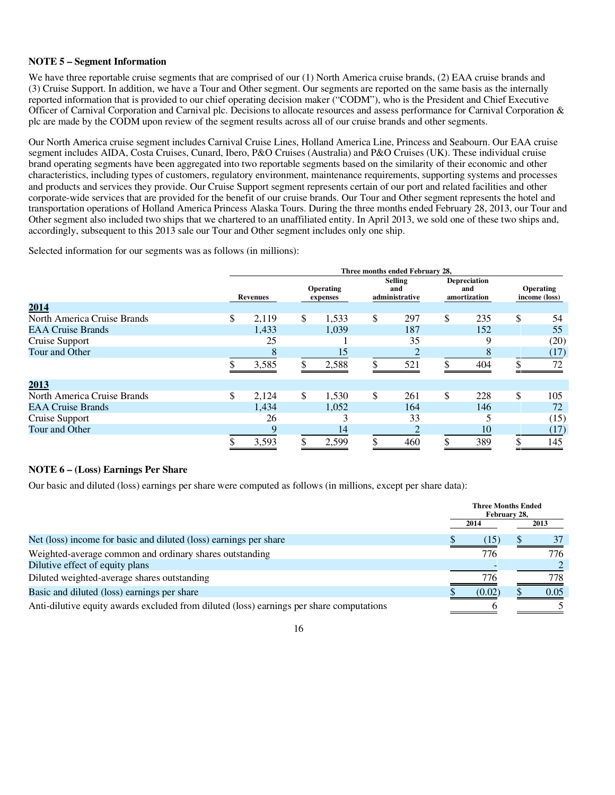#### **NOTE 5 – Segment Information**

We have three reportable cruise segments that are comprised of our (1) North America cruise brands, (2) EAA cruise brands and (3) Cruise Support. In addition, we have a Tour and Other segment. Our segments are reported on the same basis as the internally reported information that is provided to our chief operating decision maker ("CODM"), who is the President and Chief Executive Officer of Carnival Corporation and Carnival plc. Decisions to allocate resources and assess performance for Carnival Corporation & plc are made by the CODM upon review of the segment results across all of our cruise brands and other segments.

Our North America cruise segment includes Carnival Cruise Lines, Holland America Line, Princess and Seabourn. Our EAA cruise segment includes AIDA, Costa Cruises, Cunard, Ibero, P&O Cruises (Australia) and P&O Cruises (UK). These individual cruise brand operating segments have been aggregated into two reportable segments based on the similarity of their economic and other characteristics, including types of customers, regulatory environment, maintenance requirements, supporting systems and processes and products and services they provide. Our Cruise Support segment represents certain of our port and related facilities and other corporate-wide services that are provided for the benefit of our cruise brands. Our Tour and Other segment represents the hotel and transportation operations of Holland America Princess Alaska Tours. During the three months ended February 28, 2013, our Tour and Other segment also included two ships that we chartered to an unaffiliated entity. In April 2013, we sold one of these two ships and, accordingly, subsequent to this 2013 sale our Tour and Other segment includes only one ship.

Selected information for our segments was as follows (in millions):

|                             |                 |                       | Three months ended February 28,         |    |                                            |                                   |
|-----------------------------|-----------------|-----------------------|-----------------------------------------|----|--------------------------------------------|-----------------------------------|
|                             | <b>Revenues</b> | Operating<br>expenses | <b>Selling</b><br>and<br>administrative |    | <b>Depreciation</b><br>and<br>amortization | <b>Operating</b><br>income (loss) |
| 2014                        |                 |                       |                                         |    |                                            |                                   |
| North America Cruise Brands | \$<br>2,119     | \$<br>1,533           | \$<br>297                               | \$ | 235                                        | \$<br>54                          |
| <b>EAA Cruise Brands</b>    | 1,433           | 1,039                 | 187                                     |    | 152                                        | 55                                |
| Cruise Support              | 25              |                       | 35                                      |    | Q                                          | (20)                              |
| Tour and Other              | 8               | 15                    |                                         |    | 8                                          | (17)                              |
|                             | 3,585           | 2,588                 | 521                                     |    | 404                                        | 72                                |
| 2013                        |                 |                       |                                         |    |                                            |                                   |
| North America Cruise Brands | \$<br>2,124     | \$<br>1,530           | \$<br>261                               | \$ | 228                                        | \$<br>105                         |
| <b>EAA Cruise Brands</b>    | 1,434           | 1,052                 | 164                                     |    | 146                                        | 72                                |
| Cruise Support              | 26              |                       | 33                                      |    |                                            | (15)                              |
| Tour and Other              | Q               | 14                    |                                         |    | 10                                         | (17)                              |
|                             | 3,593           | 2,599                 | 460                                     | ¢  | 389                                        | \$<br>145                         |

### **NOTE 6 – (Loss) Earnings Per Share**

Our basic and diluted (loss) earnings per share were computed as follows (in millions, except per share data):

|                                                                                          | <b>Three Months Ended</b><br>February 28, |      |
|------------------------------------------------------------------------------------------|-------------------------------------------|------|
|                                                                                          | 2014                                      | 2013 |
| Net (loss) income for basic and diluted (loss) earnings per share                        | 15                                        |      |
| Weighted-average common and ordinary shares outstanding                                  | 776                                       | 776  |
| Dilutive effect of equity plans                                                          |                                           |      |
| Diluted weighted-average shares outstanding                                              | 776                                       | 778  |
| Basic and diluted (loss) earnings per share                                              | (0.02)                                    | 0.05 |
| Anti-dilutive equity awards excluded from diluted (loss) earnings per share computations |                                           |      |

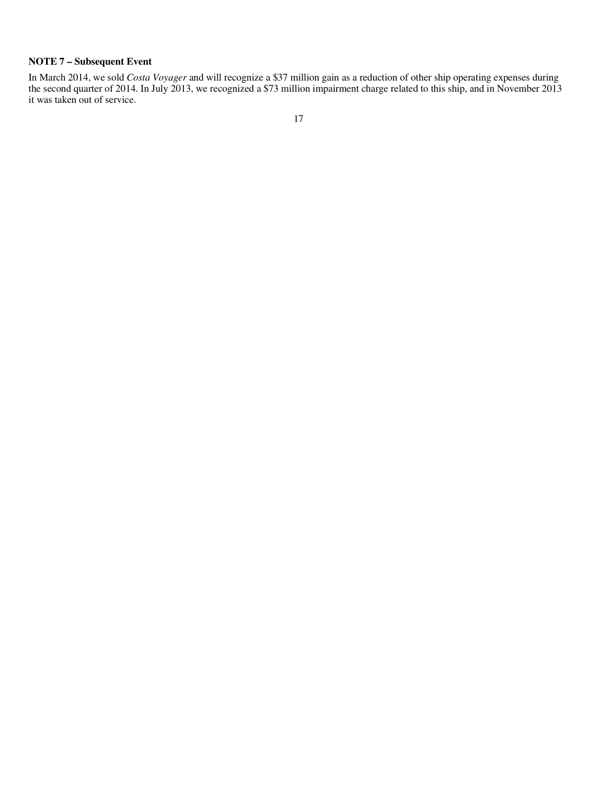### **NOTE 7 – Subsequent Event**

In March 2014, we sold *Costa Voyager* and will recognize a \$37 million gain as a reduction of other ship operating expenses during the second quarter of 2014. In July 2013, we recognized a \$73 million impairment charge related to this ship, and in November 2013 it was taken out of service.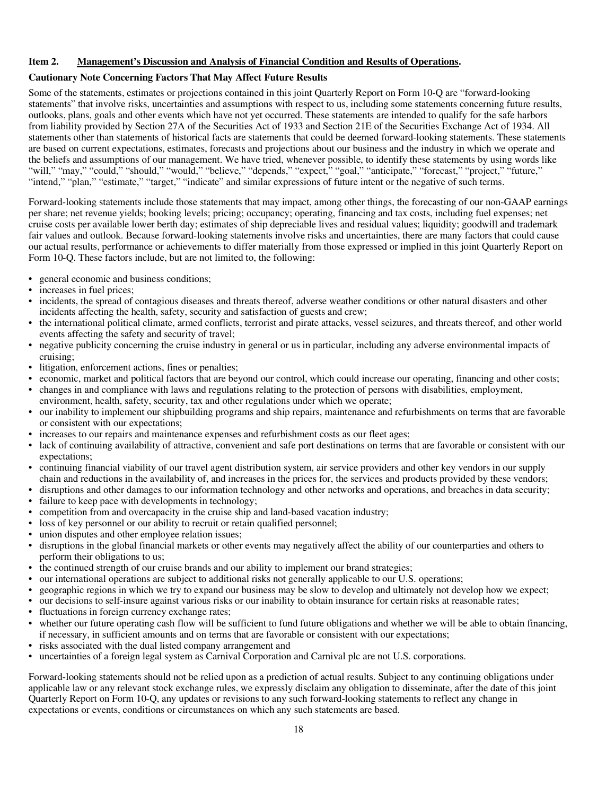### **Item 2. Management's Discussion and Analysis of Financial Condition and Results of Operations.**

#### **Cautionary Note Concerning Factors That May Affect Future Results**

Some of the statements, estimates or projections contained in this joint Quarterly Report on Form 10-Q are "forward-looking statements" that involve risks, uncertainties and assumptions with respect to us, including some statements concerning future results, outlooks, plans, goals and other events which have not yet occurred. These statements are intended to qualify for the safe harbors from liability provided by Section 27A of the Securities Act of 1933 and Section 21E of the Securities Exchange Act of 1934. All statements other than statements of historical facts are statements that could be deemed forward-looking statements. These statements are based on current expectations, estimates, forecasts and projections about our business and the industry in which we operate and the beliefs and assumptions of our management. We have tried, whenever possible, to identify these statements by using words like "will," "may," "could," "should," "would," "believe," "depends," "expect," "goal," "anticipate," "forecast," "project," "future," "intend," "plan," "estimate," "target," "indicate" and similar expressions of future intent or the negative of such terms.

Forward-looking statements include those statements that may impact, among other things, the forecasting of our non-GAAP earnings per share; net revenue yields; booking levels; pricing; occupancy; operating, financing and tax costs, including fuel expenses; net cruise costs per available lower berth day; estimates of ship depreciable lives and residual values; liquidity; goodwill and trademark fair values and outlook. Because forward-looking statements involve risks and uncertainties, there are many factors that could cause our actual results, performance or achievements to differ materially from those expressed or implied in this joint Quarterly Report on Form 10-Q. These factors include, but are not limited to, the following:

- general economic and business conditions;
- increases in fuel prices;
- incidents, the spread of contagious diseases and threats thereof, adverse weather conditions or other natural disasters and other incidents affecting the health, safety, security and satisfaction of guests and crew;
- the international political climate, armed conflicts, terrorist and pirate attacks, vessel seizures, and threats thereof, and other world events affecting the safety and security of travel;
- negative publicity concerning the cruise industry in general or us in particular, including any adverse environmental impacts of cruising;
- litigation, enforcement actions, fines or penalties;
- economic, market and political factors that are beyond our control, which could increase our operating, financing and other costs;
- changes in and compliance with laws and regulations relating to the protection of persons with disabilities, employment,
- environment, health, safety, security, tax and other regulations under which we operate;
- our inability to implement our shipbuilding programs and ship repairs, maintenance and refurbishments on terms that are favorable or consistent with our expectations;
- increases to our repairs and maintenance expenses and refurbishment costs as our fleet ages;
- lack of continuing availability of attractive, convenient and safe port destinations on terms that are favorable or consistent with our expectations;
- continuing financial viability of our travel agent distribution system, air service providers and other key vendors in our supply chain and reductions in the availability of, and increases in the prices for, the services and products provided by these vendors;
- disruptions and other damages to our information technology and other networks and operations, and breaches in data security;
- failure to keep pace with developments in technology;
- competition from and overcapacity in the cruise ship and land-based vacation industry;
- loss of key personnel or our ability to recruit or retain qualified personnel;
- union disputes and other employee relation issues;
- disruptions in the global financial markets or other events may negatively affect the ability of our counterparties and others to perform their obligations to us;
- the continued strength of our cruise brands and our ability to implement our brand strategies;
- our international operations are subject to additional risks not generally applicable to our U.S. operations;
- geographic regions in which we try to expand our business may be slow to develop and ultimately not develop how we expect;
- our decisions to self-insure against various risks or our inability to obtain insurance for certain risks at reasonable rates;
- fluctuations in foreign currency exchange rates;
- whether our future operating cash flow will be sufficient to fund future obligations and whether we will be able to obtain financing, if necessary, in sufficient amounts and on terms that are favorable or consistent with our expectations;
- risks associated with the dual listed company arrangement and
- uncertainties of a foreign legal system as Carnival Corporation and Carnival plc are not U.S. corporations.

Forward-looking statements should not be relied upon as a prediction of actual results. Subject to any continuing obligations under applicable law or any relevant stock exchange rules, we expressly disclaim any obligation to disseminate, after the date of this joint Quarterly Report on Form 10-Q, any updates or revisions to any such forward-looking statements to reflect any change in expectations or events, conditions or circumstances on which any such statements are based.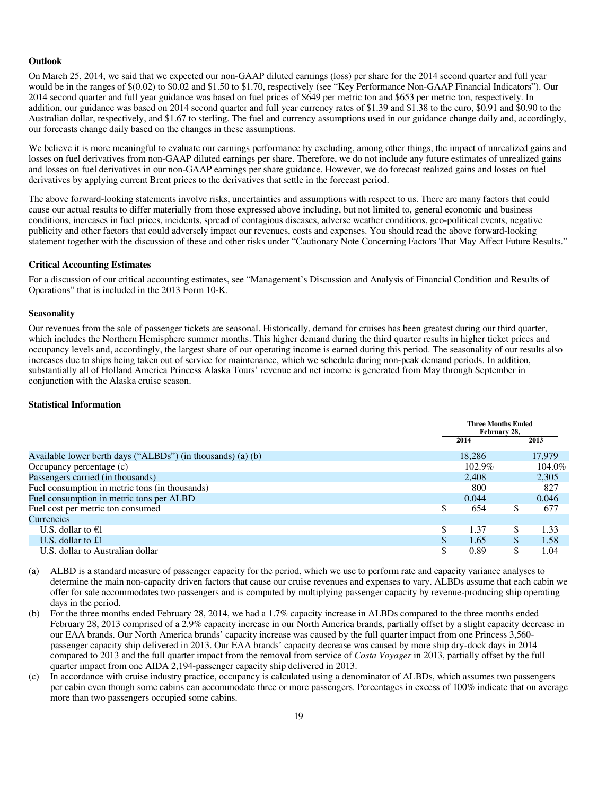#### **Outlook**

On March 25, 2014, we said that we expected our non-GAAP diluted earnings (loss) per share for the 2014 second quarter and full year would be in the ranges of  $\$(0.02)$  to  $\$0.02$  and  $\$1.50$  to  $\$1.70$ , respectively (see "Key Performance Non-GAAP Financial Indicators"). Our 2014 second quarter and full year guidance was based on fuel prices of \$649 per metric ton and \$653 per metric ton, respectively. In addition, our guidance was based on 2014 second quarter and full year currency rates of \$1.39 and \$1.38 to the euro, \$0.91 and \$0.90 to the Australian dollar, respectively, and \$1.67 to sterling. The fuel and currency assumptions used in our guidance change daily and, accordingly, our forecasts change daily based on the changes in these assumptions.

We believe it is more meaningful to evaluate our earnings performance by excluding, among other things, the impact of unrealized gains and losses on fuel derivatives from non-GAAP diluted earnings per share. Therefore, we do not include any future estimates of unrealized gains and losses on fuel derivatives in our non-GAAP earnings per share guidance. However, we do forecast realized gains and losses on fuel derivatives by applying current Brent prices to the derivatives that settle in the forecast period.

The above forward-looking statements involve risks, uncertainties and assumptions with respect to us. There are many factors that could cause our actual results to differ materially from those expressed above including, but not limited to, general economic and business conditions, increases in fuel prices, incidents, spread of contagious diseases, adverse weather conditions, geo-political events, negative publicity and other factors that could adversely impact our revenues, costs and expenses. You should read the above forward-looking statement together with the discussion of these and other risks under "Cautionary Note Concerning Factors That May Affect Future Results."

#### **Critical Accounting Estimates**

For a discussion of our critical accounting estimates, see "Management's Discussion and Analysis of Financial Condition and Results of Operations" that is included in the 2013 Form 10-K.

#### **Seasonality**

Our revenues from the sale of passenger tickets are seasonal. Historically, demand for cruises has been greatest during our third quarter, which includes the Northern Hemisphere summer months. This higher demand during the third quarter results in higher ticket prices and occupancy levels and, accordingly, the largest share of our operating income is earned during this period. The seasonality of our results also increases due to ships being taken out of service for maintenance, which we schedule during non-peak demand periods. In addition, substantially all of Holland America Princess Alaska Tours' revenue and net income is generated from May through September in conjunction with the Alaska cruise season.

#### **Statistical Information**

|                                                             |   | <b>Three Months Ended</b><br>February 28, |    |        |
|-------------------------------------------------------------|---|-------------------------------------------|----|--------|
|                                                             |   | 2014                                      |    | 2013   |
| Available lower berth days ("ALBDs") (in thousands) (a) (b) |   | 18.286                                    |    | 17,979 |
| Occupancy percentage (c)                                    |   | 102.9%                                    |    | 104.0% |
| Passengers carried (in thousands)                           |   | 2,408                                     |    | 2,305  |
| Fuel consumption in metric tons (in thousands)              |   | 800                                       |    | 827    |
| Fuel consumption in metric tons per ALBD                    |   | 0.044                                     |    | 0.046  |
| Fuel cost per metric ton consumed                           | ¢ | 654                                       | S  | 677    |
| <b>Currencies</b>                                           |   |                                           |    |        |
| U.S. dollar to $\epsilon$ 1                                 | ¢ | 1.37                                      | \$ | 1.33   |
| U.S. dollar to $£1$                                         |   | 1.65                                      | \$ | 1.58   |
| U.S. dollar to Australian dollar                            | Φ | 0.89                                      | \$ | 1.04   |

(a) ALBD is a standard measure of passenger capacity for the period, which we use to perform rate and capacity variance analyses to determine the main non-capacity driven factors that cause our cruise revenues and expenses to vary. ALBDs assume that each cabin we offer for sale accommodates two passengers and is computed by multiplying passenger capacity by revenue-producing ship operating days in the period.

- (b) For the three months ended February 28, 2014, we had a 1.7% capacity increase in ALBDs compared to the three months ended February 28, 2013 comprised of a 2.9% capacity increase in our North America brands, partially offset by a slight capacity decrease in our EAA brands. Our North America brands' capacity increase was caused by the full quarter impact from one Princess 3,560 passenger capacity ship delivered in 2013. Our EAA brands' capacity decrease was caused by more ship dry-dock days in 2014 compared to 2013 and the full quarter impact from the removal from service of *Costa Voyager* in 2013, partially offset by the full quarter impact from one AIDA 2,194-passenger capacity ship delivered in 2013.
- (c) In accordance with cruise industry practice, occupancy is calculated using a denominator of ALBDs, which assumes two passengers per cabin even though some cabins can accommodate three or more passengers. Percentages in excess of 100% indicate that on average more than two passengers occupied some cabins.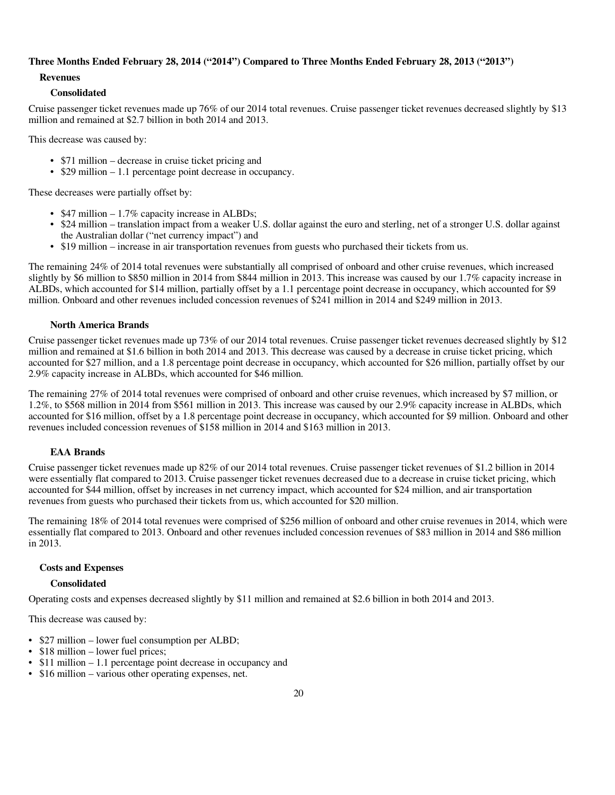#### **Three Months Ended February 28, 2014 ("2014") Compared to Three Months Ended February 28, 2013 ("2013")**

#### **Revenues**

#### **Consolidated**

Cruise passenger ticket revenues made up 76% of our 2014 total revenues. Cruise passenger ticket revenues decreased slightly by \$13 million and remained at \$2.7 billion in both 2014 and 2013.

This decrease was caused by:

- \$71 million decrease in cruise ticket pricing and
- \$29 million 1.1 percentage point decrease in occupancy.

These decreases were partially offset by:

- \$47 million 1.7% capacity increase in ALBDs;
- \$24 million translation impact from a weaker U.S. dollar against the euro and sterling, net of a stronger U.S. dollar against the Australian dollar ("net currency impact") and
- \$19 million increase in air transportation revenues from guests who purchased their tickets from us.

The remaining 24% of 2014 total revenues were substantially all comprised of onboard and other cruise revenues, which increased slightly by \$6 million to \$850 million in 2014 from \$844 million in 2013. This increase was caused by our 1.7% capacity increase in ALBDs, which accounted for \$14 million, partially offset by a 1.1 percentage point decrease in occupancy, which accounted for \$9 million. Onboard and other revenues included concession revenues of \$241 million in 2014 and \$249 million in 2013.

#### **North America Brands**

Cruise passenger ticket revenues made up 73% of our 2014 total revenues. Cruise passenger ticket revenues decreased slightly by \$12 million and remained at \$1.6 billion in both 2014 and 2013. This decrease was caused by a decrease in cruise ticket pricing, which accounted for \$27 million, and a 1.8 percentage point decrease in occupancy, which accounted for \$26 million, partially offset by our 2.9% capacity increase in ALBDs, which accounted for \$46 million.

The remaining 27% of 2014 total revenues were comprised of onboard and other cruise revenues, which increased by \$7 million, or 1.2%, to \$568 million in 2014 from \$561 million in 2013. This increase was caused by our 2.9% capacity increase in ALBDs, which accounted for \$16 million, offset by a 1.8 percentage point decrease in occupancy, which accounted for \$9 million. Onboard and other revenues included concession revenues of \$158 million in 2014 and \$163 million in 2013.

#### **EAA Brands**

Cruise passenger ticket revenues made up 82% of our 2014 total revenues. Cruise passenger ticket revenues of \$1.2 billion in 2014 were essentially flat compared to 2013. Cruise passenger ticket revenues decreased due to a decrease in cruise ticket pricing, which accounted for \$44 million, offset by increases in net currency impact, which accounted for \$24 million, and air transportation revenues from guests who purchased their tickets from us, which accounted for \$20 million.

The remaining 18% of 2014 total revenues were comprised of \$256 million of onboard and other cruise revenues in 2014, which were essentially flat compared to 2013. Onboard and other revenues included concession revenues of \$83 million in 2014 and \$86 million in 2013.

#### **Costs and Expenses**

#### **Consolidated**

Operating costs and expenses decreased slightly by \$11 million and remained at \$2.6 billion in both 2014 and 2013.

This decrease was caused by:

- \$27 million lower fuel consumption per ALBD;
- \$18 million lower fuel prices;
- \$11 million 1.1 percentage point decrease in occupancy and
- \$16 million various other operating expenses, net.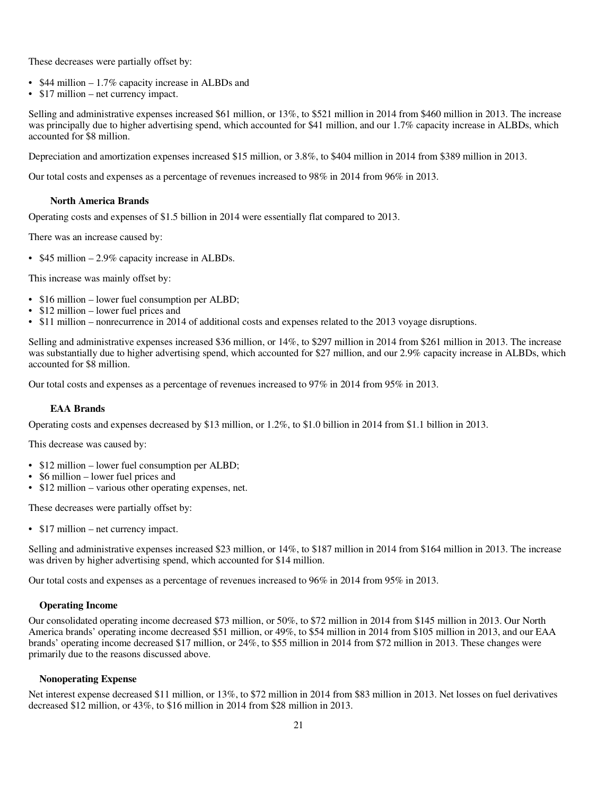These decreases were partially offset by:

- \$44 million 1.7% capacity increase in ALBDs and
- \$17 million net currency impact.

Selling and administrative expenses increased \$61 million, or 13%, to \$521 million in 2014 from \$460 million in 2013. The increase was principally due to higher advertising spend, which accounted for \$41 million, and our 1.7% capacity increase in ALBDs, which accounted for \$8 million.

Depreciation and amortization expenses increased \$15 million, or 3.8%, to \$404 million in 2014 from \$389 million in 2013.

Our total costs and expenses as a percentage of revenues increased to 98% in 2014 from 96% in 2013.

#### **North America Brands**

Operating costs and expenses of \$1.5 billion in 2014 were essentially flat compared to 2013.

There was an increase caused by:

• \$45 million – 2.9% capacity increase in ALBDs.

This increase was mainly offset by:

- \$16 million lower fuel consumption per ALBD;
- \$12 million lower fuel prices and
- \$11 million nonrecurrence in 2014 of additional costs and expenses related to the 2013 voyage disruptions.

Selling and administrative expenses increased \$36 million, or 14%, to \$297 million in 2014 from \$261 million in 2013. The increase was substantially due to higher advertising spend, which accounted for \$27 million, and our 2.9% capacity increase in ALBDs, which accounted for \$8 million.

Our total costs and expenses as a percentage of revenues increased to 97% in 2014 from 95% in 2013.

#### **EAA Brands**

Operating costs and expenses decreased by \$13 million, or 1.2%, to \$1.0 billion in 2014 from \$1.1 billion in 2013.

This decrease was caused by:

- \$12 million lower fuel consumption per ALBD;
- \$6 million lower fuel prices and
- \$12 million various other operating expenses, net.

These decreases were partially offset by:

• \$17 million – net currency impact.

Selling and administrative expenses increased \$23 million, or 14%, to \$187 million in 2014 from \$164 million in 2013. The increase was driven by higher advertising spend, which accounted for \$14 million.

Our total costs and expenses as a percentage of revenues increased to 96% in 2014 from 95% in 2013.

#### **Operating Income**

Our consolidated operating income decreased \$73 million, or 50%, to \$72 million in 2014 from \$145 million in 2013. Our North America brands' operating income decreased \$51 million, or 49%, to \$54 million in 2014 from \$105 million in 2013, and our EAA brands' operating income decreased \$17 million, or 24%, to \$55 million in 2014 from \$72 million in 2013. These changes were primarily due to the reasons discussed above.

#### **Nonoperating Expense**

Net interest expense decreased \$11 million, or 13%, to \$72 million in 2014 from \$83 million in 2013. Net losses on fuel derivatives decreased \$12 million, or 43%, to \$16 million in 2014 from \$28 million in 2013.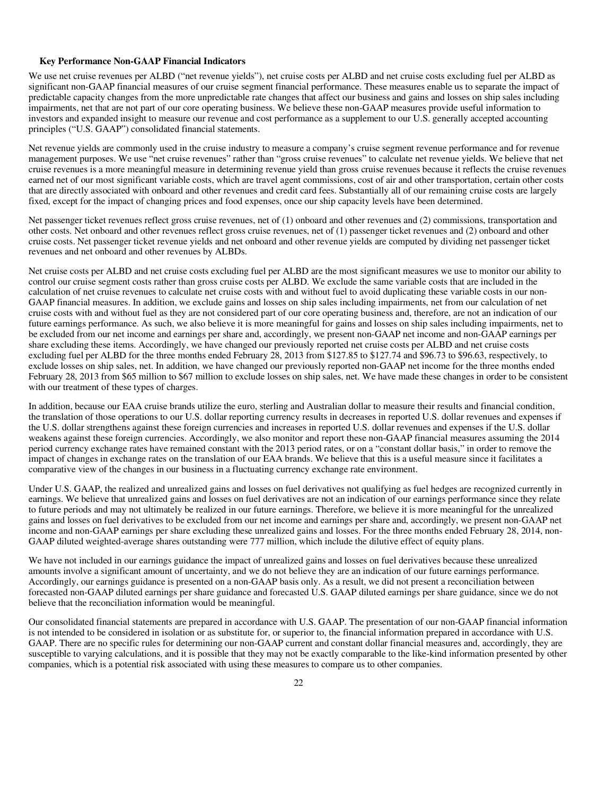#### **Key Performance Non-GAAP Financial Indicators**

We use net cruise revenues per ALBD ("net revenue yields"), net cruise costs per ALBD and net cruise costs excluding fuel per ALBD as significant non-GAAP financial measures of our cruise segment financial performance. These measures enable us to separate the impact of predictable capacity changes from the more unpredictable rate changes that affect our business and gains and losses on ship sales including impairments, net that are not part of our core operating business. We believe these non-GAAP measures provide useful information to investors and expanded insight to measure our revenue and cost performance as a supplement to our U.S. generally accepted accounting principles ("U.S. GAAP") consolidated financial statements.

Net revenue yields are commonly used in the cruise industry to measure a company's cruise segment revenue performance and for revenue management purposes. We use "net cruise revenues" rather than "gross cruise revenues" to calculate net revenue yields. We believe that net cruise revenues is a more meaningful measure in determining revenue yield than gross cruise revenues because it reflects the cruise revenues earned net of our most significant variable costs, which are travel agent commissions, cost of air and other transportation, certain other costs that are directly associated with onboard and other revenues and credit card fees. Substantially all of our remaining cruise costs are largely fixed, except for the impact of changing prices and food expenses, once our ship capacity levels have been determined.

Net passenger ticket revenues reflect gross cruise revenues, net of (1) onboard and other revenues and (2) commissions, transportation and other costs. Net onboard and other revenues reflect gross cruise revenues, net of (1) passenger ticket revenues and (2) onboard and other cruise costs. Net passenger ticket revenue yields and net onboard and other revenue yields are computed by dividing net passenger ticket revenues and net onboard and other revenues by ALBDs.

Net cruise costs per ALBD and net cruise costs excluding fuel per ALBD are the most significant measures we use to monitor our ability to control our cruise segment costs rather than gross cruise costs per ALBD. We exclude the same variable costs that are included in the calculation of net cruise revenues to calculate net cruise costs with and without fuel to avoid duplicating these variable costs in our non-GAAP financial measures. In addition, we exclude gains and losses on ship sales including impairments, net from our calculation of net cruise costs with and without fuel as they are not considered part of our core operating business and, therefore, are not an indication of our future earnings performance. As such, we also believe it is more meaningful for gains and losses on ship sales including impairments, net to be excluded from our net income and earnings per share and, accordingly, we present non-GAAP net income and non-GAAP earnings per share excluding these items. Accordingly, we have changed our previously reported net cruise costs per ALBD and net cruise costs excluding fuel per ALBD for the three months ended February 28, 2013 from \$127.85 to \$127.74 and \$96.73 to \$96.63, respectively, to exclude losses on ship sales, net. In addition, we have changed our previously reported non-GAAP net income for the three months ended February 28, 2013 from \$65 million to \$67 million to exclude losses on ship sales, net. We have made these changes in order to be consistent with our treatment of these types of charges.

In addition, because our EAA cruise brands utilize the euro, sterling and Australian dollar to measure their results and financial condition, the translation of those operations to our U.S. dollar reporting currency results in decreases in reported U.S. dollar revenues and expenses if the U.S. dollar strengthens against these foreign currencies and increases in reported U.S. dollar revenues and expenses if the U.S. dollar weakens against these foreign currencies. Accordingly, we also monitor and report these non-GAAP financial measures assuming the 2014 period currency exchange rates have remained constant with the 2013 period rates, or on a "constant dollar basis," in order to remove the impact of changes in exchange rates on the translation of our EAA brands. We believe that this is a useful measure since it facilitates a comparative view of the changes in our business in a fluctuating currency exchange rate environment.

Under U.S. GAAP, the realized and unrealized gains and losses on fuel derivatives not qualifying as fuel hedges are recognized currently in earnings. We believe that unrealized gains and losses on fuel derivatives are not an indication of our earnings performance since they relate to future periods and may not ultimately be realized in our future earnings. Therefore, we believe it is more meaningful for the unrealized gains and losses on fuel derivatives to be excluded from our net income and earnings per share and, accordingly, we present non-GAAP net income and non-GAAP earnings per share excluding these unrealized gains and losses. For the three months ended February 28, 2014, non-GAAP diluted weighted-average shares outstanding were 777 million, which include the dilutive effect of equity plans.

We have not included in our earnings guidance the impact of unrealized gains and losses on fuel derivatives because these unrealized amounts involve a significant amount of uncertainty, and we do not believe they are an indication of our future earnings performance. Accordingly, our earnings guidance is presented on a non-GAAP basis only. As a result, we did not present a reconciliation between forecasted non-GAAP diluted earnings per share guidance and forecasted U.S. GAAP diluted earnings per share guidance, since we do not believe that the reconciliation information would be meaningful.

Our consolidated financial statements are prepared in accordance with U.S. GAAP. The presentation of our non-GAAP financial information is not intended to be considered in isolation or as substitute for, or superior to, the financial information prepared in accordance with U.S. GAAP. There are no specific rules for determining our non-GAAP current and constant dollar financial measures and, accordingly, they are susceptible to varying calculations, and it is possible that they may not be exactly comparable to the like-kind information presented by other companies, which is a potential risk associated with using these measures to compare us to other companies.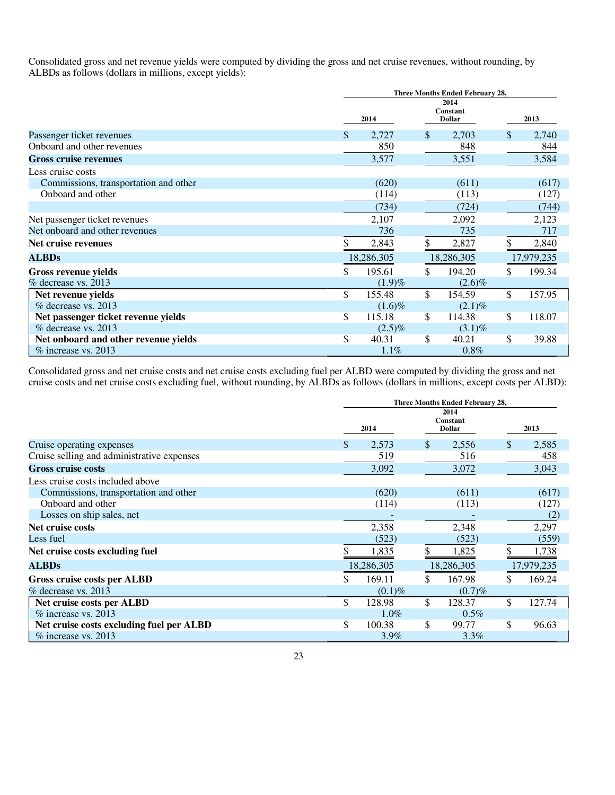Consolidated gross and net revenue yields were computed by dividing the gross and net cruise revenues, without rounding, by ALBDs as follows (dollars in millions, except yields):

|                                       | Three Months Ended February 28, |    |               |     |            |  |  |  |
|---------------------------------------|---------------------------------|----|---------------|-----|------------|--|--|--|
|                                       | 2014<br>Constant                |    |               |     |            |  |  |  |
|                                       | 2014                            |    | <b>Dollar</b> |     | 2013       |  |  |  |
| Passenger ticket revenues             | \$<br>2,727                     | \$ | 2,703         | \$. | 2,740      |  |  |  |
| Onboard and other revenues            | 850                             |    | 848           |     | 844        |  |  |  |
| <b>Gross cruise revenues</b>          | 3,577                           |    | 3,551         |     | 3,584      |  |  |  |
| Less cruise costs                     |                                 |    |               |     |            |  |  |  |
| Commissions, transportation and other | (620)                           |    | (611)         |     | (617)      |  |  |  |
| Onboard and other                     | (114)                           |    | (113)         |     | (127)      |  |  |  |
|                                       | (734)                           |    | (724)         |     | (744)      |  |  |  |
| Net passenger ticket revenues         | 2,107                           |    | 2,092         |     | 2,123      |  |  |  |
| Net onboard and other revenues        | 736                             |    | 735           |     | 717        |  |  |  |
| Net cruise revenues                   | 2,843                           | \$ | 2,827         |     | 2,840      |  |  |  |
| <b>ALBDs</b>                          | 18,286,305                      |    | 18,286,305    |     | 17,979,235 |  |  |  |
| Gross revenue yields                  | \$<br>195.61                    | \$ | 194.20        | \$  | 199.34     |  |  |  |
| $%$ decrease vs. 2013                 | $(1.9)\%$                       |    | $(2.6)\%$     |     |            |  |  |  |
| Net revenue yields                    | \$<br>155.48                    | \$ | 154.59        | \$  | 157.95     |  |  |  |
| $%$ decrease vs. 2013                 | $(1.6)\%$                       |    | $(2.1)\%$     |     |            |  |  |  |
| Net passenger ticket revenue yields   | \$<br>115.18                    | \$ | 114.38        | \$  | 118.07     |  |  |  |
| $%$ decrease vs. 2013                 | $(2.5)\%$                       |    | $(3.1)\%$     |     |            |  |  |  |
| Net onboard and other revenue yields  | \$<br>40.31                     | \$ | 40.21         | \$  | 39.88      |  |  |  |
| $\%$ increase vs. 2013                | 1.1%                            |    | $0.8\%$       |     |            |  |  |  |

Consolidated gross and net cruise costs and net cruise costs excluding fuel per ALBD were computed by dividing the gross and net cruise costs and net cruise costs excluding fuel, without rounding, by ALBDs as follows (dollars in millions, except costs per ALBD):

|                                            |              | Three Months Ended February 28, |    |                                   |    |            |  |  |
|--------------------------------------------|--------------|---------------------------------|----|-----------------------------------|----|------------|--|--|
|                                            |              | 2014                            |    | 2014<br>Constant<br><b>Dollar</b> |    | 2013       |  |  |
| Cruise operating expenses                  | $\mathbb{S}$ | 2,573                           | \$ | 2,556                             | \$ | 2,585      |  |  |
| Cruise selling and administrative expenses |              | 519                             |    | 516                               |    | 458        |  |  |
| <b>Gross cruise costs</b>                  |              | 3,092                           |    | 3,072                             |    | 3,043      |  |  |
| Less cruise costs included above           |              |                                 |    |                                   |    |            |  |  |
| Commissions, transportation and other      |              | (620)                           |    | (611)                             |    | (617)      |  |  |
| Onboard and other                          |              | (114)                           |    | (113)                             |    | (127)      |  |  |
| Losses on ship sales, net                  |              |                                 |    |                                   |    | (2)        |  |  |
| Net cruise costs                           |              | 2,358                           |    | 2,348                             |    | 2,297      |  |  |
| Less fuel                                  |              | (523)                           |    | (523)                             |    | (559)      |  |  |
| Net cruise costs excluding fuel            |              | 1,835                           |    | 1,825                             |    | 1,738      |  |  |
| <b>ALBDs</b>                               |              | 18,286,305                      |    | 18,286,305                        |    | 17,979,235 |  |  |
| Gross cruise costs per ALBD                | \$           | 169.11                          | \$ | 167.98                            | \$ | 169.24     |  |  |
| $%$ decrease vs. 2013                      |              | $(0.1)\%$                       |    | $(0.7)\%$                         |    |            |  |  |
| Net cruise costs per ALBD                  | \$           | 128.98                          | \$ | 128.37                            | \$ | 127.74     |  |  |
| $%$ increase vs. 2013                      |              | $1.0\%$                         |    | $0.5\%$                           |    |            |  |  |
| Net cruise costs excluding fuel per ALBD   | \$           | 100.38                          | \$ | 99.77                             | \$ | 96.63      |  |  |
| $\%$ increase vs. 2013                     |              | $3.9\%$                         |    | $3.3\%$                           |    |            |  |  |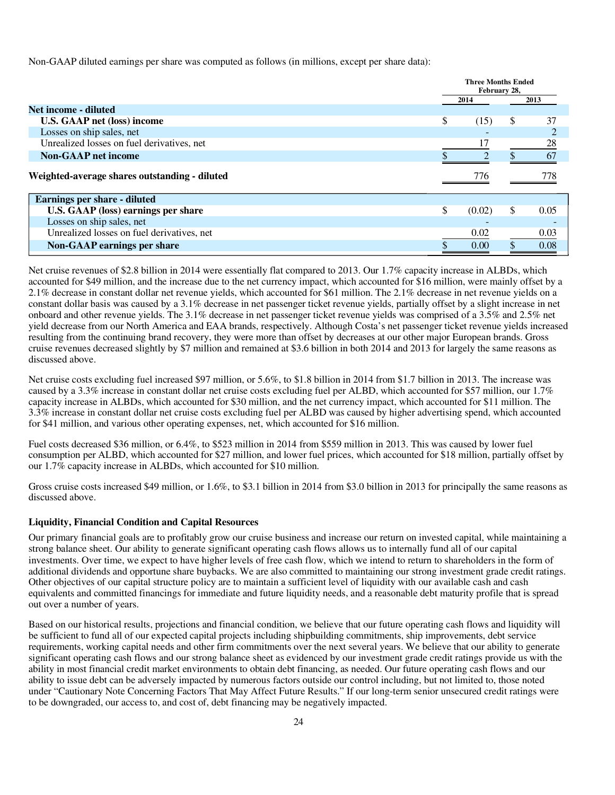Non-GAAP diluted earnings per share was computed as follows (in millions, except per share data):

|                                               | <b>Three Months Ended</b><br>February 28, |        |    |      |
|-----------------------------------------------|-------------------------------------------|--------|----|------|
|                                               |                                           | 2014   |    | 2013 |
| Net income - diluted                          |                                           |        |    |      |
| <b>U.S. GAAP net (loss) income</b>            | \$                                        | (15)   | S  | 37   |
| Losses on ship sales, net                     |                                           |        |    |      |
| Unrealized losses on fuel derivatives, net    |                                           |        |    | 28   |
| <b>Non-GAAP</b> net income                    |                                           |        |    | 67   |
| Weighted-average shares outstanding - diluted |                                           | 776    |    | 778  |
| Earnings per share - diluted                  |                                           |        |    |      |
| U.S. GAAP (loss) earnings per share           | \$                                        | (0.02) | S. | 0.05 |
| Losses on ship sales, net                     |                                           |        |    |      |
| Unrealized losses on fuel derivatives, net    |                                           | 0.02   |    | 0.03 |
| Non-GAAP earnings per share                   |                                           | 0.00   |    | 0.08 |

Net cruise revenues of \$2.8 billion in 2014 were essentially flat compared to 2013. Our 1.7% capacity increase in ALBDs, which accounted for \$49 million, and the increase due to the net currency impact, which accounted for \$16 million, were mainly offset by a 2.1% decrease in constant dollar net revenue yields, which accounted for \$61 million. The 2.1% decrease in net revenue yields on a constant dollar basis was caused by a 3.1% decrease in net passenger ticket revenue yields, partially offset by a slight increase in net onboard and other revenue yields. The 3.1% decrease in net passenger ticket revenue yields was comprised of a 3.5% and 2.5% net yield decrease from our North America and EAA brands, respectively. Although Costa's net passenger ticket revenue yields increased resulting from the continuing brand recovery, they were more than offset by decreases at our other major European brands. Gross cruise revenues decreased slightly by \$7 million and remained at \$3.6 billion in both 2014 and 2013 for largely the same reasons as discussed above.

Net cruise costs excluding fuel increased \$97 million, or 5.6%, to \$1.8 billion in 2014 from \$1.7 billion in 2013. The increase was caused by a 3.3% increase in constant dollar net cruise costs excluding fuel per ALBD, which accounted for \$57 million, our 1.7% capacity increase in ALBDs, which accounted for \$30 million, and the net currency impact, which accounted for \$11 million. The 3.3% increase in constant dollar net cruise costs excluding fuel per ALBD was caused by higher advertising spend, which accounted for \$41 million, and various other operating expenses, net, which accounted for \$16 million.

Fuel costs decreased \$36 million, or 6.4%, to \$523 million in 2014 from \$559 million in 2013. This was caused by lower fuel consumption per ALBD, which accounted for \$27 million, and lower fuel prices, which accounted for \$18 million, partially offset by our 1.7% capacity increase in ALBDs, which accounted for \$10 million.

Gross cruise costs increased \$49 million, or 1.6%, to \$3.1 billion in 2014 from \$3.0 billion in 2013 for principally the same reasons as discussed above.

#### **Liquidity, Financial Condition and Capital Resources**

Our primary financial goals are to profitably grow our cruise business and increase our return on invested capital, while maintaining a strong balance sheet. Our ability to generate significant operating cash flows allows us to internally fund all of our capital investments. Over time, we expect to have higher levels of free cash flow, which we intend to return to shareholders in the form of additional dividends and opportune share buybacks. We are also committed to maintaining our strong investment grade credit ratings. Other objectives of our capital structure policy are to maintain a sufficient level of liquidity with our available cash and cash equivalents and committed financings for immediate and future liquidity needs, and a reasonable debt maturity profile that is spread out over a number of years.

Based on our historical results, projections and financial condition, we believe that our future operating cash flows and liquidity will be sufficient to fund all of our expected capital projects including shipbuilding commitments, ship improvements, debt service requirements, working capital needs and other firm commitments over the next several years. We believe that our ability to generate significant operating cash flows and our strong balance sheet as evidenced by our investment grade credit ratings provide us with the ability in most financial credit market environments to obtain debt financing, as needed. Our future operating cash flows and our ability to issue debt can be adversely impacted by numerous factors outside our control including, but not limited to, those noted under "Cautionary Note Concerning Factors That May Affect Future Results." If our long-term senior unsecured credit ratings were to be downgraded, our access to, and cost of, debt financing may be negatively impacted.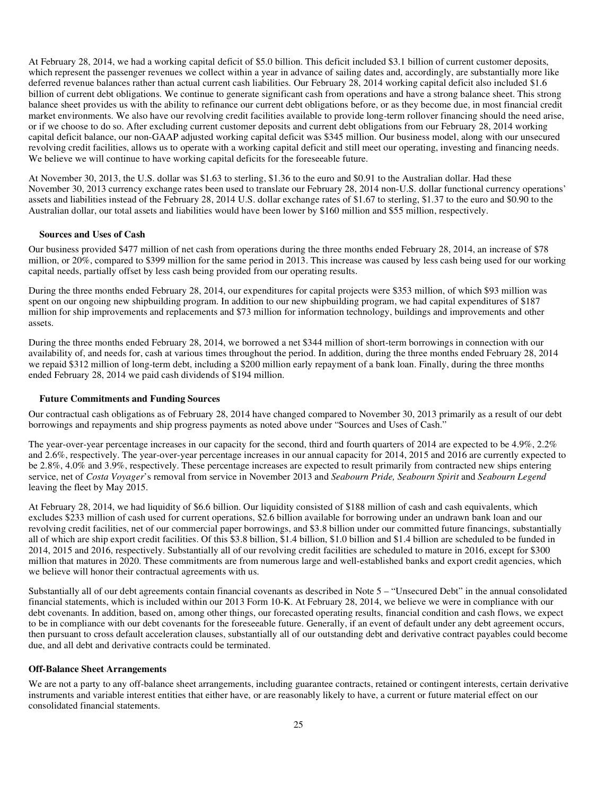At February 28, 2014, we had a working capital deficit of \$5.0 billion. This deficit included \$3.1 billion of current customer deposits, which represent the passenger revenues we collect within a year in advance of sailing dates and, accordingly, are substantially more like deferred revenue balances rather than actual current cash liabilities. Our February 28, 2014 working capital deficit also included \$1.6 billion of current debt obligations. We continue to generate significant cash from operations and have a strong balance sheet. This strong balance sheet provides us with the ability to refinance our current debt obligations before, or as they become due, in most financial credit market environments. We also have our revolving credit facilities available to provide long-term rollover financing should the need arise, or if we choose to do so. After excluding current customer deposits and current debt obligations from our February 28, 2014 working capital deficit balance, our non-GAAP adjusted working capital deficit was \$345 million. Our business model, along with our unsecured revolving credit facilities, allows us to operate with a working capital deficit and still meet our operating, investing and financing needs. We believe we will continue to have working capital deficits for the foreseeable future.

At November 30, 2013, the U.S. dollar was \$1.63 to sterling, \$1.36 to the euro and \$0.91 to the Australian dollar. Had these November 30, 2013 currency exchange rates been used to translate our February 28, 2014 non-U.S. dollar functional currency operations' assets and liabilities instead of the February 28, 2014 U.S. dollar exchange rates of \$1.67 to sterling, \$1.37 to the euro and \$0.90 to the Australian dollar, our total assets and liabilities would have been lower by \$160 million and \$55 million, respectively.

#### **Sources and Uses of Cash**

Our business provided \$477 million of net cash from operations during the three months ended February 28, 2014, an increase of \$78 million, or 20%, compared to \$399 million for the same period in 2013. This increase was caused by less cash being used for our working capital needs, partially offset by less cash being provided from our operating results.

During the three months ended February 28, 2014, our expenditures for capital projects were \$353 million, of which \$93 million was spent on our ongoing new shipbuilding program. In addition to our new shipbuilding program, we had capital expenditures of \$187 million for ship improvements and replacements and \$73 million for information technology, buildings and improvements and other assets.

During the three months ended February 28, 2014, we borrowed a net \$344 million of short-term borrowings in connection with our availability of, and needs for, cash at various times throughout the period. In addition, during the three months ended February 28, 2014 we repaid \$312 million of long-term debt, including a \$200 million early repayment of a bank loan. Finally, during the three months ended February 28, 2014 we paid cash dividends of \$194 million.

#### **Future Commitments and Funding Sources**

Our contractual cash obligations as of February 28, 2014 have changed compared to November 30, 2013 primarily as a result of our debt borrowings and repayments and ship progress payments as noted above under "Sources and Uses of Cash."

The year-over-year percentage increases in our capacity for the second, third and fourth quarters of 2014 are expected to be 4.9%, 2.2% and 2.6%, respectively. The year-over-year percentage increases in our annual capacity for 2014, 2015 and 2016 are currently expected to be 2.8%, 4.0% and 3.9%, respectively. These percentage increases are expected to result primarily from contracted new ships entering service, net of *Costa Voyager*'s removal from service in November 2013 and *Seabourn Pride, Seabourn Spirit* and *Seabourn Legend* leaving the fleet by May 2015.

At February 28, 2014, we had liquidity of \$6.6 billion. Our liquidity consisted of \$188 million of cash and cash equivalents, which excludes \$233 million of cash used for current operations, \$2.6 billion available for borrowing under an undrawn bank loan and our revolving credit facilities, net of our commercial paper borrowings, and \$3.8 billion under our committed future financings, substantially all of which are ship export credit facilities. Of this \$3.8 billion, \$1.4 billion, \$1.0 billion and \$1.4 billion are scheduled to be funded in 2014, 2015 and 2016, respectively. Substantially all of our revolving credit facilities are scheduled to mature in 2016, except for \$300 million that matures in 2020. These commitments are from numerous large and well-established banks and export credit agencies, which we believe will honor their contractual agreements with us.

Substantially all of our debt agreements contain financial covenants as described in Note 5 – "Unsecured Debt" in the annual consolidated financial statements, which is included within our 2013 Form 10-K. At February 28, 2014, we believe we were in compliance with our debt covenants. In addition, based on, among other things, our forecasted operating results, financial condition and cash flows, we expect to be in compliance with our debt covenants for the foreseeable future. Generally, if an event of default under any debt agreement occurs, then pursuant to cross default acceleration clauses, substantially all of our outstanding debt and derivative contract payables could become due, and all debt and derivative contracts could be terminated.

#### **Off-Balance Sheet Arrangements**

We are not a party to any off-balance sheet arrangements, including guarantee contracts, retained or contingent interests, certain derivative instruments and variable interest entities that either have, or are reasonably likely to have, a current or future material effect on our consolidated financial statements.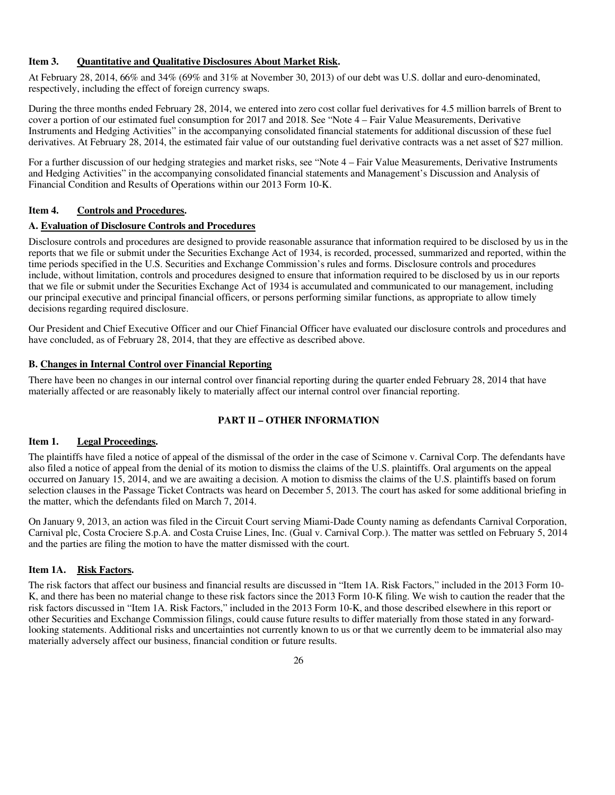#### **Item 3. Quantitative and Qualitative Disclosures About Market Risk.**

At February 28, 2014, 66% and 34% (69% and 31% at November 30, 2013) of our debt was U.S. dollar and euro-denominated, respectively, including the effect of foreign currency swaps.

During the three months ended February 28, 2014, we entered into zero cost collar fuel derivatives for 4.5 million barrels of Brent to cover a portion of our estimated fuel consumption for 2017 and 2018. See "Note 4 – Fair Value Measurements, Derivative Instruments and Hedging Activities" in the accompanying consolidated financial statements for additional discussion of these fuel derivatives. At February 28, 2014, the estimated fair value of our outstanding fuel derivative contracts was a net asset of \$27 million.

For a further discussion of our hedging strategies and market risks, see "Note 4 – Fair Value Measurements, Derivative Instruments and Hedging Activities" in the accompanying consolidated financial statements and Management's Discussion and Analysis of Financial Condition and Results of Operations within our 2013 Form 10-K.

#### **Item 4. Controls and Procedures.**

#### **A. Evaluation of Disclosure Controls and Procedures**

Disclosure controls and procedures are designed to provide reasonable assurance that information required to be disclosed by us in the reports that we file or submit under the Securities Exchange Act of 1934, is recorded, processed, summarized and reported, within the time periods specified in the U.S. Securities and Exchange Commission's rules and forms. Disclosure controls and procedures include, without limitation, controls and procedures designed to ensure that information required to be disclosed by us in our reports that we file or submit under the Securities Exchange Act of 1934 is accumulated and communicated to our management, including our principal executive and principal financial officers, or persons performing similar functions, as appropriate to allow timely decisions regarding required disclosure.

Our President and Chief Executive Officer and our Chief Financial Officer have evaluated our disclosure controls and procedures and have concluded, as of February 28, 2014, that they are effective as described above.

#### **B. Changes in Internal Control over Financial Reporting**

There have been no changes in our internal control over financial reporting during the quarter ended February 28, 2014 that have materially affected or are reasonably likely to materially affect our internal control over financial reporting.

### **PART II – OTHER INFORMATION**

#### **Item 1. Legal Proceedings.**

The plaintiffs have filed a notice of appeal of the dismissal of the order in the case of Scimone v. Carnival Corp. The defendants have also filed a notice of appeal from the denial of its motion to dismiss the claims of the U.S. plaintiffs. Oral arguments on the appeal occurred on January 15, 2014, and we are awaiting a decision. A motion to dismiss the claims of the U.S. plaintiffs based on forum selection clauses in the Passage Ticket Contracts was heard on December 5, 2013. The court has asked for some additional briefing in the matter, which the defendants filed on March 7, 2014.

On January 9, 2013, an action was filed in the Circuit Court serving Miami-Dade County naming as defendants Carnival Corporation, Carnival plc, Costa Crociere S.p.A. and Costa Cruise Lines, Inc. (Gual v. Carnival Corp.). The matter was settled on February 5, 2014 and the parties are filing the motion to have the matter dismissed with the court.

#### **Item 1A. Risk Factors.**

The risk factors that affect our business and financial results are discussed in "Item 1A. Risk Factors," included in the 2013 Form 10- K, and there has been no material change to these risk factors since the 2013 Form 10-K filing. We wish to caution the reader that the risk factors discussed in "Item 1A. Risk Factors," included in the 2013 Form 10-K, and those described elsewhere in this report or other Securities and Exchange Commission filings, could cause future results to differ materially from those stated in any forwardlooking statements. Additional risks and uncertainties not currently known to us or that we currently deem to be immaterial also may materially adversely affect our business, financial condition or future results.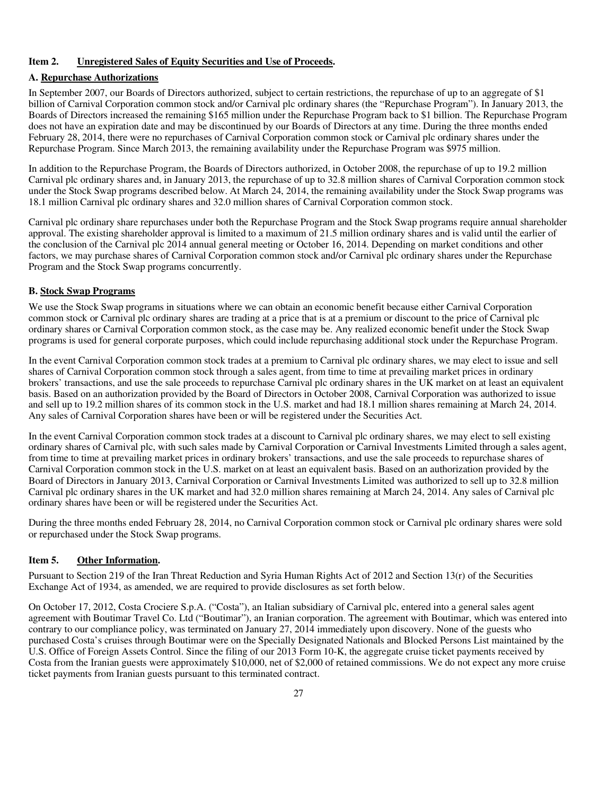#### **Item 2. Unregistered Sales of Equity Securities and Use of Proceeds.**

#### **A. Repurchase Authorizations**

In September 2007, our Boards of Directors authorized, subject to certain restrictions, the repurchase of up to an aggregate of \$1 billion of Carnival Corporation common stock and/or Carnival plc ordinary shares (the "Repurchase Program"). In January 2013, the Boards of Directors increased the remaining \$165 million under the Repurchase Program back to \$1 billion. The Repurchase Program does not have an expiration date and may be discontinued by our Boards of Directors at any time. During the three months ended February 28, 2014, there were no repurchases of Carnival Corporation common stock or Carnival plc ordinary shares under the Repurchase Program. Since March 2013, the remaining availability under the Repurchase Program was \$975 million.

In addition to the Repurchase Program, the Boards of Directors authorized, in October 2008, the repurchase of up to 19.2 million Carnival plc ordinary shares and, in January 2013, the repurchase of up to 32.8 million shares of Carnival Corporation common stock under the Stock Swap programs described below. At March 24, 2014, the remaining availability under the Stock Swap programs was 18.1 million Carnival plc ordinary shares and 32.0 million shares of Carnival Corporation common stock.

Carnival plc ordinary share repurchases under both the Repurchase Program and the Stock Swap programs require annual shareholder approval. The existing shareholder approval is limited to a maximum of 21.5 million ordinary shares and is valid until the earlier of the conclusion of the Carnival plc 2014 annual general meeting or October 16, 2014. Depending on market conditions and other factors, we may purchase shares of Carnival Corporation common stock and/or Carnival plc ordinary shares under the Repurchase Program and the Stock Swap programs concurrently.

#### **B. Stock Swap Programs**

We use the Stock Swap programs in situations where we can obtain an economic benefit because either Carnival Corporation common stock or Carnival plc ordinary shares are trading at a price that is at a premium or discount to the price of Carnival plc ordinary shares or Carnival Corporation common stock, as the case may be. Any realized economic benefit under the Stock Swap programs is used for general corporate purposes, which could include repurchasing additional stock under the Repurchase Program.

In the event Carnival Corporation common stock trades at a premium to Carnival plc ordinary shares, we may elect to issue and sell shares of Carnival Corporation common stock through a sales agent, from time to time at prevailing market prices in ordinary brokers' transactions, and use the sale proceeds to repurchase Carnival plc ordinary shares in the UK market on at least an equivalent basis. Based on an authorization provided by the Board of Directors in October 2008, Carnival Corporation was authorized to issue and sell up to 19.2 million shares of its common stock in the U.S. market and had 18.1 million shares remaining at March 24, 2014. Any sales of Carnival Corporation shares have been or will be registered under the Securities Act.

In the event Carnival Corporation common stock trades at a discount to Carnival plc ordinary shares, we may elect to sell existing ordinary shares of Carnival plc, with such sales made by Carnival Corporation or Carnival Investments Limited through a sales agent, from time to time at prevailing market prices in ordinary brokers' transactions, and use the sale proceeds to repurchase shares of Carnival Corporation common stock in the U.S. market on at least an equivalent basis. Based on an authorization provided by the Board of Directors in January 2013, Carnival Corporation or Carnival Investments Limited was authorized to sell up to 32.8 million Carnival plc ordinary shares in the UK market and had 32.0 million shares remaining at March 24, 2014. Any sales of Carnival plc ordinary shares have been or will be registered under the Securities Act.

During the three months ended February 28, 2014, no Carnival Corporation common stock or Carnival plc ordinary shares were sold or repurchased under the Stock Swap programs.

#### **Item 5. Other Information.**

Pursuant to Section 219 of the Iran Threat Reduction and Syria Human Rights Act of 2012 and Section 13(r) of the Securities Exchange Act of 1934, as amended, we are required to provide disclosures as set forth below.

On October 17, 2012, Costa Crociere S.p.A. ("Costa"), an Italian subsidiary of Carnival plc, entered into a general sales agent agreement with Boutimar Travel Co. Ltd ("Boutimar"), an Iranian corporation. The agreement with Boutimar, which was entered into contrary to our compliance policy, was terminated on January 27, 2014 immediately upon discovery. None of the guests who purchased Costa's cruises through Boutimar were on the Specially Designated Nationals and Blocked Persons List maintained by the U.S. Office of Foreign Assets Control. Since the filing of our 2013 Form 10-K, the aggregate cruise ticket payments received by Costa from the Iranian guests were approximately \$10,000, net of \$2,000 of retained commissions. We do not expect any more cruise ticket payments from Iranian guests pursuant to this terminated contract.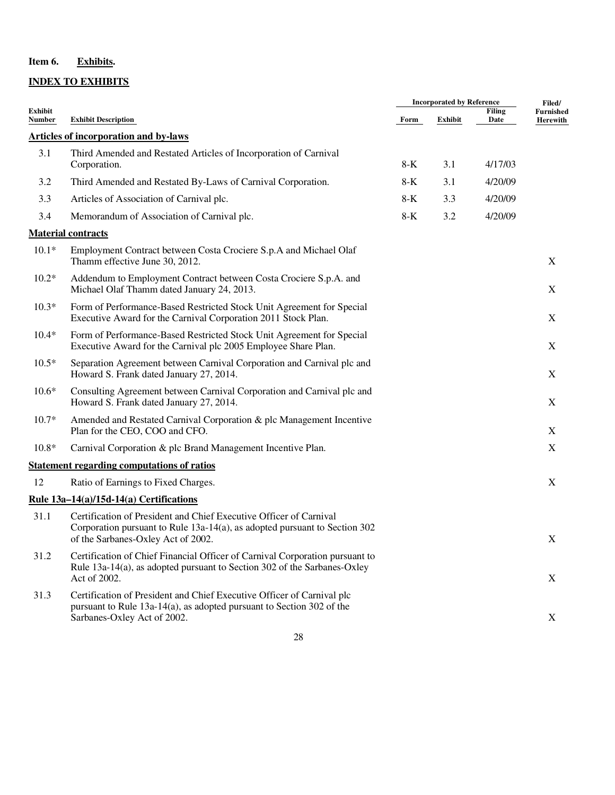### **Item 6. Exhibits.**

### **INDEX TO EXHIBITS**

|                   |                                                                                                                                                                                        |       | <b>Incorporated by Reference</b> |                       |                              |  |
|-------------------|----------------------------------------------------------------------------------------------------------------------------------------------------------------------------------------|-------|----------------------------------|-----------------------|------------------------------|--|
| Exhibit<br>Number | <b>Exhibit Description</b>                                                                                                                                                             | Form  | Exhibit                          | <b>Filing</b><br>Date | <b>Furnished</b><br>Herewith |  |
|                   | Articles of incorporation and by-laws                                                                                                                                                  |       |                                  |                       |                              |  |
| 3.1               | Third Amended and Restated Articles of Incorporation of Carnival<br>Corporation.                                                                                                       | $8-K$ | 3.1                              | 4/17/03               |                              |  |
| 3.2               | Third Amended and Restated By-Laws of Carnival Corporation.                                                                                                                            | $8-K$ | 3.1                              | 4/20/09               |                              |  |
| 3.3               | Articles of Association of Carnival plc.                                                                                                                                               | $8-K$ | 3.3                              | 4/20/09               |                              |  |
| 3.4               | Memorandum of Association of Carnival plc.                                                                                                                                             | $8-K$ | 3.2                              | 4/20/09               |                              |  |
|                   | <b>Material contracts</b>                                                                                                                                                              |       |                                  |                       |                              |  |
| $10.1*$           | Employment Contract between Costa Crociere S.p.A and Michael Olaf<br>Thamm effective June 30, 2012.                                                                                    |       |                                  |                       | $\boldsymbol{X}$             |  |
| $10.2*$           | Addendum to Employment Contract between Costa Crociere S.p.A. and<br>Michael Olaf Thamm dated January 24, 2013.                                                                        |       |                                  |                       | X                            |  |
| $10.3*$           | Form of Performance-Based Restricted Stock Unit Agreement for Special<br>Executive Award for the Carnival Corporation 2011 Stock Plan.                                                 |       |                                  |                       | X                            |  |
| $10.4*$           | Form of Performance-Based Restricted Stock Unit Agreement for Special<br>Executive Award for the Carnival plc 2005 Employee Share Plan.                                                |       |                                  |                       | X                            |  |
| $10.5*$           | Separation Agreement between Carnival Corporation and Carnival plc and<br>Howard S. Frank dated January 27, 2014.                                                                      |       |                                  |                       | X                            |  |
| $10.6*$           | Consulting Agreement between Carnival Corporation and Carnival plc and<br>Howard S. Frank dated January 27, 2014.                                                                      |       |                                  |                       | X                            |  |
| $10.7*$           | Amended and Restated Carnival Corporation & plc Management Incentive<br>Plan for the CEO, COO and CFO.                                                                                 |       |                                  |                       | X                            |  |
| $10.8*$           | Carnival Corporation & plc Brand Management Incentive Plan.                                                                                                                            |       |                                  |                       | X                            |  |
|                   | <b>Statement regarding computations of ratios</b>                                                                                                                                      |       |                                  |                       |                              |  |
| 12                | Ratio of Earnings to Fixed Charges.                                                                                                                                                    |       |                                  |                       | X                            |  |
|                   | Rule 13a-14(a)/15d-14(a) Certifications                                                                                                                                                |       |                                  |                       |                              |  |
| 31.1              | Certification of President and Chief Executive Officer of Carnival<br>Corporation pursuant to Rule 13a-14(a), as adopted pursuant to Section 302<br>of the Sarbanes-Oxley Act of 2002. |       |                                  |                       | X                            |  |
| 31.2              | Certification of Chief Financial Officer of Carnival Corporation pursuant to<br>Rule 13a-14(a), as adopted pursuant to Section 302 of the Sarbanes-Oxley<br>Act of 2002.               |       |                                  |                       | X                            |  |
| 31.3              | Certification of President and Chief Executive Officer of Carnival plc<br>pursuant to Rule 13a-14(a), as adopted pursuant to Section 302 of the<br>Sarbanes-Oxley Act of 2002.         |       |                                  |                       | X                            |  |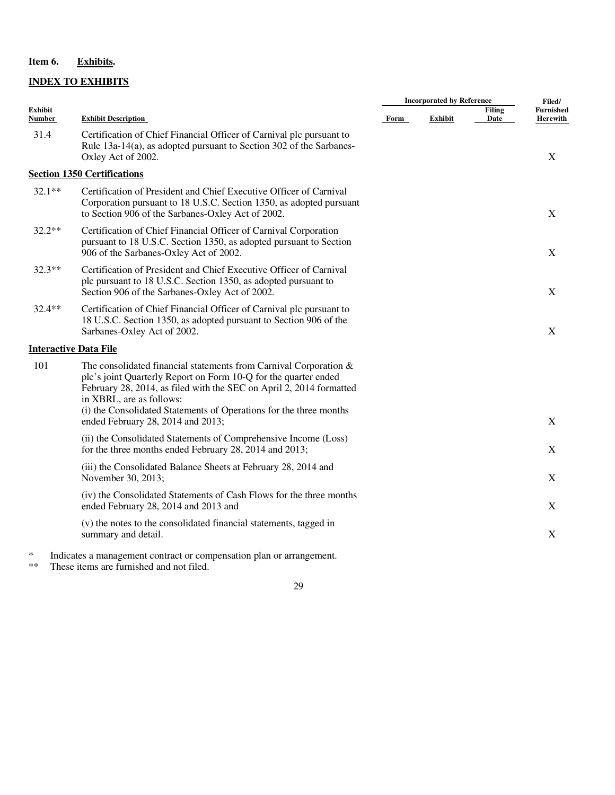### **Item 6. Exhibits.**

### **INDEX TO EXHIBITS**

|                   |                                                                                                                                                                                                                                                                                                                  |      | <b>Incorporated by Reference</b> |                       |                              |  |
|-------------------|------------------------------------------------------------------------------------------------------------------------------------------------------------------------------------------------------------------------------------------------------------------------------------------------------------------|------|----------------------------------|-----------------------|------------------------------|--|
| Exhibit<br>Number | <b>Exhibit Description</b>                                                                                                                                                                                                                                                                                       | Form | <b>Exhibit</b>                   | <b>Filing</b><br>Date | <b>Furnished</b><br>Herewith |  |
| 31.4              | Certification of Chief Financial Officer of Carnival plc pursuant to<br>Rule 13a-14(a), as adopted pursuant to Section 302 of the Sarbanes-<br>Oxley Act of 2002.                                                                                                                                                |      |                                  |                       | X                            |  |
|                   | <b>Section 1350 Certifications</b>                                                                                                                                                                                                                                                                               |      |                                  |                       |                              |  |
| $32.1**$          | Certification of President and Chief Executive Officer of Carnival<br>Corporation pursuant to 18 U.S.C. Section 1350, as adopted pursuant<br>to Section 906 of the Sarbanes-Oxley Act of 2002.                                                                                                                   |      |                                  |                       | $\mathbf X$                  |  |
| $32.2**$          | Certification of Chief Financial Officer of Carnival Corporation<br>pursuant to 18 U.S.C. Section 1350, as adopted pursuant to Section<br>906 of the Sarbanes-Oxley Act of 2002.                                                                                                                                 |      |                                  |                       | $\mathbf X$                  |  |
| 32.3**            | Certification of President and Chief Executive Officer of Carnival<br>plc pursuant to 18 U.S.C. Section 1350, as adopted pursuant to<br>Section 906 of the Sarbanes-Oxley Act of 2002.                                                                                                                           |      |                                  |                       | X                            |  |
| 32.4**            | Certification of Chief Financial Officer of Carnival plc pursuant to<br>18 U.S.C. Section 1350, as adopted pursuant to Section 906 of the<br>Sarbanes-Oxley Act of 2002.                                                                                                                                         |      |                                  |                       | X                            |  |
|                   | <b>Interactive Data File</b>                                                                                                                                                                                                                                                                                     |      |                                  |                       |                              |  |
| 101               | The consolidated financial statements from Carnival Corporation $\&$<br>plc's joint Quarterly Report on Form 10-Q for the quarter ended<br>February 28, 2014, as filed with the SEC on April 2, 2014 formatted<br>in XBRL, are as follows:<br>(i) the Consolidated Statements of Operations for the three months |      |                                  |                       |                              |  |
|                   | ended February 28, 2014 and 2013;                                                                                                                                                                                                                                                                                |      |                                  |                       | $\mathbf X$                  |  |
|                   | (ii) the Consolidated Statements of Comprehensive Income (Loss)<br>for the three months ended February 28, 2014 and 2013;                                                                                                                                                                                        |      |                                  |                       | $\mathbf X$                  |  |
|                   | (iii) the Consolidated Balance Sheets at February 28, 2014 and<br>November 30, 2013;                                                                                                                                                                                                                             |      |                                  |                       | X                            |  |
|                   | (iv) the Consolidated Statements of Cash Flows for the three months<br>ended February 28, 2014 and 2013 and                                                                                                                                                                                                      |      |                                  |                       | $\mathbf X$                  |  |
|                   | (v) the notes to the consolidated financial statements, tagged in<br>summary and detail.                                                                                                                                                                                                                         |      |                                  |                       | X                            |  |
| $\ast$            | Indicates a management contract or compensation plan or arrangement.                                                                                                                                                                                                                                             |      |                                  |                       |                              |  |

\*\* These items are furnished and not filed.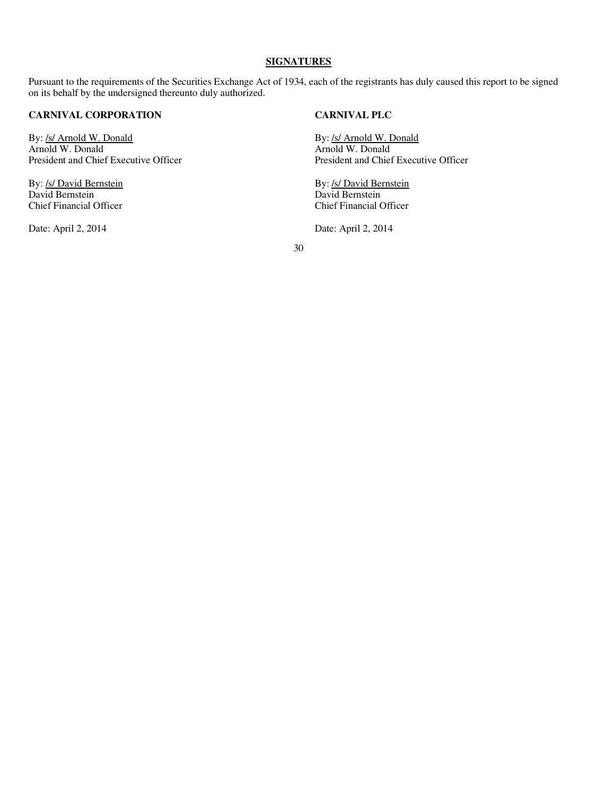#### **SIGNATURES**

Pursuant to the requirements of the Securities Exchange Act of 1934, each of the registrants has duly caused this report to be signed on its behalf by the undersigned thereunto duly authorized.

#### **CARNIVAL CORPORATION CARNIVAL PLC**

By: <u>/s/ Arnold W. Donald</u> By: <u>/s/ Arnold W. Donald</u> Arnold W. Donald Arnold W. Donald Arnold W. Donald<br>
President and Chief Executive Officer<br>
President and Chief Executive Officer<br>
President and Chief Executive Officer President and Chief Executive Officer

David Bernstein<br>Chief Financial Officer

By: <u>/s/ David Bernstein</u><br>
David Bernstein By: <u>/s/ David Bernstein</u><br>
David Bernstein Chief Financial Officer

Date: April 2, 2014 Date: April 2, 2014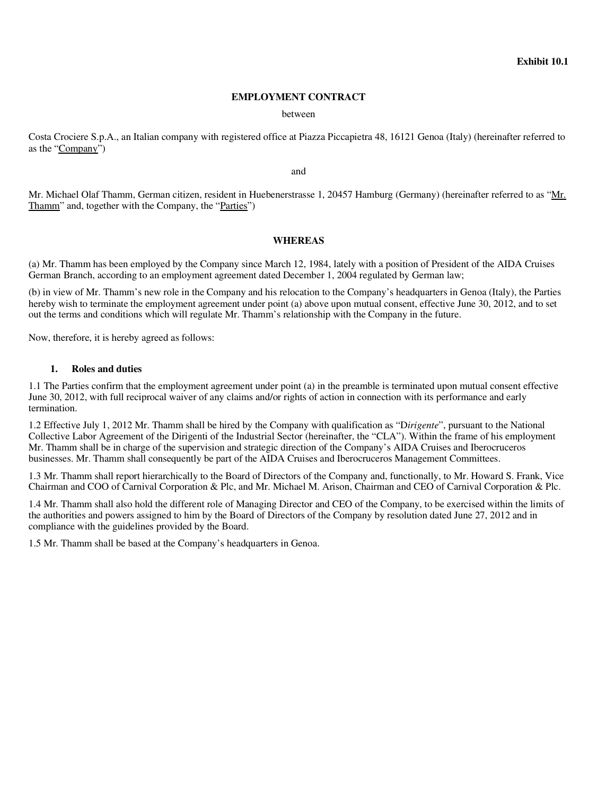#### **EMPLOYMENT CONTRACT**

between

Costa Crociere S.p.A., an Italian company with registered office at Piazza Piccapietra 48, 16121 Genoa (Italy) (hereinafter referred to as the "Company")

and

Mr. Michael Olaf Thamm, German citizen, resident in Huebenerstrasse 1, 20457 Hamburg (Germany) (hereinafter referred to as "Mr. Thamm" and, together with the Company, the "Parties")

#### **WHEREAS**

(a) Mr. Thamm has been employed by the Company since March 12, 1984, lately with a position of President of the AIDA Cruises German Branch, according to an employment agreement dated December 1, 2004 regulated by German law;

(b) in view of Mr. Thamm's new role in the Company and his relocation to the Company's headquarters in Genoa (Italy), the Parties hereby wish to terminate the employment agreement under point (a) above upon mutual consent, effective June 30, 2012, and to set out the terms and conditions which will regulate Mr. Thamm's relationship with the Company in the future.

Now, therefore, it is hereby agreed as follows:

#### **1. Roles and duties**

1.1 The Parties confirm that the employment agreement under point (a) in the preamble is terminated upon mutual consent effective June 30, 2012, with full reciprocal waiver of any claims and/or rights of action in connection with its performance and early termination.

1.2 Effective July 1, 2012 Mr. Thamm shall be hired by the Company with qualification as "D*irigente*", pursuant to the National Collective Labor Agreement of the Dirigenti of the Industrial Sector (hereinafter, the "CLA"). Within the frame of his employment Mr. Thamm shall be in charge of the supervision and strategic direction of the Company's AIDA Cruises and Iberocruceros businesses. Mr. Thamm shall consequently be part of the AIDA Cruises and Iberocruceros Management Committees.

1.3 Mr. Thamm shall report hierarchically to the Board of Directors of the Company and, functionally, to Mr. Howard S. Frank, Vice Chairman and COO of Carnival Corporation & Plc, and Mr. Michael M. Arison, Chairman and CEO of Carnival Corporation & Plc.

1.4 Mr. Thamm shall also hold the different role of Managing Director and CEO of the Company, to be exercised within the limits of the authorities and powers assigned to him by the Board of Directors of the Company by resolution dated June 27, 2012 and in compliance with the guidelines provided by the Board.

1.5 Mr. Thamm shall be based at the Company's headquarters in Genoa.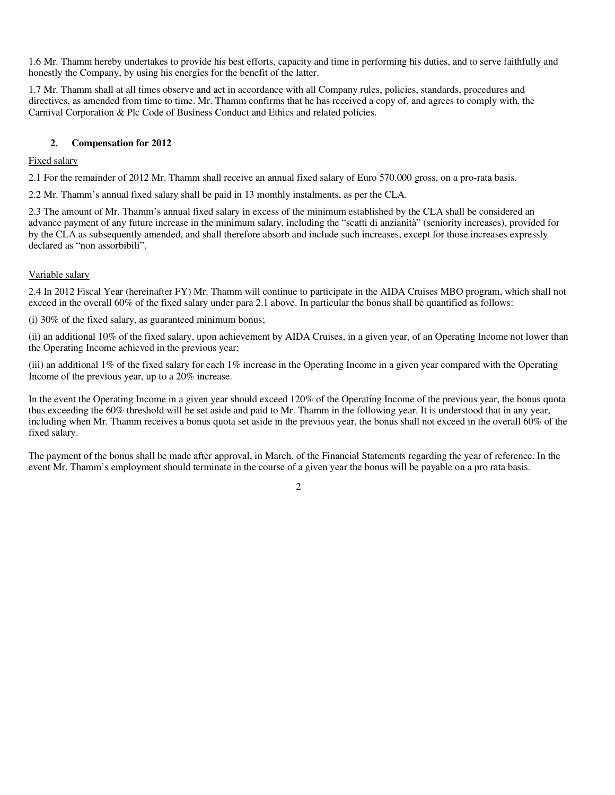1.6 Mr. Thamm hereby undertakes to provide his best efforts, capacity and time in performing his duties, and to serve faithfully and honestly the Company, by using his energies for the benefit of the latter.

1.7 Mr. Thamm shall at all times observe and act in accordance with all Company rules, policies, standards, procedures and directives, as amended from time to time. Mr. Thamm confirms that he has received a copy of, and agrees to comply with, the Carnival Corporation & Plc Code of Business Conduct and Ethics and related policies.

#### **2. Compensation for 2012**

#### Fixed salary

2.1 For the remainder of 2012 Mr. Thamm shall receive an annual fixed salary of Euro 570.000 gross, on a pro-rata basis.

2.2 Mr. Thamm's annual fixed salary shall be paid in 13 monthly instalments, as per the CLA.

2.3 The amount of Mr. Thamm's annual fixed salary in excess of the minimum established by the CLA shall be considered an advance payment of any future increase in the minimum salary, including the "scatti di anzianità" (seniority increases), provided for by the CLA as subsequently amended, and shall therefore absorb and include such increases, except for those increases expressly declared as "non assorbibili".

#### Variable salary

2.4 In 2012 Fiscal Year (hereinafter FY) Mr. Thamm will continue to participate in the AIDA Cruises MBO program, which shall not exceed in the overall 60% of the fixed salary under para 2.1 above. In particular the bonus shall be quantified as follows:

(i) 30% of the fixed salary, as guaranteed minimum bonus;

(ii) an additional 10% of the fixed salary, upon achievement by AIDA Cruises, in a given year, of an Operating Income not lower than the Operating Income achieved in the previous year;

(iii) an additional  $1\%$  of the fixed salary for each  $1\%$  increase in the Operating Income in a given year compared with the Operating Income of the previous year, up to a 20% increase.

In the event the Operating Income in a given year should exceed 120% of the Operating Income of the previous year, the bonus quota thus exceeding the 60% threshold will be set aside and paid to Mr. Thamm in the following year. It is understood that in any year, including when Mr. Thamm receives a bonus quota set aside in the previous year, the bonus shall not exceed in the overall 60% of the fixed salary.

The payment of the bonus shall be made after approval, in March, of the Financial Statements regarding the year of reference. In the event Mr. Thamm's employment should terminate in the course of a given year the bonus will be payable on a pro rata basis.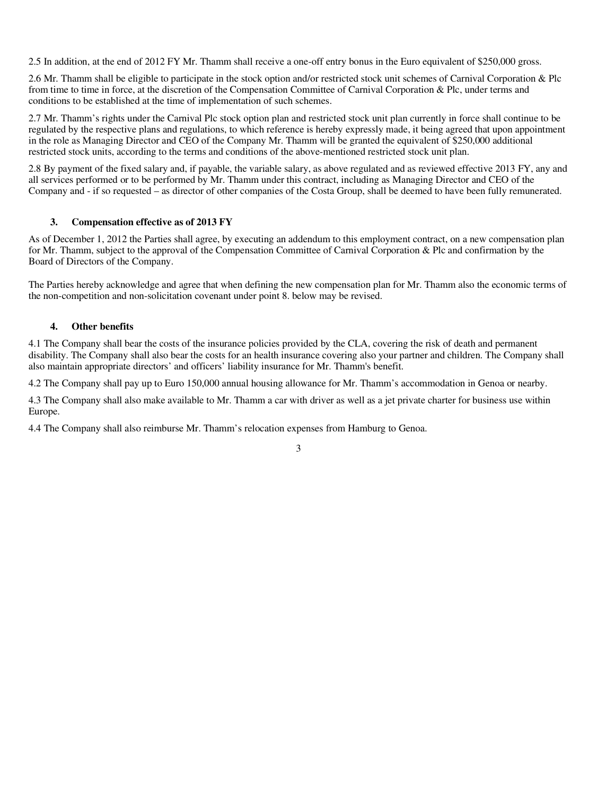2.5 In addition, at the end of 2012 FY Mr. Thamm shall receive a one-off entry bonus in the Euro equivalent of \$250,000 gross.

2.6 Mr. Thamm shall be eligible to participate in the stock option and/or restricted stock unit schemes of Carnival Corporation & Plc from time to time in force, at the discretion of the Compensation Committee of Carnival Corporation & Plc, under terms and conditions to be established at the time of implementation of such schemes.

2.7 Mr. Thamm's rights under the Carnival Plc stock option plan and restricted stock unit plan currently in force shall continue to be regulated by the respective plans and regulations, to which reference is hereby expressly made, it being agreed that upon appointment in the role as Managing Director and CEO of the Company Mr. Thamm will be granted the equivalent of \$250,000 additional restricted stock units, according to the terms and conditions of the above-mentioned restricted stock unit plan.

2.8 By payment of the fixed salary and, if payable, the variable salary, as above regulated and as reviewed effective 2013 FY, any and all services performed or to be performed by Mr. Thamm under this contract, including as Managing Director and CEO of the Company and - if so requested – as director of other companies of the Costa Group, shall be deemed to have been fully remunerated.

#### **3. Compensation effective as of 2013 FY**

As of December 1, 2012 the Parties shall agree, by executing an addendum to this employment contract, on a new compensation plan for Mr. Thamm, subject to the approval of the Compensation Committee of Carnival Corporation & Plc and confirmation by the Board of Directors of the Company.

The Parties hereby acknowledge and agree that when defining the new compensation plan for Mr. Thamm also the economic terms of the non-competition and non-solicitation covenant under point 8. below may be revised.

#### **4. Other benefits**

4.1 The Company shall bear the costs of the insurance policies provided by the CLA, covering the risk of death and permanent disability. The Company shall also bear the costs for an health insurance covering also your partner and children. The Company shall also maintain appropriate directors' and officers' liability insurance for Mr. Thamm's benefit.

4.2 The Company shall pay up to Euro 150,000 annual housing allowance for Mr. Thamm's accommodation in Genoa or nearby.

4.3 The Company shall also make available to Mr. Thamm a car with driver as well as a jet private charter for business use within Europe.

4.4 The Company shall also reimburse Mr. Thamm's relocation expenses from Hamburg to Genoa.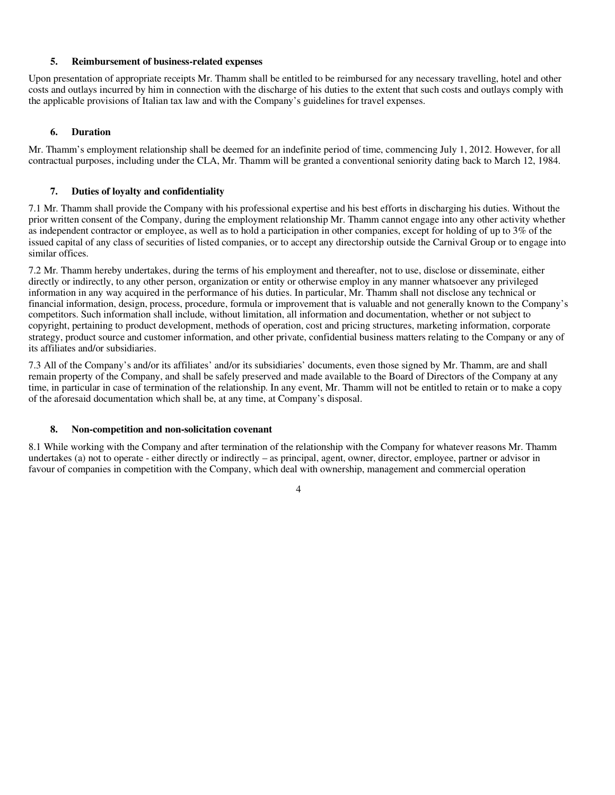#### **5. Reimbursement of business-related expenses**

Upon presentation of appropriate receipts Mr. Thamm shall be entitled to be reimbursed for any necessary travelling, hotel and other costs and outlays incurred by him in connection with the discharge of his duties to the extent that such costs and outlays comply with the applicable provisions of Italian tax law and with the Company's guidelines for travel expenses.

#### **6. Duration**

Mr. Thamm's employment relationship shall be deemed for an indefinite period of time, commencing July 1, 2012. However, for all contractual purposes, including under the CLA, Mr. Thamm will be granted a conventional seniority dating back to March 12, 1984.

#### **7. Duties of loyalty and confidentiality**

7.1 Mr. Thamm shall provide the Company with his professional expertise and his best efforts in discharging his duties. Without the prior written consent of the Company, during the employment relationship Mr. Thamm cannot engage into any other activity whether as independent contractor or employee, as well as to hold a participation in other companies, except for holding of up to 3% of the issued capital of any class of securities of listed companies, or to accept any directorship outside the Carnival Group or to engage into similar offices.

7.2 Mr. Thamm hereby undertakes, during the terms of his employment and thereafter, not to use, disclose or disseminate, either directly or indirectly, to any other person, organization or entity or otherwise employ in any manner whatsoever any privileged information in any way acquired in the performance of his duties. In particular, Mr. Thamm shall not disclose any technical or financial information, design, process, procedure, formula or improvement that is valuable and not generally known to the Company's competitors. Such information shall include, without limitation, all information and documentation, whether or not subject to copyright, pertaining to product development, methods of operation, cost and pricing structures, marketing information, corporate strategy, product source and customer information, and other private, confidential business matters relating to the Company or any of its affiliates and/or subsidiaries.

7.3 All of the Company's and/or its affiliates' and/or its subsidiaries' documents, even those signed by Mr. Thamm, are and shall remain property of the Company, and shall be safely preserved and made available to the Board of Directors of the Company at any time, in particular in case of termination of the relationship. In any event, Mr. Thamm will not be entitled to retain or to make a copy of the aforesaid documentation which shall be, at any time, at Company's disposal.

#### **8. Non-competition and non-solicitation covenant**

8.1 While working with the Company and after termination of the relationship with the Company for whatever reasons Mr. Thamm undertakes (a) not to operate - either directly or indirectly – as principal, agent, owner, director, employee, partner or advisor in favour of companies in competition with the Company, which deal with ownership, management and commercial operation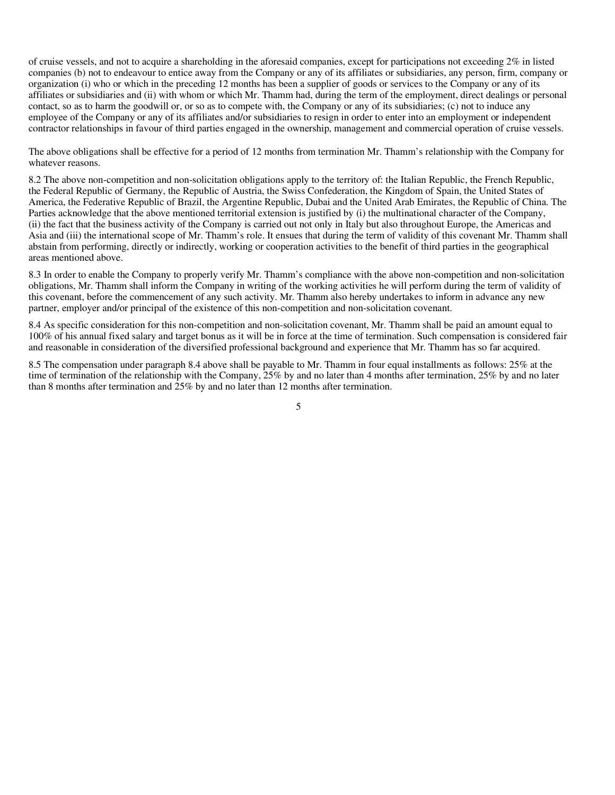of cruise vessels, and not to acquire a shareholding in the aforesaid companies, except for participations not exceeding 2% in listed companies (b) not to endeavour to entice away from the Company or any of its affiliates or subsidiaries, any person, firm, company or organization (i) who or which in the preceding 12 months has been a supplier of goods or services to the Company or any of its affiliates or subsidiaries and (ii) with whom or which Mr. Thamm had, during the term of the employment, direct dealings or personal contact, so as to harm the goodwill or, or so as to compete with, the Company or any of its subsidiaries; (c) not to induce any employee of the Company or any of its affiliates and/or subsidiaries to resign in order to enter into an employment or independent contractor relationships in favour of third parties engaged in the ownership, management and commercial operation of cruise vessels.

The above obligations shall be effective for a period of 12 months from termination Mr. Thamm's relationship with the Company for whatever reasons.

8.2 The above non-competition and non-solicitation obligations apply to the territory of: the Italian Republic, the French Republic, the Federal Republic of Germany, the Republic of Austria, the Swiss Confederation, the Kingdom of Spain, the United States of America, the Federative Republic of Brazil, the Argentine Republic, Dubai and the United Arab Emirates, the Republic of China. The Parties acknowledge that the above mentioned territorial extension is justified by (i) the multinational character of the Company, (ii) the fact that the business activity of the Company is carried out not only in Italy but also throughout Europe, the Americas and Asia and (iii) the international scope of Mr. Thamm's role. It ensues that during the term of validity of this covenant Mr. Thamm shall abstain from performing, directly or indirectly, working or cooperation activities to the benefit of third parties in the geographical areas mentioned above.

8.3 In order to enable the Company to properly verify Mr. Thamm's compliance with the above non-competition and non-solicitation obligations, Mr. Thamm shall inform the Company in writing of the working activities he will perform during the term of validity of this covenant, before the commencement of any such activity. Mr. Thamm also hereby undertakes to inform in advance any new partner, employer and/or principal of the existence of this non-competition and non-solicitation covenant.

8.4 As specific consideration for this non-competition and non-solicitation covenant, Mr. Thamm shall be paid an amount equal to 100% of his annual fixed salary and target bonus as it will be in force at the time of termination. Such compensation is considered fair and reasonable in consideration of the diversified professional background and experience that Mr. Thamm has so far acquired.

8.5 The compensation under paragraph 8.4 above shall be payable to Mr. Thamm in four equal installments as follows: 25% at the time of termination of the relationship with the Company, 25% by and no later than 4 months after termination, 25% by and no later than 8 months after termination and 25% by and no later than 12 months after termination.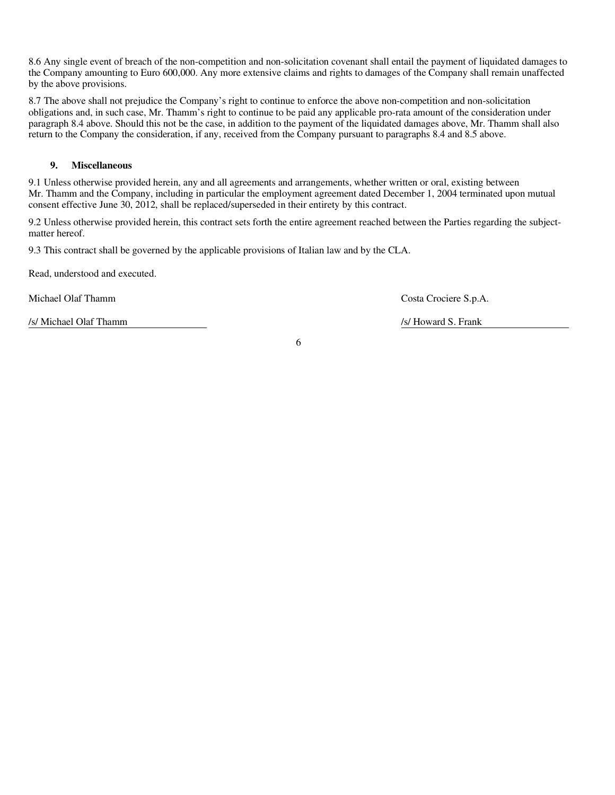8.6 Any single event of breach of the non-competition and non-solicitation covenant shall entail the payment of liquidated damages to the Company amounting to Euro 600,000. Any more extensive claims and rights to damages of the Company shall remain unaffected by the above provisions.

8.7 The above shall not prejudice the Company's right to continue to enforce the above non-competition and non-solicitation obligations and, in such case, Mr. Thamm's right to continue to be paid any applicable pro-rata amount of the consideration under paragraph 8.4 above. Should this not be the case, in addition to the payment of the liquidated damages above, Mr. Thamm shall also return to the Company the consideration, if any, received from the Company pursuant to paragraphs 8.4 and 8.5 above.

#### **9. Miscellaneous**

9.1 Unless otherwise provided herein, any and all agreements and arrangements, whether written or oral, existing between Mr. Thamm and the Company, including in particular the employment agreement dated December 1, 2004 terminated upon mutual consent effective June 30, 2012, shall be replaced/superseded in their entirety by this contract.

9.2 Unless otherwise provided herein, this contract sets forth the entire agreement reached between the Parties regarding the subjectmatter hereof.

9.3 This contract shall be governed by the applicable provisions of Italian law and by the CLA.

Read, understood and executed.

Michael Olaf Thamm Costa Crociere S.p.A.

/s/ Michael Olaf Thamm /s/ Howard S. Frank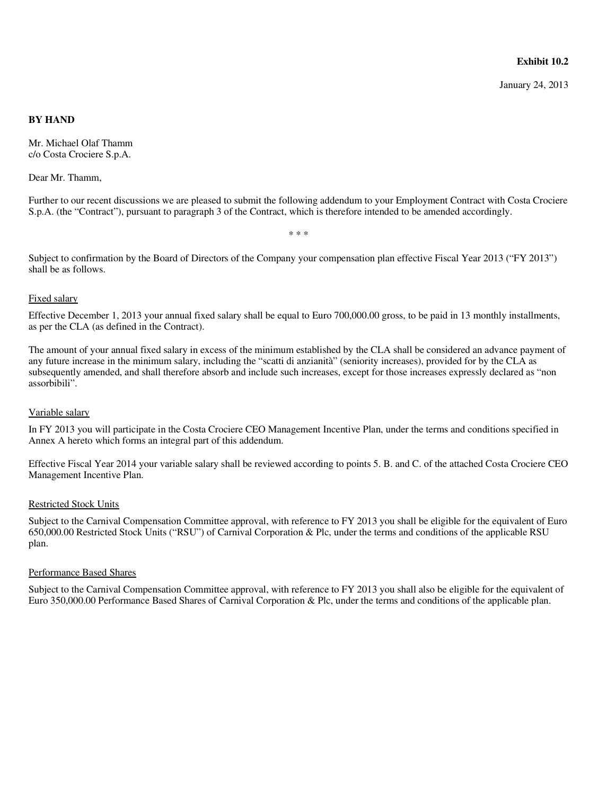### **Exhibit 10.2**

January 24, 2013

#### **BY HAND**

Mr. Michael Olaf Thamm c/o Costa Crociere S.p.A.

Dear Mr. Thamm,

Further to our recent discussions we are pleased to submit the following addendum to your Employment Contract with Costa Crociere S.p.A. (the "Contract"), pursuant to paragraph 3 of the Contract, which is therefore intended to be amended accordingly.

\* \* \*

Subject to confirmation by the Board of Directors of the Company your compensation plan effective Fiscal Year 2013 ("FY 2013") shall be as follows.

## Fixed salary

Effective December 1, 2013 your annual fixed salary shall be equal to Euro 700,000.00 gross, to be paid in 13 monthly installments, as per the CLA (as defined in the Contract).

The amount of your annual fixed salary in excess of the minimum established by the CLA shall be considered an advance payment of any future increase in the minimum salary, including the "scatti di anzianità" (seniority increases), provided for by the CLA as subsequently amended, and shall therefore absorb and include such increases, except for those increases expressly declared as "non assorbibili".

### Variable salary

In FY 2013 you will participate in the Costa Crociere CEO Management Incentive Plan, under the terms and conditions specified in Annex A hereto which forms an integral part of this addendum.

Effective Fiscal Year 2014 your variable salary shall be reviewed according to points 5. B. and C. of the attached Costa Crociere CEO Management Incentive Plan.

## Restricted Stock Units

Subject to the Carnival Compensation Committee approval, with reference to FY 2013 you shall be eligible for the equivalent of Euro 650,000.00 Restricted Stock Units ("RSU") of Carnival Corporation & Plc, under the terms and conditions of the applicable RSU plan.

#### Performance Based Shares

Subject to the Carnival Compensation Committee approval, with reference to FY 2013 you shall also be eligible for the equivalent of Euro 350,000.00 Performance Based Shares of Carnival Corporation & Plc, under the terms and conditions of the applicable plan.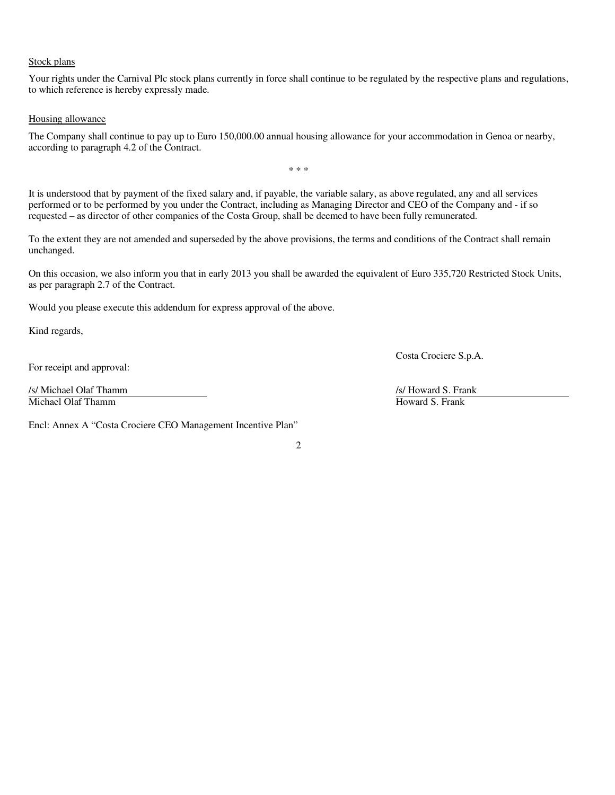## Stock plans

Your rights under the Carnival Plc stock plans currently in force shall continue to be regulated by the respective plans and regulations, to which reference is hereby expressly made.

## Housing allowance

The Company shall continue to pay up to Euro 150,000.00 annual housing allowance for your accommodation in Genoa or nearby, according to paragraph 4.2 of the Contract.

\* \* \*

It is understood that by payment of the fixed salary and, if payable, the variable salary, as above regulated, any and all services performed or to be performed by you under the Contract, including as Managing Director and CEO of the Company and - if so requested – as director of other companies of the Costa Group, shall be deemed to have been fully remunerated.

To the extent they are not amended and superseded by the above provisions, the terms and conditions of the Contract shall remain unchanged.

On this occasion, we also inform you that in early 2013 you shall be awarded the equivalent of Euro 335,720 Restricted Stock Units, as per paragraph 2.7 of the Contract.

2

Would you please execute this addendum for express approval of the above.

Kind regards,

For receipt and approval:

/s/ Michael Olaf Thamm /s/ Howard S. Frank Michael Olaf Thamm **Howard S. Frank** 

Encl: Annex A "Costa Crociere CEO Management Incentive Plan"

Costa Crociere S.p.A.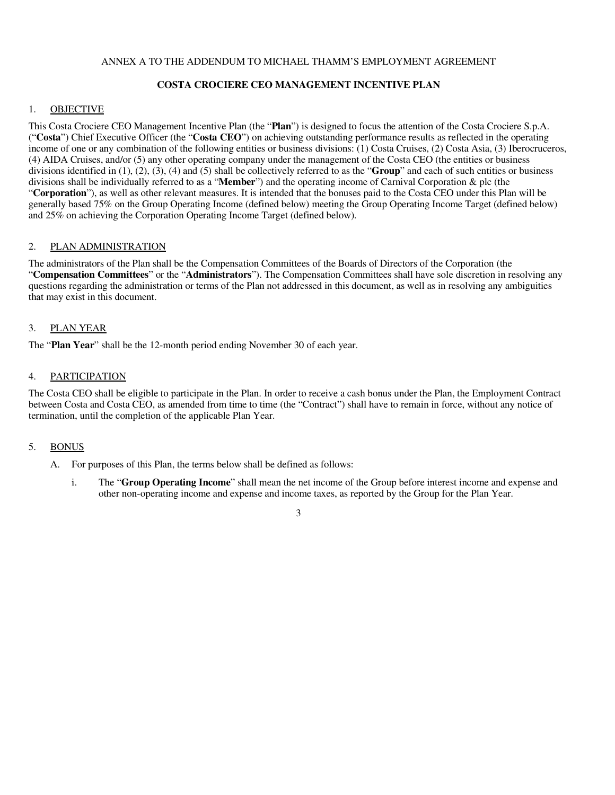## ANNEX A TO THE ADDENDUM TO MICHAEL THAMM'S EMPLOYMENT AGREEMENT

## **COSTA CROCIERE CEO MANAGEMENT INCENTIVE PLAN**

## 1. OBJECTIVE

This Costa Crociere CEO Management Incentive Plan (the "**Plan**") is designed to focus the attention of the Costa Crociere S.p.A. ("**Costa**") Chief Executive Officer (the "**Costa CEO**") on achieving outstanding performance results as reflected in the operating income of one or any combination of the following entities or business divisions: (1) Costa Cruises, (2) Costa Asia, (3) Iberocruceros, (4) AIDA Cruises, and/or (5) any other operating company under the management of the Costa CEO (the entities or business divisions identified in (1), (2), (3), (4) and (5) shall be collectively referred to as the "**Group**" and each of such entities or business divisions shall be individually referred to as a "**Member**") and the operating income of Carnival Corporation & plc (the "**Corporation**"), as well as other relevant measures. It is intended that the bonuses paid to the Costa CEO under this Plan will be generally based 75% on the Group Operating Income (defined below) meeting the Group Operating Income Target (defined below) and 25% on achieving the Corporation Operating Income Target (defined below).

## 2. PLAN ADMINISTRATION

The administrators of the Plan shall be the Compensation Committees of the Boards of Directors of the Corporation (the "**Compensation Committees**" or the "**Administrators**"). The Compensation Committees shall have sole discretion in resolving any questions regarding the administration or terms of the Plan not addressed in this document, as well as in resolving any ambiguities that may exist in this document.

## 3. PLAN YEAR

The "**Plan Year**" shall be the 12-month period ending November 30 of each year.

## 4. PARTICIPATION

The Costa CEO shall be eligible to participate in the Plan. In order to receive a cash bonus under the Plan, the Employment Contract between Costa and Costa CEO, as amended from time to time (the "Contract") shall have to remain in force, without any notice of termination, until the completion of the applicable Plan Year.

## 5. BONUS

- A. For purposes of this Plan, the terms below shall be defined as follows:
	- i. The "**Group Operating Income**" shall mean the net income of the Group before interest income and expense and other non-operating income and expense and income taxes, as reported by the Group for the Plan Year.

## 3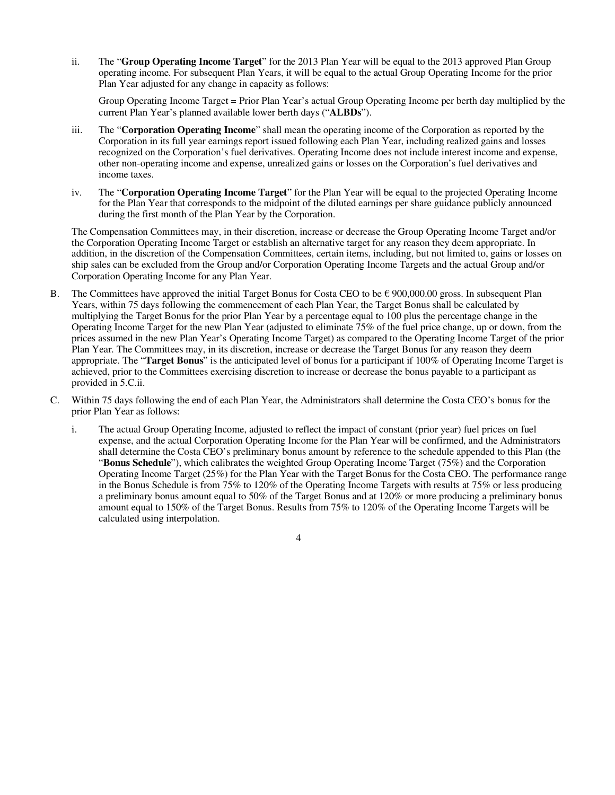ii. The "**Group Operating Income Target**" for the 2013 Plan Year will be equal to the 2013 approved Plan Group operating income. For subsequent Plan Years, it will be equal to the actual Group Operating Income for the prior Plan Year adjusted for any change in capacity as follows:

Group Operating Income Target = Prior Plan Year's actual Group Operating Income per berth day multiplied by the current Plan Year's planned available lower berth days ("**ALBDs**").

- iii. The "**Corporation Operating Income**" shall mean the operating income of the Corporation as reported by the Corporation in its full year earnings report issued following each Plan Year, including realized gains and losses recognized on the Corporation's fuel derivatives. Operating Income does not include interest income and expense, other non-operating income and expense, unrealized gains or losses on the Corporation's fuel derivatives and income taxes.
- iv. The "**Corporation Operating Income Target**" for the Plan Year will be equal to the projected Operating Income for the Plan Year that corresponds to the midpoint of the diluted earnings per share guidance publicly announced during the first month of the Plan Year by the Corporation.

The Compensation Committees may, in their discretion, increase or decrease the Group Operating Income Target and/or the Corporation Operating Income Target or establish an alternative target for any reason they deem appropriate. In addition, in the discretion of the Compensation Committees, certain items, including, but not limited to, gains or losses on ship sales can be excluded from the Group and/or Corporation Operating Income Targets and the actual Group and/or Corporation Operating Income for any Plan Year.

- B. The Committees have approved the initial Target Bonus for Costa CEO to be  $\epsilon$  900,000.00 gross. In subsequent Plan Years, within 75 days following the commencement of each Plan Year, the Target Bonus shall be calculated by multiplying the Target Bonus for the prior Plan Year by a percentage equal to 100 plus the percentage change in the Operating Income Target for the new Plan Year (adjusted to eliminate 75% of the fuel price change, up or down, from the prices assumed in the new Plan Year's Operating Income Target) as compared to the Operating Income Target of the prior Plan Year. The Committees may, in its discretion, increase or decrease the Target Bonus for any reason they deem appropriate. The "**Target Bonus**" is the anticipated level of bonus for a participant if 100% of Operating Income Target is achieved, prior to the Committees exercising discretion to increase or decrease the bonus payable to a participant as provided in 5.C.ii.
- C. Within 75 days following the end of each Plan Year, the Administrators shall determine the Costa CEO's bonus for the prior Plan Year as follows:

4

i. The actual Group Operating Income, adjusted to reflect the impact of constant (prior year) fuel prices on fuel expense, and the actual Corporation Operating Income for the Plan Year will be confirmed, and the Administrators shall determine the Costa CEO's preliminary bonus amount by reference to the schedule appended to this Plan (the "**Bonus Schedule**"), which calibrates the weighted Group Operating Income Target (75%) and the Corporation Operating Income Target (25%) for the Plan Year with the Target Bonus for the Costa CEO. The performance range in the Bonus Schedule is from 75% to 120% of the Operating Income Targets with results at 75% or less producing a preliminary bonus amount equal to 50% of the Target Bonus and at 120% or more producing a preliminary bonus amount equal to 150% of the Target Bonus. Results from 75% to 120% of the Operating Income Targets will be calculated using interpolation.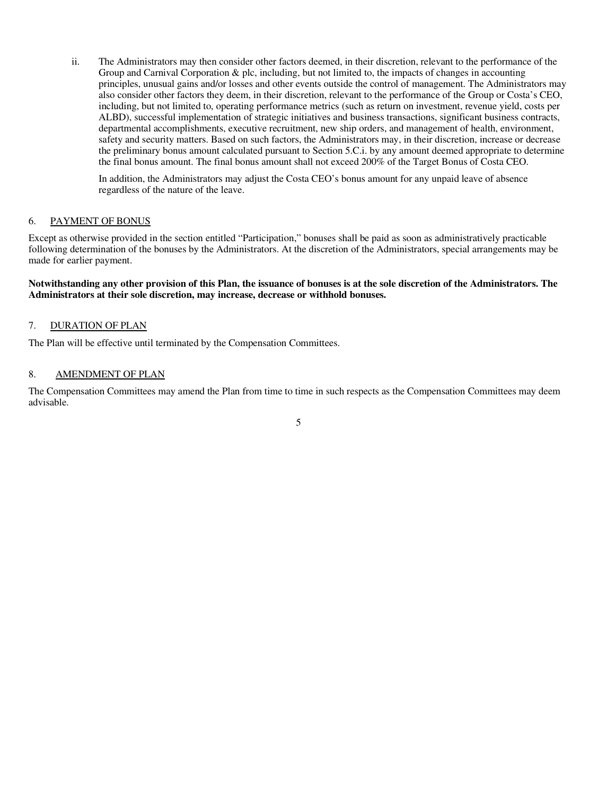ii. The Administrators may then consider other factors deemed, in their discretion, relevant to the performance of the Group and Carnival Corporation & plc, including, but not limited to, the impacts of changes in accounting principles, unusual gains and/or losses and other events outside the control of management. The Administrators may also consider other factors they deem, in their discretion, relevant to the performance of the Group or Costa's CEO, including, but not limited to, operating performance metrics (such as return on investment, revenue yield, costs per ALBD), successful implementation of strategic initiatives and business transactions, significant business contracts, departmental accomplishments, executive recruitment, new ship orders, and management of health, environment, safety and security matters. Based on such factors, the Administrators may, in their discretion, increase or decrease the preliminary bonus amount calculated pursuant to Section 5.C.i. by any amount deemed appropriate to determine the final bonus amount. The final bonus amount shall not exceed 200% of the Target Bonus of Costa CEO.

In addition, the Administrators may adjust the Costa CEO's bonus amount for any unpaid leave of absence regardless of the nature of the leave.

## 6. PAYMENT OF BONUS

Except as otherwise provided in the section entitled "Participation," bonuses shall be paid as soon as administratively practicable following determination of the bonuses by the Administrators. At the discretion of the Administrators, special arrangements may be made for earlier payment.

### **Notwithstanding any other provision of this Plan, the issuance of bonuses is at the sole discretion of the Administrators. The Administrators at their sole discretion, may increase, decrease or withhold bonuses.**

### 7. DURATION OF PLAN

The Plan will be effective until terminated by the Compensation Committees.

### 8. AMENDMENT OF PLAN

The Compensation Committees may amend the Plan from time to time in such respects as the Compensation Committees may deem advisable.

5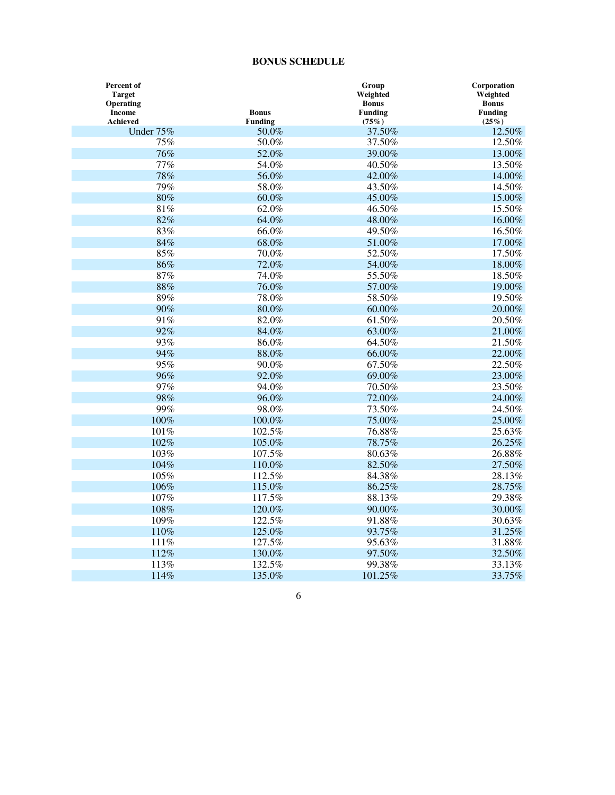# **BONUS SCHEDULE**

| Percent of<br><b>Target</b><br>Operating<br><b>Income</b> | <b>Bonus</b>   | Group<br>Weighted<br><b>Bonus</b><br><b>Funding</b> | Corporation<br>Weighted<br><b>Bonus</b><br><b>Funding</b> |
|-----------------------------------------------------------|----------------|-----------------------------------------------------|-----------------------------------------------------------|
| <b>Achieved</b>                                           | <b>Funding</b> | (75%)                                               | (25%)                                                     |
| Under 75%                                                 | 50.0%          | 37.50%                                              | 12.50%                                                    |
| 75%                                                       | 50.0%          | 37.50%                                              | 12.50%                                                    |
| 76%                                                       | 52.0%          | 39.00%                                              | 13.00%                                                    |
| 77%                                                       | 54.0%          | 40.50%                                              | 13.50%                                                    |
| 78%                                                       | 56.0%          | 42.00%                                              | 14.00%                                                    |
| 79%                                                       | 58.0%          | 43.50%                                              | 14.50%                                                    |
| 80%                                                       | 60.0%          | 45.00%                                              | 15.00%                                                    |
| $81\%$                                                    | 62.0%          | 46.50%                                              | 15.50%                                                    |
| 82%                                                       | 64.0%          | 48.00%                                              | 16.00%                                                    |
| 83%                                                       | 66.0%          | 49.50%                                              | 16.50%                                                    |
| 84%                                                       | 68.0%          | 51.00%                                              | 17.00%                                                    |
| 85%                                                       | 70.0%          | 52.50%                                              | 17.50%                                                    |
| 86%                                                       | 72.0%          | 54.00%                                              | 18.00%                                                    |
| 87%                                                       | 74.0%          | 55.50%                                              | 18.50%                                                    |
| 88%                                                       | 76.0%          | 57.00%                                              | 19.00%                                                    |
| 89%                                                       | 78.0%          | 58.50%                                              | 19.50%                                                    |
| 90%                                                       | 80.0%          | 60.00%                                              | 20.00%                                                    |
| 91%                                                       | 82.0%          | 61.50%                                              | 20.50%                                                    |
| 92%                                                       | 84.0%          | 63.00%                                              | $21.00\%$                                                 |
| 93%                                                       | 86.0%          | 64.50%                                              | 21.50%                                                    |
| 94%                                                       | 88.0%          | 66.00%                                              | 22.00%                                                    |
| 95%                                                       | 90.0%          | 67.50%                                              | 22.50%                                                    |
| 96%                                                       | 92.0%          | 69.00%                                              | 23.00%                                                    |
| 97%                                                       | 94.0%          | 70.50%                                              | 23.50%                                                    |
| 98%                                                       | 96.0%          | 72.00%                                              | 24.00%                                                    |
| 99%                                                       | 98.0%          | 73.50%                                              | 24.50%                                                    |
| 100%                                                      | 100.0%         | 75.00%                                              | 25.00%                                                    |
| 101%                                                      | 102.5%         | 76.88%                                              | 25.63%                                                    |
| 102%                                                      | 105.0%         | 78.75%                                              | 26.25%                                                    |
| 103%                                                      | 107.5%         | 80.63%                                              | 26.88%                                                    |
| 104%                                                      | 110.0%         | 82.50%                                              | 27.50%                                                    |
| 105%                                                      | 112.5%         | 84.38%                                              | 28.13%                                                    |
| 106%                                                      | 115.0%         | 86.25%                                              | 28.75%                                                    |
| 107%                                                      | 117.5%         | 88.13%                                              | 29.38%                                                    |
| 108%                                                      | 120.0%         | 90.00%                                              | 30.00%                                                    |
| 109%                                                      | 122.5%         | 91.88%                                              | 30.63%                                                    |
| 110%                                                      | 125.0%         | 93.75%                                              | 31.25%                                                    |
| 111%                                                      | 127.5%         | 95.63%                                              | 31.88%                                                    |
| 112%                                                      | 130.0%         | 97.50%                                              | 32.50%                                                    |
| 113%                                                      | 132.5%         | 99.38%                                              | 33.13%                                                    |
| 114%                                                      | 135.0%         | 101.25%                                             | 33.75%                                                    |

6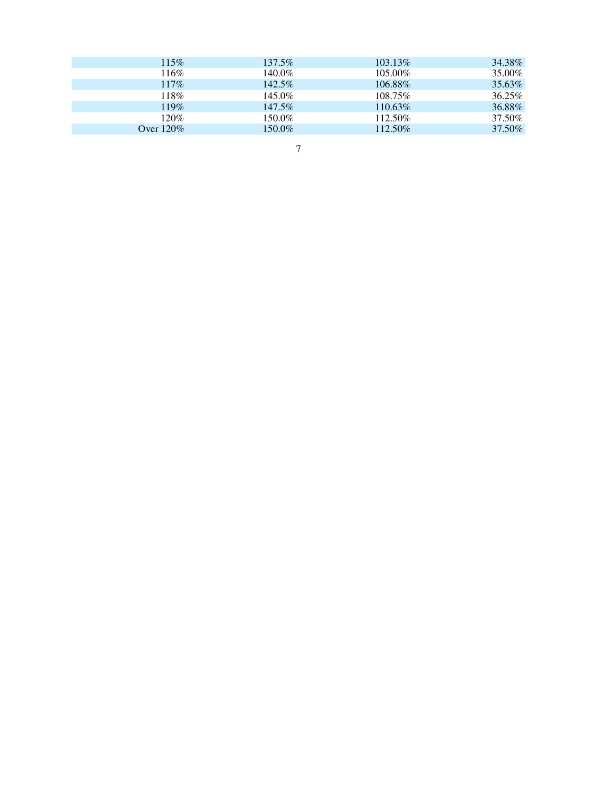| 115%         | 137.5%    | $103.13\%$ | 34.38% |
|--------------|-----------|------------|--------|
| 116%         | 140.0%    | 105.00%    | 35.00% |
| $117\%$      | $142.5\%$ | 106.88%    | 35.63% |
| 118%         | 145.0%    | 108.75%    | 36.25% |
| $119\%$      | $147.5\%$ | 110.63%    | 36.88% |
| 120%         | 150.0%    | 112.50%    | 37.50% |
| Over $120\%$ | 150.0%    | 112.50%    | 37.50% |
|              |           |            |        |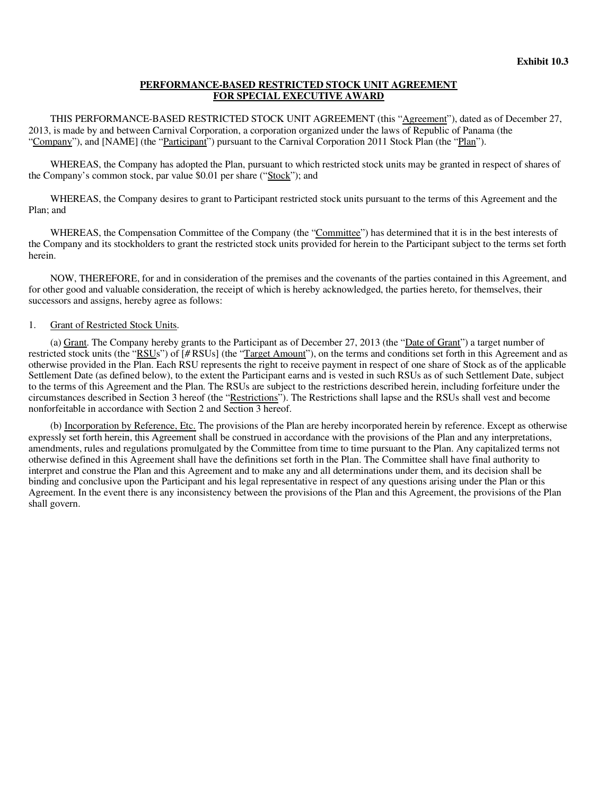## **PERFORMANCE-BASED RESTRICTED STOCK UNIT AGREEMENT FOR SPECIAL EXECUTIVE AWARD**

THIS PERFORMANCE-BASED RESTRICTED STOCK UNIT AGREEMENT (this "Agreement"), dated as of December 27, 2013, is made by and between Carnival Corporation, a corporation organized under the laws of Republic of Panama (the "Company"), and [NAME] (the "Participant") pursuant to the Carnival Corporation 2011 Stock Plan (the "Plan").

WHEREAS, the Company has adopted the Plan, pursuant to which restricted stock units may be granted in respect of shares of the Company's common stock, par value \$0.01 per share ("Stock"); and

WHEREAS, the Company desires to grant to Participant restricted stock units pursuant to the terms of this Agreement and the Plan; and

WHEREAS, the Compensation Committee of the Company (the "Committee") has determined that it is in the best interests of the Company and its stockholders to grant the restricted stock units provided for herein to the Participant subject to the terms set forth herein.

NOW, THEREFORE, for and in consideration of the premises and the covenants of the parties contained in this Agreement, and for other good and valuable consideration, the receipt of which is hereby acknowledged, the parties hereto, for themselves, their successors and assigns, hereby agree as follows:

### 1. Grant of Restricted Stock Units.

(a) Grant. The Company hereby grants to the Participant as of December 27, 2013 (the "Date of Grant") a target number of restricted stock units (the "RSUs") of [# RSUs] (the "Target Amount"), on the terms and conditions set forth in this Agreement and as otherwise provided in the Plan. Each RSU represents the right to receive payment in respect of one share of Stock as of the applicable Settlement Date (as defined below), to the extent the Participant earns and is vested in such RSUs as of such Settlement Date, subject to the terms of this Agreement and the Plan. The RSUs are subject to the restrictions described herein, including forfeiture under the circumstances described in Section 3 hereof (the "Restrictions"). The Restrictions shall lapse and the RSUs shall vest and become nonforfeitable in accordance with Section 2 and Section 3 hereof.

(b) Incorporation by Reference, Etc. The provisions of the Plan are hereby incorporated herein by reference. Except as otherwise expressly set forth herein, this Agreement shall be construed in accordance with the provisions of the Plan and any interpretations, amendments, rules and regulations promulgated by the Committee from time to time pursuant to the Plan. Any capitalized terms not otherwise defined in this Agreement shall have the definitions set forth in the Plan. The Committee shall have final authority to interpret and construe the Plan and this Agreement and to make any and all determinations under them, and its decision shall be binding and conclusive upon the Participant and his legal representative in respect of any questions arising under the Plan or this Agreement. In the event there is any inconsistency between the provisions of the Plan and this Agreement, the provisions of the Plan shall govern.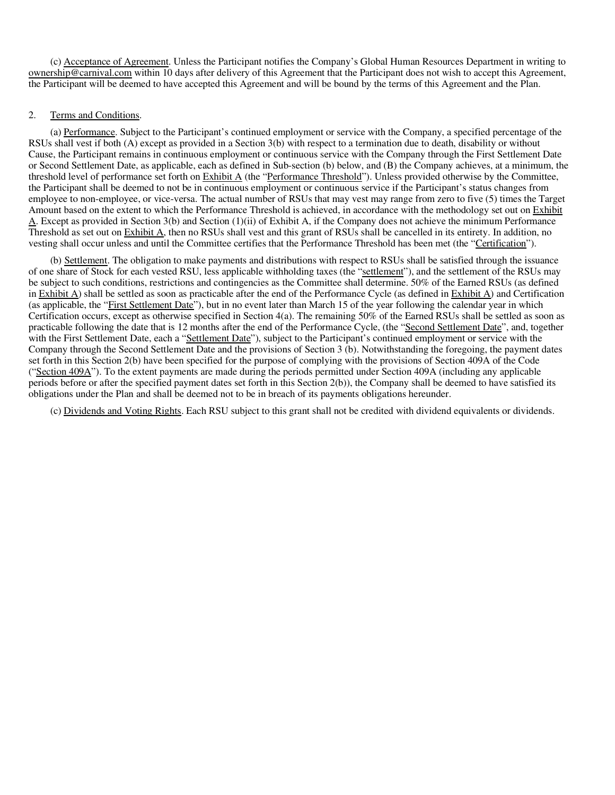(c) Acceptance of Agreement. Unless the Participant notifies the Company's Global Human Resources Department in writing to ownership@carnival.com within 10 days after delivery of this Agreement that the Participant does not wish to accept this Agreement, the Participant will be deemed to have accepted this Agreement and will be bound by the terms of this Agreement and the Plan.

## 2. Terms and Conditions.

(a) Performance. Subject to the Participant's continued employment or service with the Company, a specified percentage of the RSUs shall vest if both (A) except as provided in a Section 3(b) with respect to a termination due to death, disability or without Cause, the Participant remains in continuous employment or continuous service with the Company through the First Settlement Date or Second Settlement Date, as applicable, each as defined in Sub-section (b) below, and (B) the Company achieves, at a minimum, the threshold level of performance set forth on Exhibit A (the "Performance Threshold"). Unless provided otherwise by the Committee, the Participant shall be deemed to not be in continuous employment or continuous service if the Participant's status changes from employee to non-employee, or vice-versa. The actual number of RSUs that may vest may range from zero to five (5) times the Target Amount based on the extent to which the Performance Threshold is achieved, in accordance with the methodology set out on Exhibit A. Except as provided in Section 3(b) and Section (1)(ii) of Exhibit A, if the Company does not achieve the minimum Performance Threshold as set out on Exhibit A, then no RSUs shall vest and this grant of RSUs shall be cancelled in its entirety. In addition, no vesting shall occur unless and until the Committee certifies that the Performance Threshold has been met (the "Certification").

(b) Settlement. The obligation to make payments and distributions with respect to RSUs shall be satisfied through the issuance of one share of Stock for each vested RSU, less applicable withholding taxes (the "settlement"), and the settlement of the RSUs may be subject to such conditions, restrictions and contingencies as the Committee shall determine. 50% of the Earned RSUs (as defined in Exhibit A) shall be settled as soon as practicable after the end of the Performance Cycle (as defined in Exhibit A) and Certification (as applicable, the "First Settlement Date"), but in no event later than March 15 of the year following the calendar year in which Certification occurs, except as otherwise specified in Section 4(a). The remaining 50% of the Earned RSUs shall be settled as soon as practicable following the date that is 12 months after the end of the Performance Cycle, (the "Second Settlement Date", and, together with the First Settlement Date, each a "Settlement Date"), subject to the Participant's continued employment or service with the Company through the Second Settlement Date and the provisions of Section 3 (b). Notwithstanding the foregoing, the payment dates set forth in this Section 2(b) have been specified for the purpose of complying with the provisions of Section 409A of the Code ("Section 409A"). To the extent payments are made during the periods permitted under Section 409A (including any applicable periods before or after the specified payment dates set forth in this Section 2(b)), the Company shall be deemed to have satisfied its obligations under the Plan and shall be deemed not to be in breach of its payments obligations hereunder.

(c) Dividends and Voting Rights. Each RSU subject to this grant shall not be credited with dividend equivalents or dividends.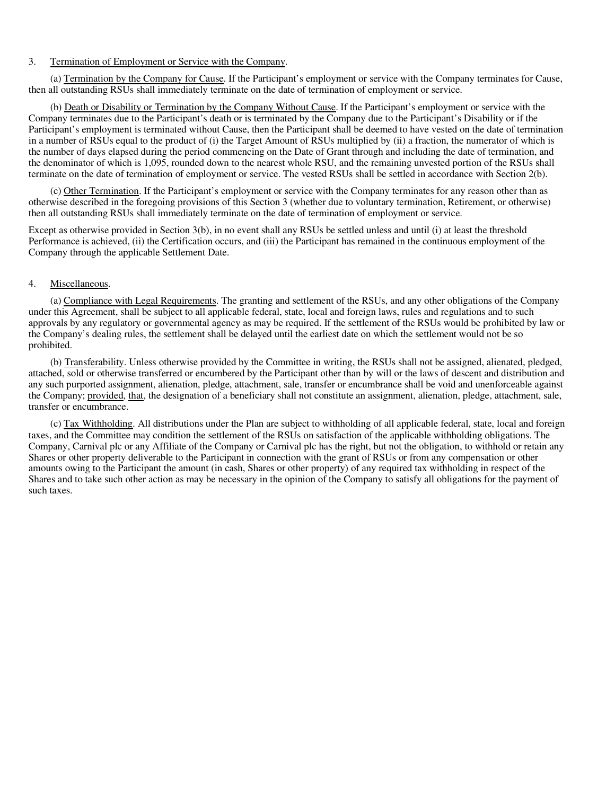## 3. Termination of Employment or Service with the Company.

(a) Termination by the Company for Cause. If the Participant's employment or service with the Company terminates for Cause, then all outstanding RSUs shall immediately terminate on the date of termination of employment or service.

(b) Death or Disability or Termination by the Company Without Cause. If the Participant's employment or service with the Company terminates due to the Participant's death or is terminated by the Company due to the Participant's Disability or if the Participant's employment is terminated without Cause, then the Participant shall be deemed to have vested on the date of termination in a number of RSUs equal to the product of (i) the Target Amount of RSUs multiplied by (ii) a fraction, the numerator of which is the number of days elapsed during the period commencing on the Date of Grant through and including the date of termination, and the denominator of which is 1,095, rounded down to the nearest whole RSU, and the remaining unvested portion of the RSUs shall terminate on the date of termination of employment or service. The vested RSUs shall be settled in accordance with Section 2(b).

(c) Other Termination. If the Participant's employment or service with the Company terminates for any reason other than as otherwise described in the foregoing provisions of this Section 3 (whether due to voluntary termination, Retirement, or otherwise) then all outstanding RSUs shall immediately terminate on the date of termination of employment or service.

Except as otherwise provided in Section 3(b), in no event shall any RSUs be settled unless and until (i) at least the threshold Performance is achieved, (ii) the Certification occurs, and (iii) the Participant has remained in the continuous employment of the Company through the applicable Settlement Date.

## 4. Miscellaneous.

(a) Compliance with Legal Requirements. The granting and settlement of the RSUs, and any other obligations of the Company under this Agreement, shall be subject to all applicable federal, state, local and foreign laws, rules and regulations and to such approvals by any regulatory or governmental agency as may be required. If the settlement of the RSUs would be prohibited by law or the Company's dealing rules, the settlement shall be delayed until the earliest date on which the settlement would not be so prohibited.

(b) Transferability. Unless otherwise provided by the Committee in writing, the RSUs shall not be assigned, alienated, pledged, attached, sold or otherwise transferred or encumbered by the Participant other than by will or the laws of descent and distribution and any such purported assignment, alienation, pledge, attachment, sale, transfer or encumbrance shall be void and unenforceable against the Company; provided, that, the designation of a beneficiary shall not constitute an assignment, alienation, pledge, attachment, sale, transfer or encumbrance.

(c) Tax Withholding. All distributions under the Plan are subject to withholding of all applicable federal, state, local and foreign taxes, and the Committee may condition the settlement of the RSUs on satisfaction of the applicable withholding obligations. The Company, Carnival plc or any Affiliate of the Company or Carnival plc has the right, but not the obligation, to withhold or retain any Shares or other property deliverable to the Participant in connection with the grant of RSUs or from any compensation or other amounts owing to the Participant the amount (in cash, Shares or other property) of any required tax withholding in respect of the Shares and to take such other action as may be necessary in the opinion of the Company to satisfy all obligations for the payment of such taxes.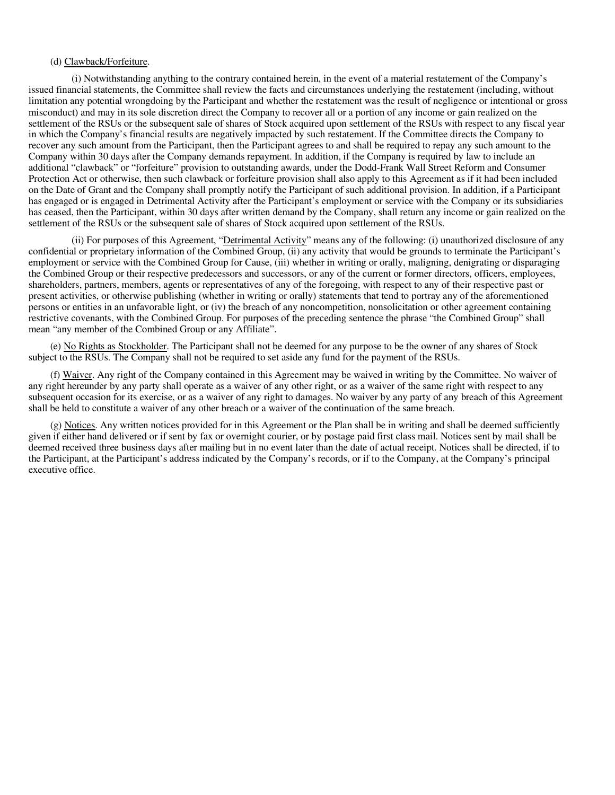# (d) Clawback/Forfeiture.

(i) Notwithstanding anything to the contrary contained herein, in the event of a material restatement of the Company's issued financial statements, the Committee shall review the facts and circumstances underlying the restatement (including, without limitation any potential wrongdoing by the Participant and whether the restatement was the result of negligence or intentional or gross misconduct) and may in its sole discretion direct the Company to recover all or a portion of any income or gain realized on the settlement of the RSUs or the subsequent sale of shares of Stock acquired upon settlement of the RSUs with respect to any fiscal year in which the Company's financial results are negatively impacted by such restatement. If the Committee directs the Company to recover any such amount from the Participant, then the Participant agrees to and shall be required to repay any such amount to the Company within 30 days after the Company demands repayment. In addition, if the Company is required by law to include an additional "clawback" or "forfeiture" provision to outstanding awards, under the Dodd-Frank Wall Street Reform and Consumer Protection Act or otherwise, then such clawback or forfeiture provision shall also apply to this Agreement as if it had been included on the Date of Grant and the Company shall promptly notify the Participant of such additional provision. In addition, if a Participant has engaged or is engaged in Detrimental Activity after the Participant's employment or service with the Company or its subsidiaries has ceased, then the Participant, within 30 days after written demand by the Company, shall return any income or gain realized on the settlement of the RSUs or the subsequent sale of shares of Stock acquired upon settlement of the RSUs.

(ii) For purposes of this Agreement, "Detrimental Activity" means any of the following: (i) unauthorized disclosure of any confidential or proprietary information of the Combined Group, (ii) any activity that would be grounds to terminate the Participant's employment or service with the Combined Group for Cause, (iii) whether in writing or orally, maligning, denigrating or disparaging the Combined Group or their respective predecessors and successors, or any of the current or former directors, officers, employees, shareholders, partners, members, agents or representatives of any of the foregoing, with respect to any of their respective past or present activities, or otherwise publishing (whether in writing or orally) statements that tend to portray any of the aforementioned persons or entities in an unfavorable light, or (iv) the breach of any noncompetition, nonsolicitation or other agreement containing restrictive covenants, with the Combined Group. For purposes of the preceding sentence the phrase "the Combined Group" shall mean "any member of the Combined Group or any Affiliate".

(e) No Rights as Stockholder. The Participant shall not be deemed for any purpose to be the owner of any shares of Stock subject to the RSUs. The Company shall not be required to set aside any fund for the payment of the RSUs.

(f) Waiver. Any right of the Company contained in this Agreement may be waived in writing by the Committee. No waiver of any right hereunder by any party shall operate as a waiver of any other right, or as a waiver of the same right with respect to any subsequent occasion for its exercise, or as a waiver of any right to damages. No waiver by any party of any breach of this Agreement shall be held to constitute a waiver of any other breach or a waiver of the continuation of the same breach.

(g) Notices. Any written notices provided for in this Agreement or the Plan shall be in writing and shall be deemed sufficiently given if either hand delivered or if sent by fax or overnight courier, or by postage paid first class mail. Notices sent by mail shall be deemed received three business days after mailing but in no event later than the date of actual receipt. Notices shall be directed, if to the Participant, at the Participant's address indicated by the Company's records, or if to the Company, at the Company's principal executive office.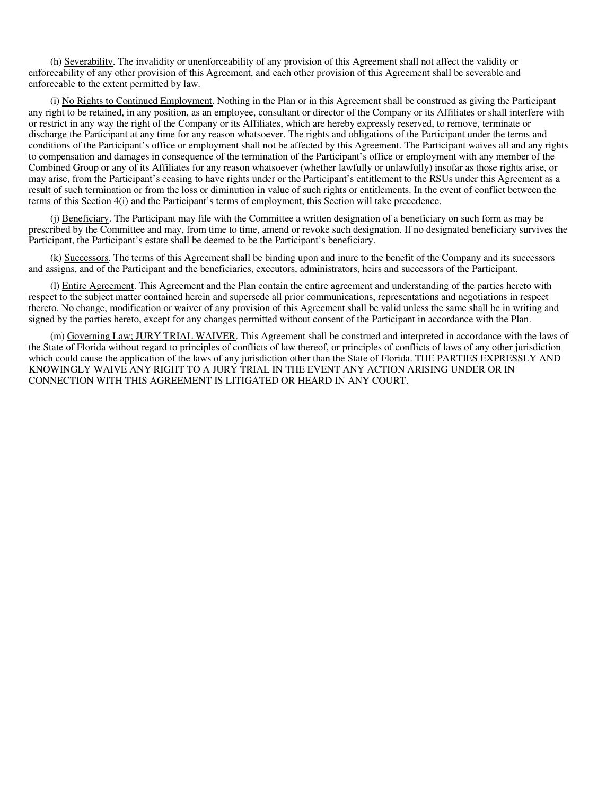(h) Severability. The invalidity or unenforceability of any provision of this Agreement shall not affect the validity or enforceability of any other provision of this Agreement, and each other provision of this Agreement shall be severable and enforceable to the extent permitted by law.

(i) No Rights to Continued Employment. Nothing in the Plan or in this Agreement shall be construed as giving the Participant any right to be retained, in any position, as an employee, consultant or director of the Company or its Affiliates or shall interfere with or restrict in any way the right of the Company or its Affiliates, which are hereby expressly reserved, to remove, terminate or discharge the Participant at any time for any reason whatsoever. The rights and obligations of the Participant under the terms and conditions of the Participant's office or employment shall not be affected by this Agreement. The Participant waives all and any rights to compensation and damages in consequence of the termination of the Participant's office or employment with any member of the Combined Group or any of its Affiliates for any reason whatsoever (whether lawfully or unlawfully) insofar as those rights arise, or may arise, from the Participant's ceasing to have rights under or the Participant's entitlement to the RSUs under this Agreement as a result of such termination or from the loss or diminution in value of such rights or entitlements. In the event of conflict between the terms of this Section 4(i) and the Participant's terms of employment, this Section will take precedence.

(j) Beneficiary. The Participant may file with the Committee a written designation of a beneficiary on such form as may be prescribed by the Committee and may, from time to time, amend or revoke such designation. If no designated beneficiary survives the Participant, the Participant's estate shall be deemed to be the Participant's beneficiary.

(k) Successors. The terms of this Agreement shall be binding upon and inure to the benefit of the Company and its successors and assigns, and of the Participant and the beneficiaries, executors, administrators, heirs and successors of the Participant.

(l) Entire Agreement. This Agreement and the Plan contain the entire agreement and understanding of the parties hereto with respect to the subject matter contained herein and supersede all prior communications, representations and negotiations in respect thereto. No change, modification or waiver of any provision of this Agreement shall be valid unless the same shall be in writing and signed by the parties hereto, except for any changes permitted without consent of the Participant in accordance with the Plan.

(m) Governing Law; JURY TRIAL WAIVER. This Agreement shall be construed and interpreted in accordance with the laws of the State of Florida without regard to principles of conflicts of law thereof, or principles of conflicts of laws of any other jurisdiction which could cause the application of the laws of any jurisdiction other than the State of Florida. THE PARTIES EXPRESSLY AND KNOWINGLY WAIVE ANY RIGHT TO A JURY TRIAL IN THE EVENT ANY ACTION ARISING UNDER OR IN CONNECTION WITH THIS AGREEMENT IS LITIGATED OR HEARD IN ANY COURT.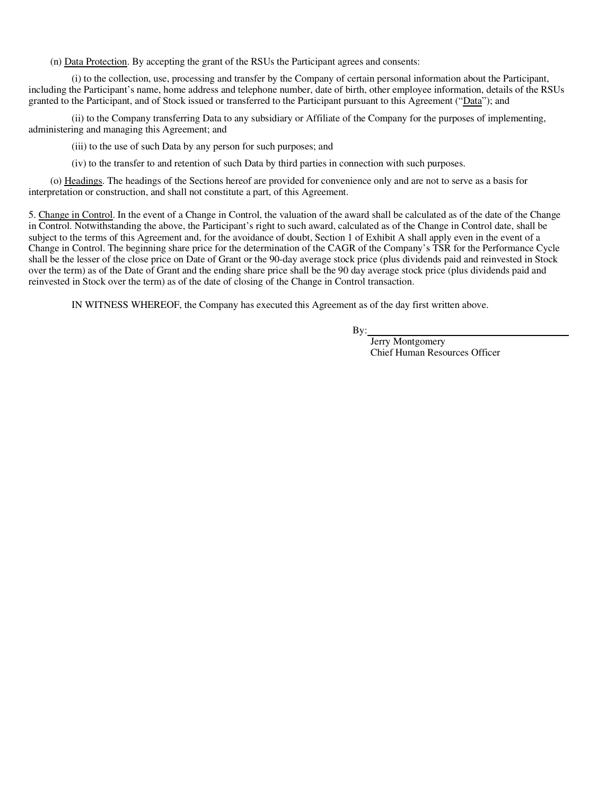(n) Data Protection. By accepting the grant of the RSUs the Participant agrees and consents:

(i) to the collection, use, processing and transfer by the Company of certain personal information about the Participant, including the Participant's name, home address and telephone number, date of birth, other employee information, details of the RSUs granted to the Participant, and of Stock issued or transferred to the Participant pursuant to this Agreement ("Data"); and

(ii) to the Company transferring Data to any subsidiary or Affiliate of the Company for the purposes of implementing, administering and managing this Agreement; and

(iii) to the use of such Data by any person for such purposes; and

(iv) to the transfer to and retention of such Data by third parties in connection with such purposes.

(o) Headings. The headings of the Sections hereof are provided for convenience only and are not to serve as a basis for interpretation or construction, and shall not constitute a part, of this Agreement.

5. Change in Control. In the event of a Change in Control, the valuation of the award shall be calculated as of the date of the Change in Control. Notwithstanding the above, the Participant's right to such award, calculated as of the Change in Control date, shall be subject to the terms of this Agreement and, for the avoidance of doubt, Section 1 of Exhibit A shall apply even in the event of a Change in Control. The beginning share price for the determination of the CAGR of the Company's TSR for the Performance Cycle shall be the lesser of the close price on Date of Grant or the 90-day average stock price (plus dividends paid and reinvested in Stock over the term) as of the Date of Grant and the ending share price shall be the 90 day average stock price (plus dividends paid and reinvested in Stock over the term) as of the date of closing of the Change in Control transaction.

IN WITNESS WHEREOF, the Company has executed this Agreement as of the day first written above.

By:

Jerry Montgomery Chief Human Resources Officer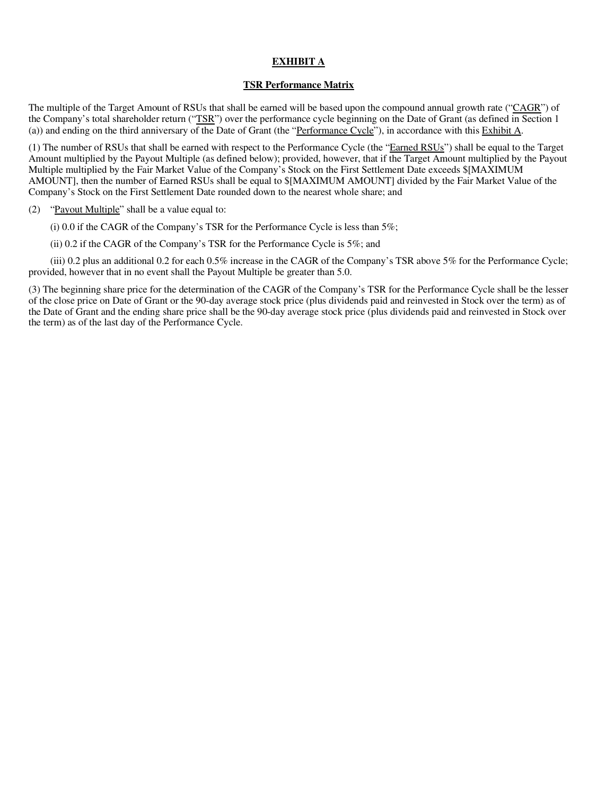# **EXHIBIT A**

### **TSR Performance Matrix**

The multiple of the Target Amount of RSUs that shall be earned will be based upon the compound annual growth rate ("CAGR") of the Company's total shareholder return ("TSR") over the performance cycle beginning on the Date of Grant (as defined in Section 1 (a)) and ending on the third anniversary of the Date of Grant (the "Performance Cycle"), in accordance with this Exhibit A.

(1) The number of RSUs that shall be earned with respect to the Performance Cycle (the "Earned RSUs") shall be equal to the Target Amount multiplied by the Payout Multiple (as defined below); provided, however, that if the Target Amount multiplied by the Payout Multiple multiplied by the Fair Market Value of the Company's Stock on the First Settlement Date exceeds \$[MAXIMUM AMOUNT], then the number of Earned RSUs shall be equal to \$[MAXIMUM AMOUNT] divided by the Fair Market Value of the Company's Stock on the First Settlement Date rounded down to the nearest whole share; and

(2) "Payout Multiple" shall be a value equal to:

(i)  $0.0$  if the CAGR of the Company's TSR for the Performance Cycle is less than  $5\%$ ;

(ii) 0.2 if the CAGR of the Company's TSR for the Performance Cycle is 5%; and

(iii) 0.2 plus an additional 0.2 for each 0.5% increase in the CAGR of the Company's TSR above 5% for the Performance Cycle; provided, however that in no event shall the Payout Multiple be greater than 5.0.

(3) The beginning share price for the determination of the CAGR of the Company's TSR for the Performance Cycle shall be the lesser of the close price on Date of Grant or the 90-day average stock price (plus dividends paid and reinvested in Stock over the term) as of the Date of Grant and the ending share price shall be the 90-day average stock price (plus dividends paid and reinvested in Stock over the term) as of the last day of the Performance Cycle.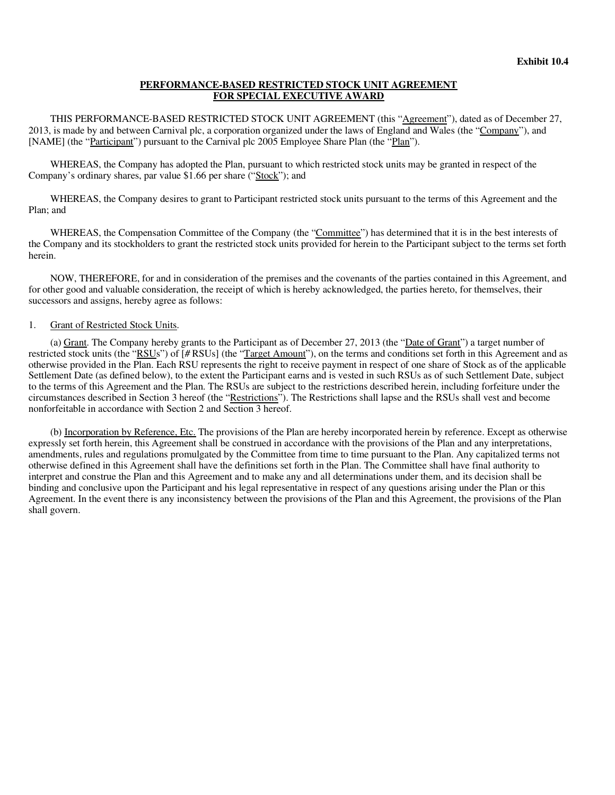## **PERFORMANCE-BASED RESTRICTED STOCK UNIT AGREEMENT FOR SPECIAL EXECUTIVE AWARD**

THIS PERFORMANCE-BASED RESTRICTED STOCK UNIT AGREEMENT (this "Agreement"), dated as of December 27, 2013, is made by and between Carnival plc, a corporation organized under the laws of England and Wales (the "Company"), and [NAME] (the "Participant") pursuant to the Carnival plc 2005 Employee Share Plan (the "Plan").

WHEREAS, the Company has adopted the Plan, pursuant to which restricted stock units may be granted in respect of the Company's ordinary shares, par value \$1.66 per share ("Stock"); and

WHEREAS, the Company desires to grant to Participant restricted stock units pursuant to the terms of this Agreement and the Plan; and

WHEREAS, the Compensation Committee of the Company (the "Committee") has determined that it is in the best interests of the Company and its stockholders to grant the restricted stock units provided for herein to the Participant subject to the terms set forth herein.

NOW, THEREFORE, for and in consideration of the premises and the covenants of the parties contained in this Agreement, and for other good and valuable consideration, the receipt of which is hereby acknowledged, the parties hereto, for themselves, their successors and assigns, hereby agree as follows:

### 1. Grant of Restricted Stock Units.

(a) Grant. The Company hereby grants to the Participant as of December 27, 2013 (the "Date of Grant") a target number of restricted stock units (the "RSUs") of [# RSUs] (the "Target Amount"), on the terms and conditions set forth in this Agreement and as otherwise provided in the Plan. Each RSU represents the right to receive payment in respect of one share of Stock as of the applicable Settlement Date (as defined below), to the extent the Participant earns and is vested in such RSUs as of such Settlement Date, subject to the terms of this Agreement and the Plan. The RSUs are subject to the restrictions described herein, including forfeiture under the circumstances described in Section 3 hereof (the "Restrictions"). The Restrictions shall lapse and the RSUs shall vest and become nonforfeitable in accordance with Section 2 and Section 3 hereof.

(b) Incorporation by Reference, Etc. The provisions of the Plan are hereby incorporated herein by reference. Except as otherwise expressly set forth herein, this Agreement shall be construed in accordance with the provisions of the Plan and any interpretations, amendments, rules and regulations promulgated by the Committee from time to time pursuant to the Plan. Any capitalized terms not otherwise defined in this Agreement shall have the definitions set forth in the Plan. The Committee shall have final authority to interpret and construe the Plan and this Agreement and to make any and all determinations under them, and its decision shall be binding and conclusive upon the Participant and his legal representative in respect of any questions arising under the Plan or this Agreement. In the event there is any inconsistency between the provisions of the Plan and this Agreement, the provisions of the Plan shall govern.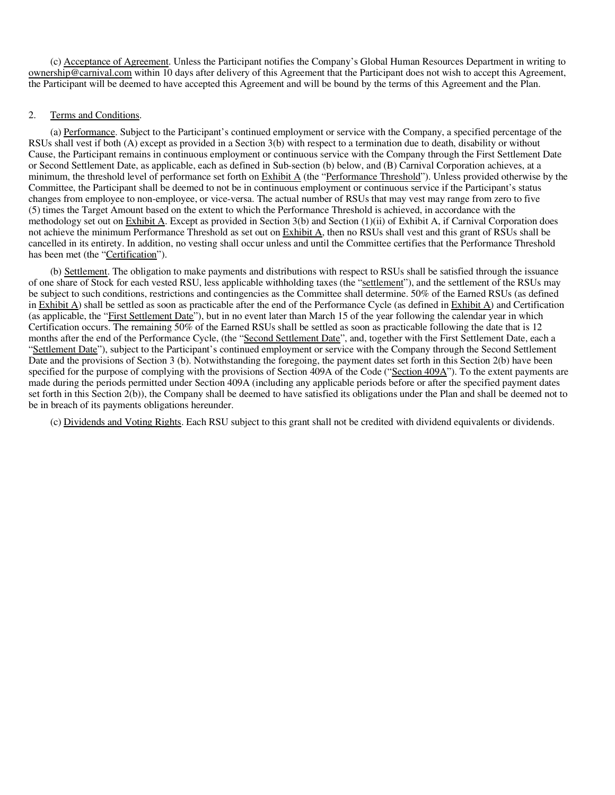(c) Acceptance of Agreement. Unless the Participant notifies the Company's Global Human Resources Department in writing to ownership@carnival.com within 10 days after delivery of this Agreement that the Participant does not wish to accept this Agreement, the Participant will be deemed to have accepted this Agreement and will be bound by the terms of this Agreement and the Plan.

## 2. Terms and Conditions.

(a) Performance. Subject to the Participant's continued employment or service with the Company, a specified percentage of the RSUs shall vest if both (A) except as provided in a Section 3(b) with respect to a termination due to death, disability or without Cause, the Participant remains in continuous employment or continuous service with the Company through the First Settlement Date or Second Settlement Date, as applicable, each as defined in Sub-section (b) below, and (B) Carnival Corporation achieves, at a minimum, the threshold level of performance set forth on  $\overline{\text{Exhibit A}}$  (the "Performance Threshold"). Unless provided otherwise by the Committee, the Participant shall be deemed to not be in continuous employment or continuous service if the Participant's status changes from employee to non-employee, or vice-versa. The actual number of RSUs that may vest may range from zero to five (5) times the Target Amount based on the extent to which the Performance Threshold is achieved, in accordance with the methodology set out on Exhibit A. Except as provided in Section 3(b) and Section (1)(ii) of Exhibit A, if Carnival Corporation does not achieve the minimum Performance Threshold as set out on Exhibit A, then no RSUs shall vest and this grant of RSUs shall be cancelled in its entirety. In addition, no vesting shall occur unless and until the Committee certifies that the Performance Threshold has been met (the "Certification").

(b) Settlement. The obligation to make payments and distributions with respect to RSUs shall be satisfied through the issuance of one share of Stock for each vested RSU, less applicable withholding taxes (the "settlement"), and the settlement of the RSUs may be subject to such conditions, restrictions and contingencies as the Committee shall determine. 50% of the Earned RSUs (as defined in Exhibit A) shall be settled as soon as practicable after the end of the Performance Cycle (as defined in Exhibit A) and Certification (as applicable, the "First Settlement Date"), but in no event later than March 15 of the year following the calendar year in which Certification occurs. The remaining 50% of the Earned RSUs shall be settled as soon as practicable following the date that is 12 months after the end of the Performance Cycle, (the "Second Settlement Date", and, together with the First Settlement Date, each a "Settlement Date"), subject to the Participant's continued employment or service with the Company through the Second Settlement Date and the provisions of Section 3 (b). Notwithstanding the foregoing, the payment dates set forth in this Section 2(b) have been specified for the purpose of complying with the provisions of Section 409A of the Code ("Section 409A"). To the extent payments are made during the periods permitted under Section 409A (including any applicable periods before or after the specified payment dates set forth in this Section 2(b)), the Company shall be deemed to have satisfied its obligations under the Plan and shall be deemed not to be in breach of its payments obligations hereunder.

(c) Dividends and Voting Rights. Each RSU subject to this grant shall not be credited with dividend equivalents or dividends.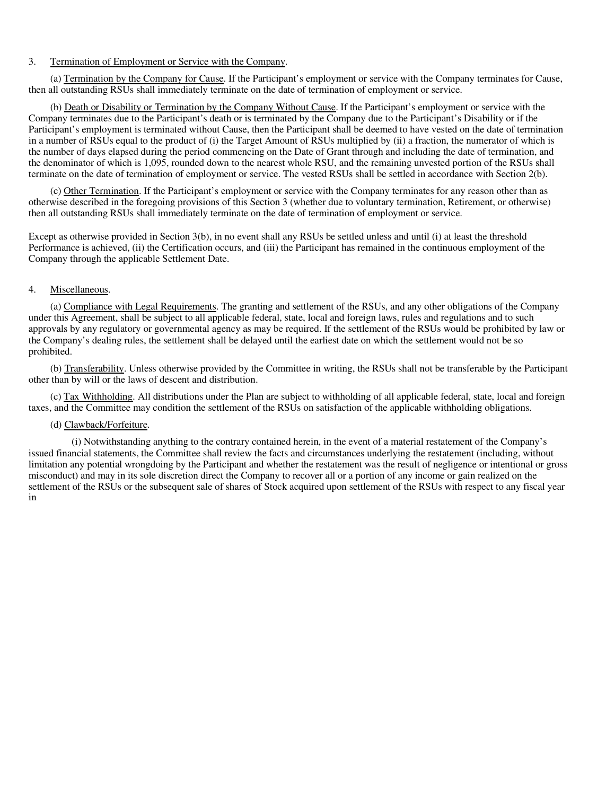## 3. Termination of Employment or Service with the Company.

(a) Termination by the Company for Cause. If the Participant's employment or service with the Company terminates for Cause, then all outstanding RSUs shall immediately terminate on the date of termination of employment or service.

(b) Death or Disability or Termination by the Company Without Cause. If the Participant's employment or service with the Company terminates due to the Participant's death or is terminated by the Company due to the Participant's Disability or if the Participant's employment is terminated without Cause, then the Participant shall be deemed to have vested on the date of termination in a number of RSUs equal to the product of (i) the Target Amount of RSUs multiplied by (ii) a fraction, the numerator of which is the number of days elapsed during the period commencing on the Date of Grant through and including the date of termination, and the denominator of which is 1,095, rounded down to the nearest whole RSU, and the remaining unvested portion of the RSUs shall terminate on the date of termination of employment or service. The vested RSUs shall be settled in accordance with Section 2(b).

(c) Other Termination. If the Participant's employment or service with the Company terminates for any reason other than as otherwise described in the foregoing provisions of this Section 3 (whether due to voluntary termination, Retirement, or otherwise) then all outstanding RSUs shall immediately terminate on the date of termination of employment or service.

Except as otherwise provided in Section 3(b), in no event shall any RSUs be settled unless and until (i) at least the threshold Performance is achieved, (ii) the Certification occurs, and (iii) the Participant has remained in the continuous employment of the Company through the applicable Settlement Date.

## 4. Miscellaneous.

(a) Compliance with Legal Requirements. The granting and settlement of the RSUs, and any other obligations of the Company under this Agreement, shall be subject to all applicable federal, state, local and foreign laws, rules and regulations and to such approvals by any regulatory or governmental agency as may be required. If the settlement of the RSUs would be prohibited by law or the Company's dealing rules, the settlement shall be delayed until the earliest date on which the settlement would not be so prohibited.

(b) Transferability. Unless otherwise provided by the Committee in writing, the RSUs shall not be transferable by the Participant other than by will or the laws of descent and distribution.

(c) Tax Withholding. All distributions under the Plan are subject to withholding of all applicable federal, state, local and foreign taxes, and the Committee may condition the settlement of the RSUs on satisfaction of the applicable withholding obligations.

## (d) Clawback/Forfeiture.

(i) Notwithstanding anything to the contrary contained herein, in the event of a material restatement of the Company's issued financial statements, the Committee shall review the facts and circumstances underlying the restatement (including, without limitation any potential wrongdoing by the Participant and whether the restatement was the result of negligence or intentional or gross misconduct) and may in its sole discretion direct the Company to recover all or a portion of any income or gain realized on the settlement of the RSUs or the subsequent sale of shares of Stock acquired upon settlement of the RSUs with respect to any fiscal year in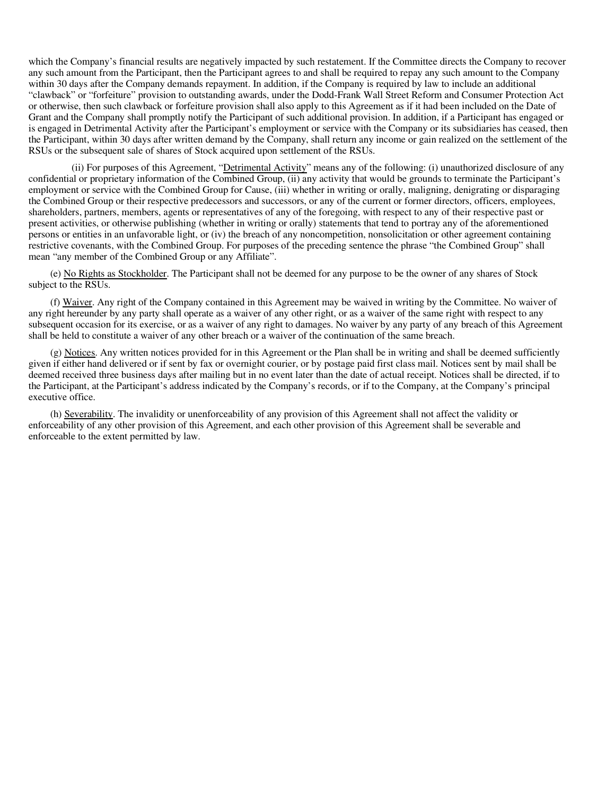which the Company's financial results are negatively impacted by such restatement. If the Committee directs the Company to recover any such amount from the Participant, then the Participant agrees to and shall be required to repay any such amount to the Company within 30 days after the Company demands repayment. In addition, if the Company is required by law to include an additional "clawback" or "forfeiture" provision to outstanding awards, under the Dodd-Frank Wall Street Reform and Consumer Protection Act or otherwise, then such clawback or forfeiture provision shall also apply to this Agreement as if it had been included on the Date of Grant and the Company shall promptly notify the Participant of such additional provision. In addition, if a Participant has engaged or is engaged in Detrimental Activity after the Participant's employment or service with the Company or its subsidiaries has ceased, then the Participant, within 30 days after written demand by the Company, shall return any income or gain realized on the settlement of the RSUs or the subsequent sale of shares of Stock acquired upon settlement of the RSUs.

(ii) For purposes of this Agreement, "Detrimental Activity" means any of the following: (i) unauthorized disclosure of any confidential or proprietary information of the Combined Group, (ii) any activity that would be grounds to terminate the Participant's employment or service with the Combined Group for Cause, (iii) whether in writing or orally, maligning, denigrating or disparaging the Combined Group or their respective predecessors and successors, or any of the current or former directors, officers, employees, shareholders, partners, members, agents or representatives of any of the foregoing, with respect to any of their respective past or present activities, or otherwise publishing (whether in writing or orally) statements that tend to portray any of the aforementioned persons or entities in an unfavorable light, or (iv) the breach of any noncompetition, nonsolicitation or other agreement containing restrictive covenants, with the Combined Group. For purposes of the preceding sentence the phrase "the Combined Group" shall mean "any member of the Combined Group or any Affiliate".

(e) No Rights as Stockholder. The Participant shall not be deemed for any purpose to be the owner of any shares of Stock subject to the RSUs.

(f) Waiver. Any right of the Company contained in this Agreement may be waived in writing by the Committee. No waiver of any right hereunder by any party shall operate as a waiver of any other right, or as a waiver of the same right with respect to any subsequent occasion for its exercise, or as a waiver of any right to damages. No waiver by any party of any breach of this Agreement shall be held to constitute a waiver of any other breach or a waiver of the continuation of the same breach.

(g) Notices. Any written notices provided for in this Agreement or the Plan shall be in writing and shall be deemed sufficiently given if either hand delivered or if sent by fax or overnight courier, or by postage paid first class mail. Notices sent by mail shall be deemed received three business days after mailing but in no event later than the date of actual receipt. Notices shall be directed, if to the Participant, at the Participant's address indicated by the Company's records, or if to the Company, at the Company's principal executive office.

(h) Severability. The invalidity or unenforceability of any provision of this Agreement shall not affect the validity or enforceability of any other provision of this Agreement, and each other provision of this Agreement shall be severable and enforceable to the extent permitted by law.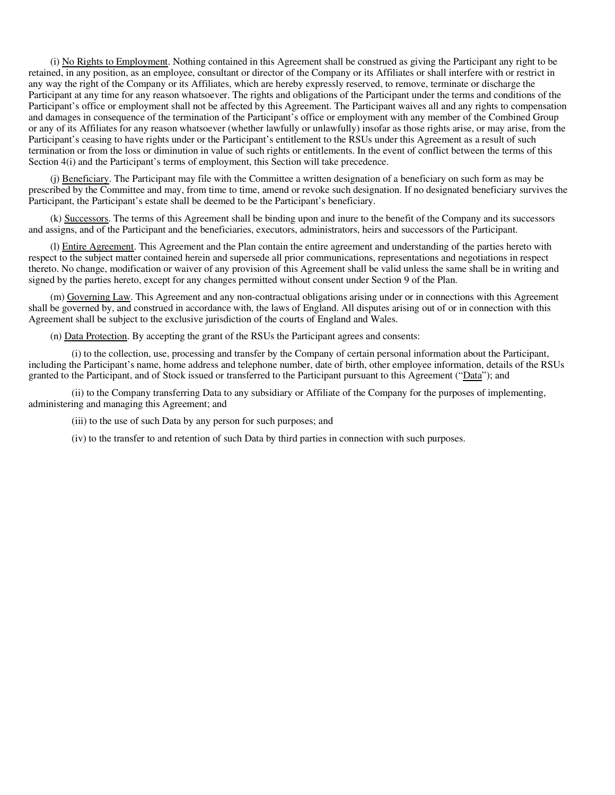(i) No Rights to Employment. Nothing contained in this Agreement shall be construed as giving the Participant any right to be retained, in any position, as an employee, consultant or director of the Company or its Affiliates or shall interfere with or restrict in any way the right of the Company or its Affiliates, which are hereby expressly reserved, to remove, terminate or discharge the Participant at any time for any reason whatsoever. The rights and obligations of the Participant under the terms and conditions of the Participant's office or employment shall not be affected by this Agreement. The Participant waives all and any rights to compensation and damages in consequence of the termination of the Participant's office or employment with any member of the Combined Group or any of its Affiliates for any reason whatsoever (whether lawfully or unlawfully) insofar as those rights arise, or may arise, from the Participant's ceasing to have rights under or the Participant's entitlement to the RSUs under this Agreement as a result of such termination or from the loss or diminution in value of such rights or entitlements. In the event of conflict between the terms of this Section 4(i) and the Participant's terms of employment, this Section will take precedence.

(j) Beneficiary. The Participant may file with the Committee a written designation of a beneficiary on such form as may be prescribed by the Committee and may, from time to time, amend or revoke such designation. If no designated beneficiary survives the Participant, the Participant's estate shall be deemed to be the Participant's beneficiary.

(k) Successors. The terms of this Agreement shall be binding upon and inure to the benefit of the Company and its successors and assigns, and of the Participant and the beneficiaries, executors, administrators, heirs and successors of the Participant.

(l) Entire Agreement. This Agreement and the Plan contain the entire agreement and understanding of the parties hereto with respect to the subject matter contained herein and supersede all prior communications, representations and negotiations in respect thereto. No change, modification or waiver of any provision of this Agreement shall be valid unless the same shall be in writing and signed by the parties hereto, except for any changes permitted without consent under Section 9 of the Plan.

(m) Governing Law. This Agreement and any non-contractual obligations arising under or in connections with this Agreement shall be governed by, and construed in accordance with, the laws of England. All disputes arising out of or in connection with this Agreement shall be subject to the exclusive jurisdiction of the courts of England and Wales.

(n) Data Protection. By accepting the grant of the RSUs the Participant agrees and consents:

(i) to the collection, use, processing and transfer by the Company of certain personal information about the Participant, including the Participant's name, home address and telephone number, date of birth, other employee information, details of the RSUs granted to the Participant, and of Stock issued or transferred to the Participant pursuant to this Agreement ("Data"); and

(ii) to the Company transferring Data to any subsidiary or Affiliate of the Company for the purposes of implementing, administering and managing this Agreement; and

(iii) to the use of such Data by any person for such purposes; and

(iv) to the transfer to and retention of such Data by third parties in connection with such purposes.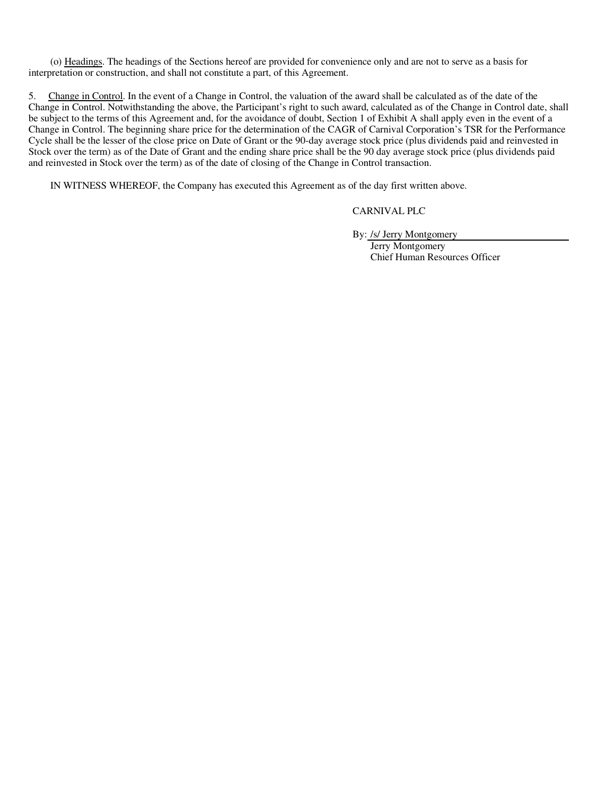(o) Headings. The headings of the Sections hereof are provided for convenience only and are not to serve as a basis for interpretation or construction, and shall not constitute a part, of this Agreement.

5. Change in Control. In the event of a Change in Control, the valuation of the award shall be calculated as of the date of the Change in Control. Notwithstanding the above, the Participant's right to such award, calculated as of the Change in Control date, shall be subject to the terms of this Agreement and, for the avoidance of doubt, Section 1 of Exhibit A shall apply even in the event of a Change in Control. The beginning share price for the determination of the CAGR of Carnival Corporation's TSR for the Performance Cycle shall be the lesser of the close price on Date of Grant or the 90-day average stock price (plus dividends paid and reinvested in Stock over the term) as of the Date of Grant and the ending share price shall be the 90 day average stock price (plus dividends paid and reinvested in Stock over the term) as of the date of closing of the Change in Control transaction.

IN WITNESS WHEREOF, the Company has executed this Agreement as of the day first written above.

CARNIVAL PLC

By: /s/ Jerry Montgomery

Jerry Montgomery Chief Human Resources Officer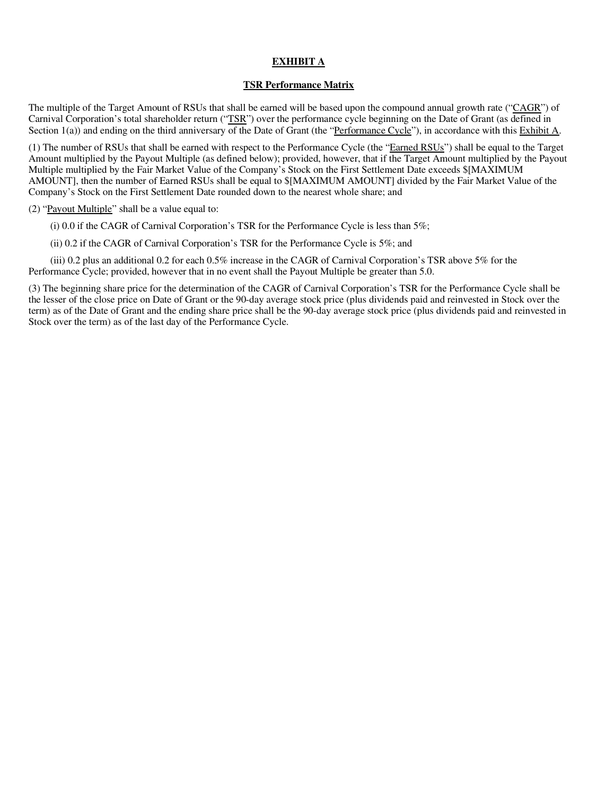# **EXHIBIT A**

### **TSR Performance Matrix**

The multiple of the Target Amount of RSUs that shall be earned will be based upon the compound annual growth rate ("CAGR") of Carnival Corporation's total shareholder return ("TSR") over the performance cycle beginning on the Date of Grant (as defined in Section 1(a)) and ending on the third anniversary of the Date of Grant (the "Performance Cycle"), in accordance with this Exhibit A.

(1) The number of RSUs that shall be earned with respect to the Performance Cycle (the "Earned RSUs") shall be equal to the Target Amount multiplied by the Payout Multiple (as defined below); provided, however, that if the Target Amount multiplied by the Payout Multiple multiplied by the Fair Market Value of the Company's Stock on the First Settlement Date exceeds \$[MAXIMUM AMOUNT], then the number of Earned RSUs shall be equal to \$[MAXIMUM AMOUNT] divided by the Fair Market Value of the Company's Stock on the First Settlement Date rounded down to the nearest whole share; and

(2) "Payout Multiple" shall be a value equal to:

(i) 0.0 if the CAGR of Carnival Corporation's TSR for the Performance Cycle is less than 5%;

(ii) 0.2 if the CAGR of Carnival Corporation's TSR for the Performance Cycle is 5%; and

(iii) 0.2 plus an additional 0.2 for each 0.5% increase in the CAGR of Carnival Corporation's TSR above 5% for the Performance Cycle; provided, however that in no event shall the Payout Multiple be greater than 5.0.

(3) The beginning share price for the determination of the CAGR of Carnival Corporation's TSR for the Performance Cycle shall be the lesser of the close price on Date of Grant or the 90-day average stock price (plus dividends paid and reinvested in Stock over the term) as of the Date of Grant and the ending share price shall be the 90-day average stock price (plus dividends paid and reinvested in Stock over the term) as of the last day of the Performance Cycle.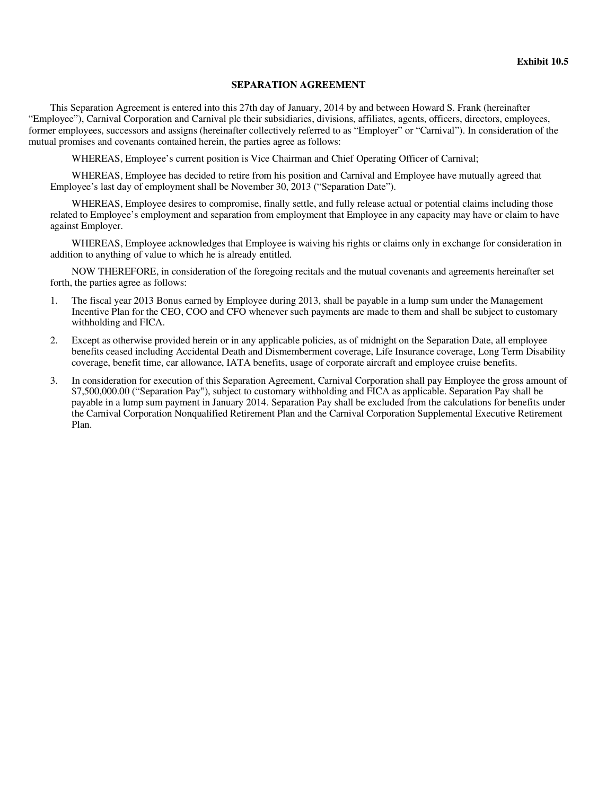#### **SEPARATION AGREEMENT**

This Separation Agreement is entered into this 27th day of January, 2014 by and between Howard S. Frank (hereinafter "Employee"), Carnival Corporation and Carnival plc their subsidiaries, divisions, affiliates, agents, officers, directors, employees, former employees, successors and assigns (hereinafter collectively referred to as "Employer" or "Carnival"). In consideration of the mutual promises and covenants contained herein, the parties agree as follows:

WHEREAS, Employee's current position is Vice Chairman and Chief Operating Officer of Carnival;

WHEREAS, Employee has decided to retire from his position and Carnival and Employee have mutually agreed that Employee's last day of employment shall be November 30, 2013 ("Separation Date").

WHEREAS, Employee desires to compromise, finally settle, and fully release actual or potential claims including those related to Employee's employment and separation from employment that Employee in any capacity may have or claim to have against Employer.

WHEREAS, Employee acknowledges that Employee is waiving his rights or claims only in exchange for consideration in addition to anything of value to which he is already entitled.

NOW THEREFORE, in consideration of the foregoing recitals and the mutual covenants and agreements hereinafter set forth, the parties agree as follows:

- 1. The fiscal year 2013 Bonus earned by Employee during 2013, shall be payable in a lump sum under the Management Incentive Plan for the CEO, COO and CFO whenever such payments are made to them and shall be subject to customary withholding and FICA.
- 2. Except as otherwise provided herein or in any applicable policies, as of midnight on the Separation Date, all employee benefits ceased including Accidental Death and Dismemberment coverage, Life Insurance coverage, Long Term Disability coverage, benefit time, car allowance, IATA benefits, usage of corporate aircraft and employee cruise benefits.
- 3. In consideration for execution of this Separation Agreement, Carnival Corporation shall pay Employee the gross amount of \$7,500,000.00 ("Separation Pay"), subject to customary withholding and FICA as applicable. Separation Pay shall be payable in a lump sum payment in January 2014. Separation Pay shall be excluded from the calculations for benefits under the Carnival Corporation Nonqualified Retirement Plan and the Carnival Corporation Supplemental Executive Retirement Plan.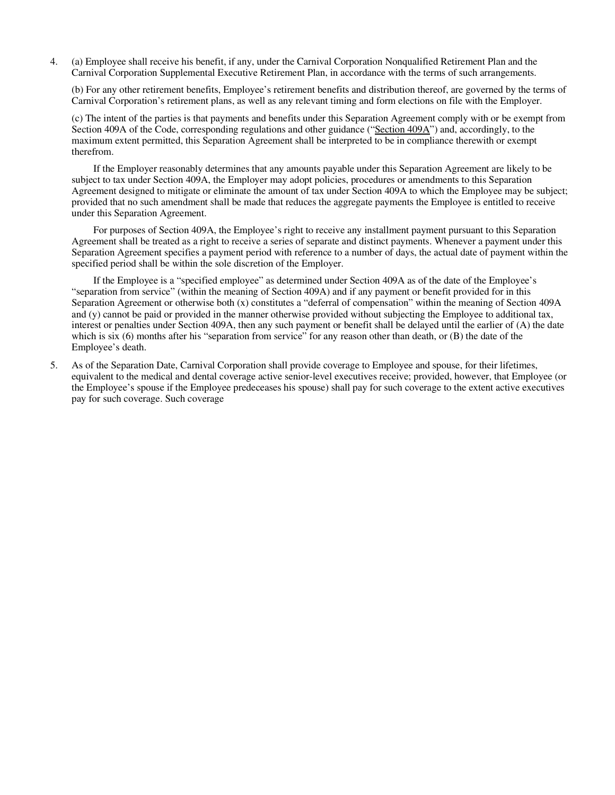4. (a) Employee shall receive his benefit, if any, under the Carnival Corporation Nonqualified Retirement Plan and the Carnival Corporation Supplemental Executive Retirement Plan, in accordance with the terms of such arrangements.

(b) For any other retirement benefits, Employee's retirement benefits and distribution thereof, are governed by the terms of Carnival Corporation's retirement plans, as well as any relevant timing and form elections on file with the Employer.

(c) The intent of the parties is that payments and benefits under this Separation Agreement comply with or be exempt from Section 409A of the Code, corresponding regulations and other guidance ("Section 409A") and, accordingly, to the maximum extent permitted, this Separation Agreement shall be interpreted to be in compliance therewith or exempt therefrom.

If the Employer reasonably determines that any amounts payable under this Separation Agreement are likely to be subject to tax under Section 409A, the Employer may adopt policies, procedures or amendments to this Separation Agreement designed to mitigate or eliminate the amount of tax under Section 409A to which the Employee may be subject; provided that no such amendment shall be made that reduces the aggregate payments the Employee is entitled to receive under this Separation Agreement.

For purposes of Section 409A, the Employee's right to receive any installment payment pursuant to this Separation Agreement shall be treated as a right to receive a series of separate and distinct payments. Whenever a payment under this Separation Agreement specifies a payment period with reference to a number of days, the actual date of payment within the specified period shall be within the sole discretion of the Employer.

If the Employee is a "specified employee" as determined under Section 409A as of the date of the Employee's "separation from service" (within the meaning of Section 409A) and if any payment or benefit provided for in this Separation Agreement or otherwise both (x) constitutes a "deferral of compensation" within the meaning of Section 409A and (y) cannot be paid or provided in the manner otherwise provided without subjecting the Employee to additional tax, interest or penalties under Section 409A, then any such payment or benefit shall be delayed until the earlier of (A) the date which is six (6) months after his "separation from service" for any reason other than death, or (B) the date of the Employee's death.

5. As of the Separation Date, Carnival Corporation shall provide coverage to Employee and spouse, for their lifetimes, equivalent to the medical and dental coverage active senior-level executives receive; provided, however, that Employee (or the Employee's spouse if the Employee predeceases his spouse) shall pay for such coverage to the extent active executives pay for such coverage. Such coverage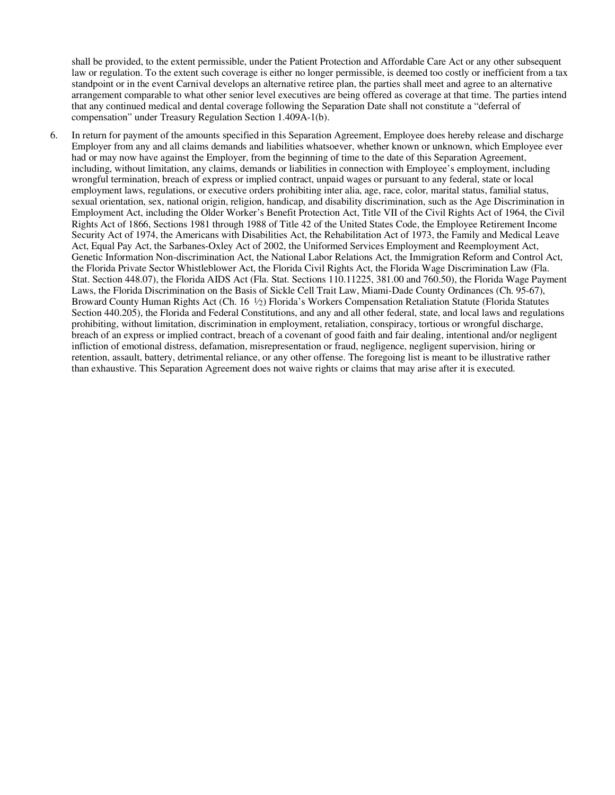shall be provided, to the extent permissible, under the Patient Protection and Affordable Care Act or any other subsequent law or regulation. To the extent such coverage is either no longer permissible, is deemed too costly or inefficient from a tax standpoint or in the event Carnival develops an alternative retiree plan, the parties shall meet and agree to an alternative arrangement comparable to what other senior level executives are being offered as coverage at that time. The parties intend that any continued medical and dental coverage following the Separation Date shall not constitute a "deferral of compensation" under Treasury Regulation Section 1.409A-1(b).

6. In return for payment of the amounts specified in this Separation Agreement, Employee does hereby release and discharge Employer from any and all claims demands and liabilities whatsoever, whether known or unknown, which Employee ever had or may now have against the Employer, from the beginning of time to the date of this Separation Agreement, including, without limitation, any claims, demands or liabilities in connection with Employee's employment, including wrongful termination, breach of express or implied contract, unpaid wages or pursuant to any federal, state or local employment laws, regulations, or executive orders prohibiting inter alia, age, race, color, marital status, familial status, sexual orientation, sex, national origin, religion, handicap, and disability discrimination, such as the Age Discrimination in Employment Act, including the Older Worker's Benefit Protection Act, Title VII of the Civil Rights Act of 1964, the Civil Rights Act of 1866, Sections 1981 through 1988 of Title 42 of the United States Code, the Employee Retirement Income Security Act of 1974, the Americans with Disabilities Act, the Rehabilitation Act of 1973, the Family and Medical Leave Act, Equal Pay Act, the Sarbanes-Oxley Act of 2002, the Uniformed Services Employment and Reemployment Act, Genetic Information Non-discrimination Act, the National Labor Relations Act, the Immigration Reform and Control Act, the Florida Private Sector Whistleblower Act, the Florida Civil Rights Act, the Florida Wage Discrimination Law (Fla. Stat. Section 448.07), the Florida AIDS Act (Fla. Stat. Sections 110.11225, 381.00 and 760.50), the Florida Wage Payment Laws, the Florida Discrimination on the Basis of Sickle Cell Trait Law, Miami-Dade County Ordinances (Ch. 95-67), Broward County Human Rights Act (Ch. 16 1⁄2) Florida's Workers Compensation Retaliation Statute (Florida Statutes Section 440.205), the Florida and Federal Constitutions, and any and all other federal, state, and local laws and regulations prohibiting, without limitation, discrimination in employment, retaliation, conspiracy, tortious or wrongful discharge, breach of an express or implied contract, breach of a covenant of good faith and fair dealing, intentional and/or negligent infliction of emotional distress, defamation, misrepresentation or fraud, negligence, negligent supervision, hiring or retention, assault, battery, detrimental reliance, or any other offense. The foregoing list is meant to be illustrative rather than exhaustive. This Separation Agreement does not waive rights or claims that may arise after it is executed.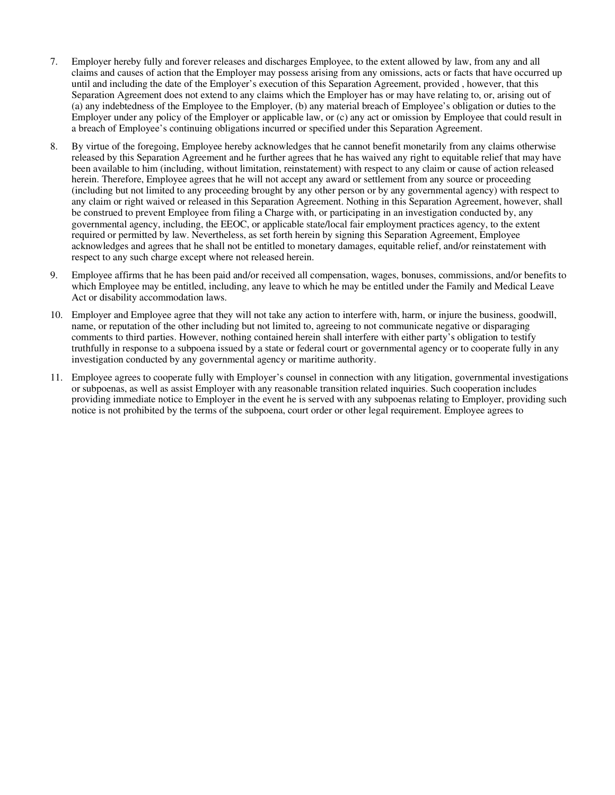- 7. Employer hereby fully and forever releases and discharges Employee, to the extent allowed by law, from any and all claims and causes of action that the Employer may possess arising from any omissions, acts or facts that have occurred up until and including the date of the Employer's execution of this Separation Agreement, provided , however, that this Separation Agreement does not extend to any claims which the Employer has or may have relating to, or, arising out of (a) any indebtedness of the Employee to the Employer, (b) any material breach of Employee's obligation or duties to the Employer under any policy of the Employer or applicable law, or (c) any act or omission by Employee that could result in a breach of Employee's continuing obligations incurred or specified under this Separation Agreement.
- 8. By virtue of the foregoing, Employee hereby acknowledges that he cannot benefit monetarily from any claims otherwise released by this Separation Agreement and he further agrees that he has waived any right to equitable relief that may have been available to him (including, without limitation, reinstatement) with respect to any claim or cause of action released herein. Therefore, Employee agrees that he will not accept any award or settlement from any source or proceeding (including but not limited to any proceeding brought by any other person or by any governmental agency) with respect to any claim or right waived or released in this Separation Agreement. Nothing in this Separation Agreement, however, shall be construed to prevent Employee from filing a Charge with, or participating in an investigation conducted by, any governmental agency, including, the EEOC, or applicable state/local fair employment practices agency, to the extent required or permitted by law. Nevertheless, as set forth herein by signing this Separation Agreement, Employee acknowledges and agrees that he shall not be entitled to monetary damages, equitable relief, and/or reinstatement with respect to any such charge except where not released herein.
- 9. Employee affirms that he has been paid and/or received all compensation, wages, bonuses, commissions, and/or benefits to which Employee may be entitled, including, any leave to which he may be entitled under the Family and Medical Leave Act or disability accommodation laws.
- 10. Employer and Employee agree that they will not take any action to interfere with, harm, or injure the business, goodwill, name, or reputation of the other including but not limited to, agreeing to not communicate negative or disparaging comments to third parties. However, nothing contained herein shall interfere with either party's obligation to testify truthfully in response to a subpoena issued by a state or federal court or governmental agency or to cooperate fully in any investigation conducted by any governmental agency or maritime authority.
- 11. Employee agrees to cooperate fully with Employer's counsel in connection with any litigation, governmental investigations or subpoenas, as well as assist Employer with any reasonable transition related inquiries. Such cooperation includes providing immediate notice to Employer in the event he is served with any subpoenas relating to Employer, providing such notice is not prohibited by the terms of the subpoena, court order or other legal requirement. Employee agrees to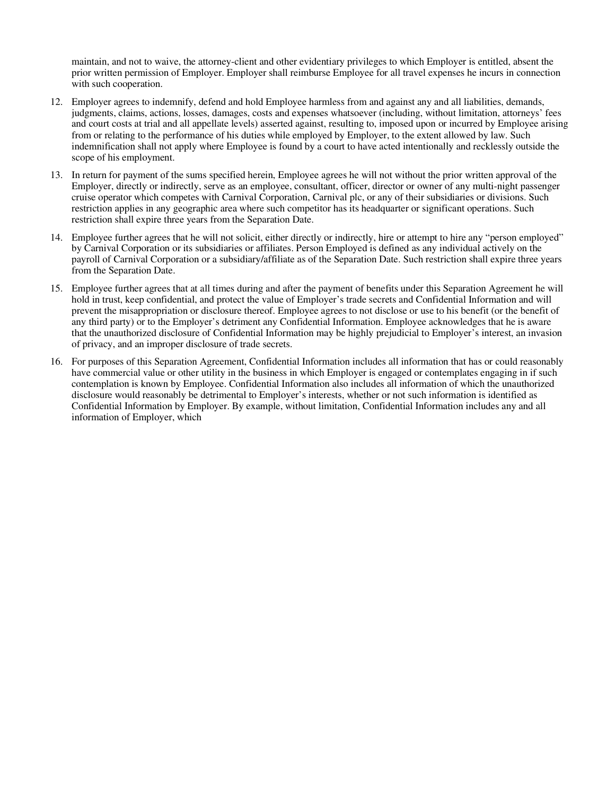maintain, and not to waive, the attorney-client and other evidentiary privileges to which Employer is entitled, absent the prior written permission of Employer. Employer shall reimburse Employee for all travel expenses he incurs in connection with such cooperation.

- 12. Employer agrees to indemnify, defend and hold Employee harmless from and against any and all liabilities, demands, judgments, claims, actions, losses, damages, costs and expenses whatsoever (including, without limitation, attorneys' fees and court costs at trial and all appellate levels) asserted against, resulting to, imposed upon or incurred by Employee arising from or relating to the performance of his duties while employed by Employer, to the extent allowed by law. Such indemnification shall not apply where Employee is found by a court to have acted intentionally and recklessly outside the scope of his employment.
- 13. In return for payment of the sums specified herein, Employee agrees he will not without the prior written approval of the Employer, directly or indirectly, serve as an employee, consultant, officer, director or owner of any multi-night passenger cruise operator which competes with Carnival Corporation, Carnival plc, or any of their subsidiaries or divisions. Such restriction applies in any geographic area where such competitor has its headquarter or significant operations. Such restriction shall expire three years from the Separation Date.
- 14. Employee further agrees that he will not solicit, either directly or indirectly, hire or attempt to hire any "person employed" by Carnival Corporation or its subsidiaries or affiliates. Person Employed is defined as any individual actively on the payroll of Carnival Corporation or a subsidiary/affiliate as of the Separation Date. Such restriction shall expire three years from the Separation Date.
- 15. Employee further agrees that at all times during and after the payment of benefits under this Separation Agreement he will hold in trust, keep confidential, and protect the value of Employer's trade secrets and Confidential Information and will prevent the misappropriation or disclosure thereof. Employee agrees to not disclose or use to his benefit (or the benefit of any third party) or to the Employer's detriment any Confidential Information. Employee acknowledges that he is aware that the unauthorized disclosure of Confidential Information may be highly prejudicial to Employer's interest, an invasion of privacy, and an improper disclosure of trade secrets.
- 16. For purposes of this Separation Agreement, Confidential Information includes all information that has or could reasonably have commercial value or other utility in the business in which Employer is engaged or contemplates engaging in if such contemplation is known by Employee. Confidential Information also includes all information of which the unauthorized disclosure would reasonably be detrimental to Employer's interests, whether or not such information is identified as Confidential Information by Employer. By example, without limitation, Confidential Information includes any and all information of Employer, which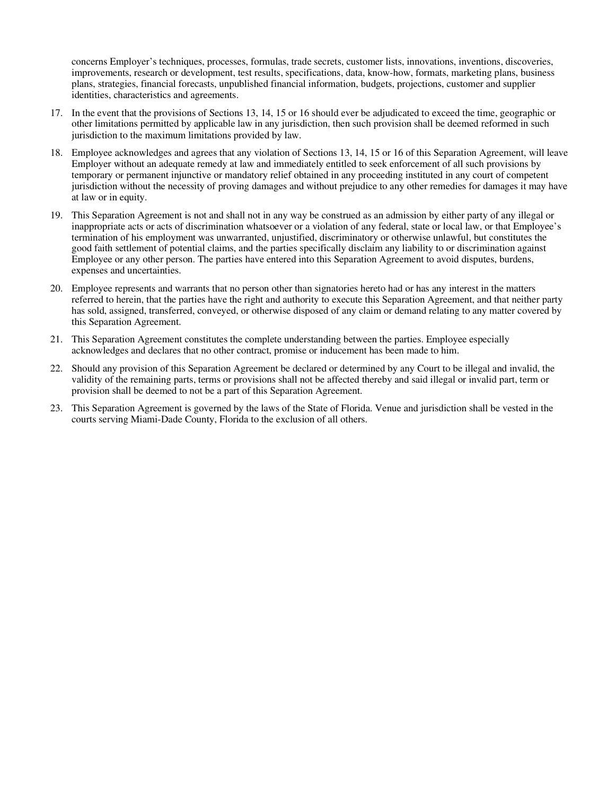concerns Employer's techniques, processes, formulas, trade secrets, customer lists, innovations, inventions, discoveries, improvements, research or development, test results, specifications, data, know-how, formats, marketing plans, business plans, strategies, financial forecasts, unpublished financial information, budgets, projections, customer and supplier identities, characteristics and agreements.

- 17. In the event that the provisions of Sections 13, 14, 15 or 16 should ever be adjudicated to exceed the time, geographic or other limitations permitted by applicable law in any jurisdiction, then such provision shall be deemed reformed in such jurisdiction to the maximum limitations provided by law.
- 18. Employee acknowledges and agrees that any violation of Sections 13, 14, 15 or 16 of this Separation Agreement, will leave Employer without an adequate remedy at law and immediately entitled to seek enforcement of all such provisions by temporary or permanent injunctive or mandatory relief obtained in any proceeding instituted in any court of competent jurisdiction without the necessity of proving damages and without prejudice to any other remedies for damages it may have at law or in equity.
- 19. This Separation Agreement is not and shall not in any way be construed as an admission by either party of any illegal or inappropriate acts or acts of discrimination whatsoever or a violation of any federal, state or local law, or that Employee's termination of his employment was unwarranted, unjustified, discriminatory or otherwise unlawful, but constitutes the good faith settlement of potential claims, and the parties specifically disclaim any liability to or discrimination against Employee or any other person. The parties have entered into this Separation Agreement to avoid disputes, burdens, expenses and uncertainties.
- 20. Employee represents and warrants that no person other than signatories hereto had or has any interest in the matters referred to herein, that the parties have the right and authority to execute this Separation Agreement, and that neither party has sold, assigned, transferred, conveyed, or otherwise disposed of any claim or demand relating to any matter covered by this Separation Agreement.
- 21. This Separation Agreement constitutes the complete understanding between the parties. Employee especially acknowledges and declares that no other contract, promise or inducement has been made to him.
- 22. Should any provision of this Separation Agreement be declared or determined by any Court to be illegal and invalid, the validity of the remaining parts, terms or provisions shall not be affected thereby and said illegal or invalid part, term or provision shall be deemed to not be a part of this Separation Agreement.
- 23. This Separation Agreement is governed by the laws of the State of Florida. Venue and jurisdiction shall be vested in the courts serving Miami-Dade County, Florida to the exclusion of all others.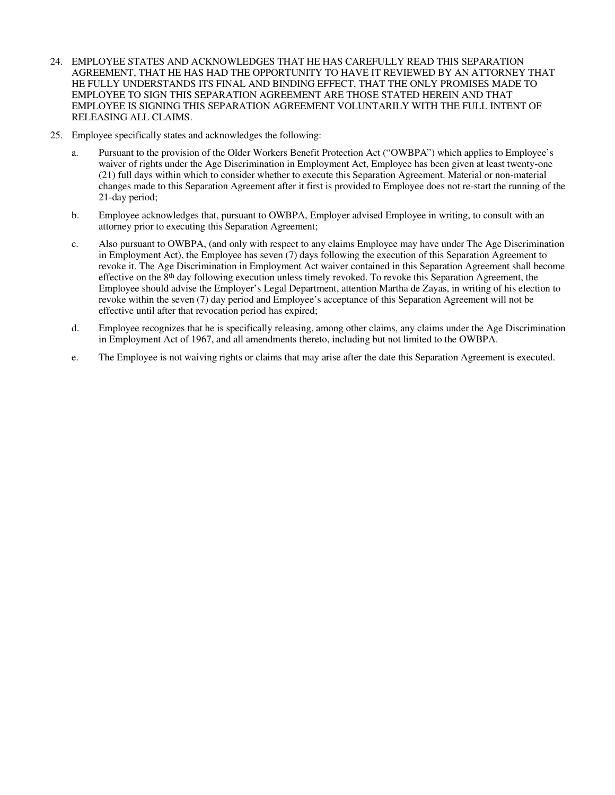- 24. EMPLOYEE STATES AND ACKNOWLEDGES THAT HE HAS CAREFULLY READ THIS SEPARATION AGREEMENT, THAT HE HAS HAD THE OPPORTUNITY TO HAVE IT REVIEWED BY AN ATTORNEY THAT HE FULLY UNDERSTANDS ITS FINAL AND BINDING EFFECT, THAT THE ONLY PROMISES MADE TO EMPLOYEE TO SIGN THIS SEPARATION AGREEMENT ARE THOSE STATED HEREIN AND THAT EMPLOYEE IS SIGNING THIS SEPARATION AGREEMENT VOLUNTARILY WITH THE FULL INTENT OF RELEASING ALL CLAIMS.
- 25. Employee specifically states and acknowledges the following:
	- a. Pursuant to the provision of the Older Workers Benefit Protection Act ("OWBPA") which applies to Employee's waiver of rights under the Age Discrimination in Employment Act, Employee has been given at least twenty-one (21) full days within which to consider whether to execute this Separation Agreement. Material or non-material changes made to this Separation Agreement after it first is provided to Employee does not re-start the running of the 21-day period;
	- b. Employee acknowledges that, pursuant to OWBPA, Employer advised Employee in writing, to consult with an attorney prior to executing this Separation Agreement;
	- c. Also pursuant to OWBPA, (and only with respect to any claims Employee may have under The Age Discrimination in Employment Act), the Employee has seven (7) days following the execution of this Separation Agreement to revoke it. The Age Discrimination in Employment Act waiver contained in this Separation Agreement shall become effective on the 8th day following execution unless timely revoked. To revoke this Separation Agreement, the Employee should advise the Employer's Legal Department, attention Martha de Zayas, in writing of his election to revoke within the seven (7) day period and Employee's acceptance of this Separation Agreement will not be effective until after that revocation period has expired;
	- d. Employee recognizes that he is specifically releasing, among other claims, any claims under the Age Discrimination in Employment Act of 1967, and all amendments thereto, including but not limited to the OWBPA.
	- e. The Employee is not waiving rights or claims that may arise after the date this Separation Agreement is executed.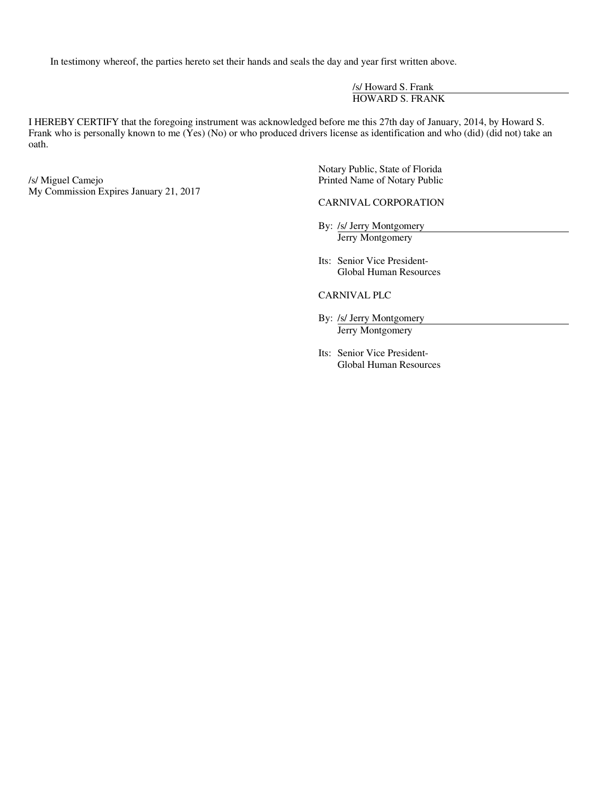In testimony whereof, the parties hereto set their hands and seals the day and year first written above.

/s/ Howard S. Frank HOWARD S. FRANK

I HEREBY CERTIFY that the foregoing instrument was acknowledged before me this 27th day of January, 2014, by Howard S. Frank who is personally known to me (Yes) (No) or who produced drivers license as identification and who (did) (did not) take an oath.

/s/ Miguel Camejo Printed Name of Notary Public My Commission Expires January 21, 2017

Notary Public, State of Florida

CARNIVAL CORPORATION

 By: /s/ Jerry Montgomery Jerry Montgomery

Its: Senior Vice President-Global Human Resources

CARNIVAL PLC

By: /s/ Jerry Montgomery Jerry Montgomery

Its: Senior Vice President- Global Human Resources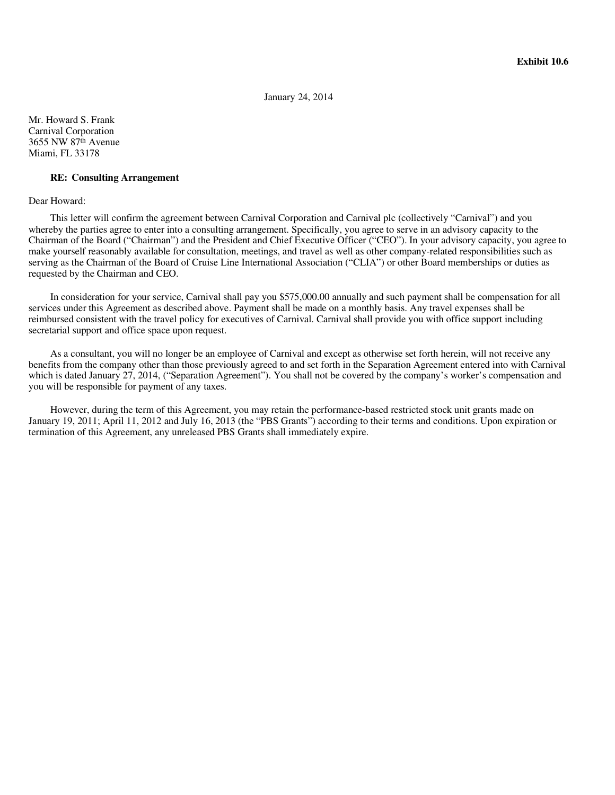January 24, 2014

Mr. Howard S. Frank Carnival Corporation 3655 NW 87th Avenue Miami, FL 33178

#### **RE: Consulting Arrangement**

#### Dear Howard:

This letter will confirm the agreement between Carnival Corporation and Carnival plc (collectively "Carnival") and you whereby the parties agree to enter into a consulting arrangement. Specifically, you agree to serve in an advisory capacity to the Chairman of the Board ("Chairman") and the President and Chief Executive Officer ("CEO"). In your advisory capacity, you agree to make yourself reasonably available for consultation, meetings, and travel as well as other company-related responsibilities such as serving as the Chairman of the Board of Cruise Line International Association ("CLIA") or other Board memberships or duties as requested by the Chairman and CEO.

In consideration for your service, Carnival shall pay you \$575,000.00 annually and such payment shall be compensation for all services under this Agreement as described above. Payment shall be made on a monthly basis. Any travel expenses shall be reimbursed consistent with the travel policy for executives of Carnival. Carnival shall provide you with office support including secretarial support and office space upon request.

As a consultant, you will no longer be an employee of Carnival and except as otherwise set forth herein, will not receive any benefits from the company other than those previously agreed to and set forth in the Separation Agreement entered into with Carnival which is dated January 27, 2014, ("Separation Agreement"). You shall not be covered by the company's worker's compensation and you will be responsible for payment of any taxes.

However, during the term of this Agreement, you may retain the performance-based restricted stock unit grants made on January 19, 2011; April 11, 2012 and July 16, 2013 (the "PBS Grants") according to their terms and conditions. Upon expiration or termination of this Agreement, any unreleased PBS Grants shall immediately expire.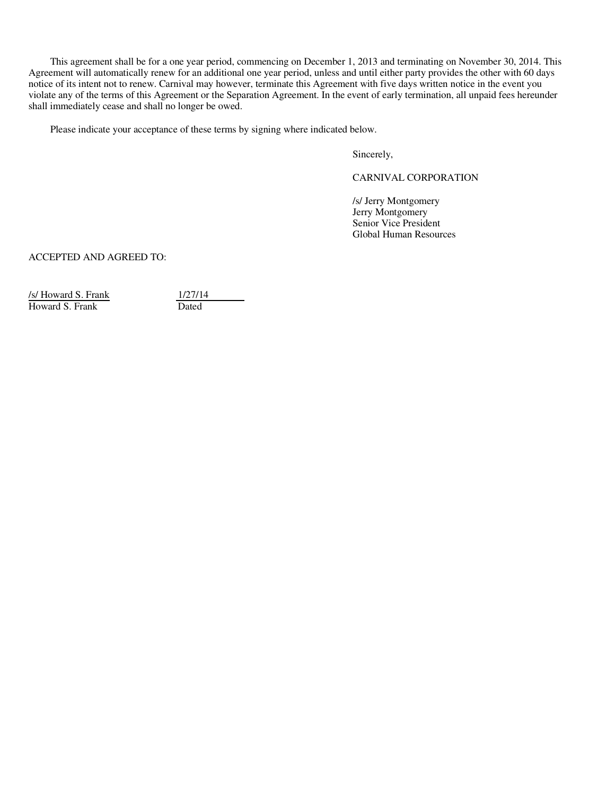This agreement shall be for a one year period, commencing on December 1, 2013 and terminating on November 30, 2014. This Agreement will automatically renew for an additional one year period, unless and until either party provides the other with 60 days notice of its intent not to renew. Carnival may however, terminate this Agreement with five days written notice in the event you violate any of the terms of this Agreement or the Separation Agreement. In the event of early termination, all unpaid fees hereunder shall immediately cease and shall no longer be owed.

Please indicate your acceptance of these terms by signing where indicated below.

Sincerely,

CARNIVAL CORPORATION

/s/ Jerry Montgomery Jerry Montgomery Senior Vice President Global Human Resources

ACCEPTED AND AGREED TO:

/s/ Howard S. Frank 1/27/14 Howard S. Frank Dated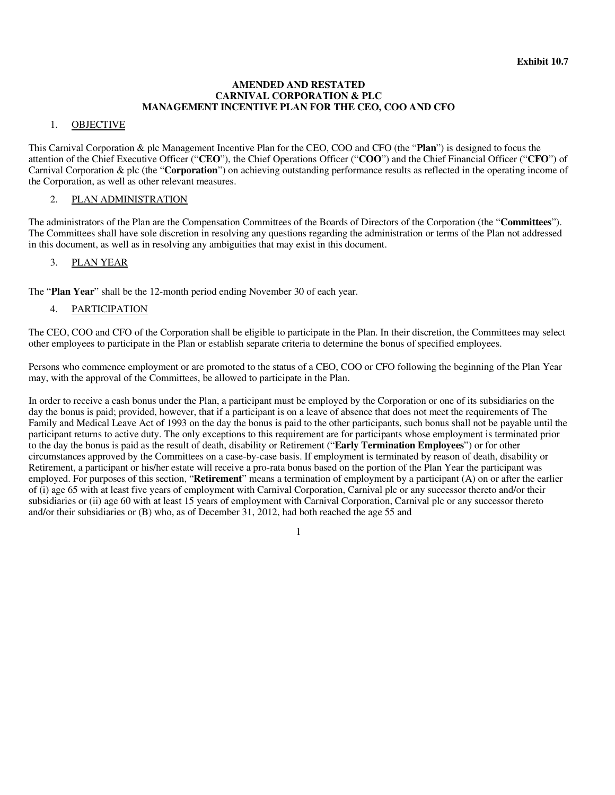### **AMENDED AND RESTATED CARNIVAL CORPORATION & PLC MANAGEMENT INCENTIVE PLAN FOR THE CEO, COO AND CFO**

### 1. OBJECTIVE

This Carnival Corporation & plc Management Incentive Plan for the CEO, COO and CFO (the "**Plan**") is designed to focus the attention of the Chief Executive Officer ("**CEO**"), the Chief Operations Officer ("**COO**") and the Chief Financial Officer ("**CFO**") of Carnival Corporation & plc (the "**Corporation**") on achieving outstanding performance results as reflected in the operating income of the Corporation, as well as other relevant measures.

### 2. PLAN ADMINISTRATION

The administrators of the Plan are the Compensation Committees of the Boards of Directors of the Corporation (the "**Committees**"). The Committees shall have sole discretion in resolving any questions regarding the administration or terms of the Plan not addressed in this document, as well as in resolving any ambiguities that may exist in this document.

### 3. PLAN YEAR

The "**Plan Year**" shall be the 12-month period ending November 30 of each year.

## 4. PARTICIPATION

The CEO, COO and CFO of the Corporation shall be eligible to participate in the Plan. In their discretion, the Committees may select other employees to participate in the Plan or establish separate criteria to determine the bonus of specified employees.

Persons who commence employment or are promoted to the status of a CEO, COO or CFO following the beginning of the Plan Year may, with the approval of the Committees, be allowed to participate in the Plan.

In order to receive a cash bonus under the Plan, a participant must be employed by the Corporation or one of its subsidiaries on the day the bonus is paid; provided, however, that if a participant is on a leave of absence that does not meet the requirements of The Family and Medical Leave Act of 1993 on the day the bonus is paid to the other participants, such bonus shall not be payable until the participant returns to active duty. The only exceptions to this requirement are for participants whose employment is terminated prior to the day the bonus is paid as the result of death, disability or Retirement ("**Early Termination Employees**") or for other circumstances approved by the Committees on a case-by-case basis. If employment is terminated by reason of death, disability or Retirement, a participant or his/her estate will receive a pro-rata bonus based on the portion of the Plan Year the participant was employed. For purposes of this section, "**Retirement**" means a termination of employment by a participant (A) on or after the earlier of (i) age 65 with at least five years of employment with Carnival Corporation, Carnival plc or any successor thereto and/or their subsidiaries or (ii) age 60 with at least 15 years of employment with Carnival Corporation, Carnival plc or any successor thereto and/or their subsidiaries or (B) who, as of December 31, 2012, had both reached the age 55 and

1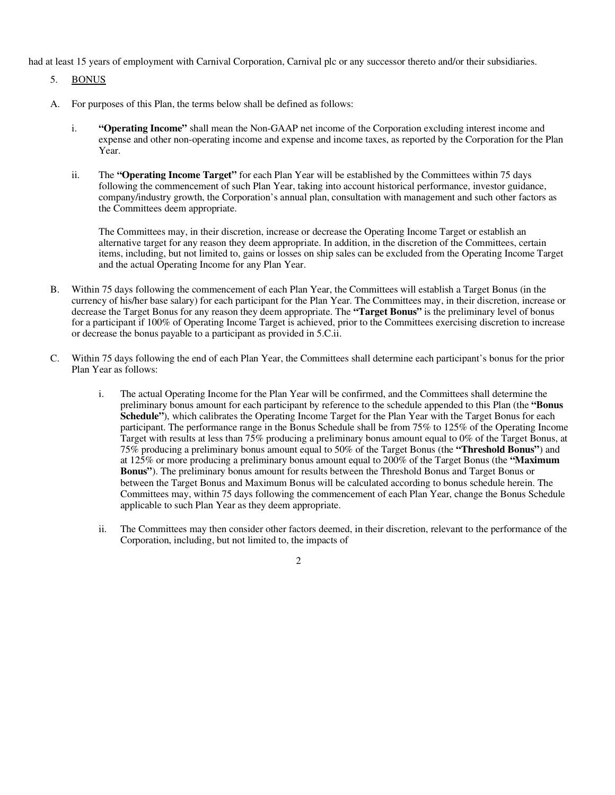had at least 15 years of employment with Carnival Corporation, Carnival plc or any successor thereto and/or their subsidiaries.

5. BONUS

- A. For purposes of this Plan, the terms below shall be defined as follows:
	- i. **"Operating Income"** shall mean the Non-GAAP net income of the Corporation excluding interest income and expense and other non-operating income and expense and income taxes, as reported by the Corporation for the Plan Year.
	- ii. The **"Operating Income Target"** for each Plan Year will be established by the Committees within 75 days following the commencement of such Plan Year, taking into account historical performance, investor guidance, company/industry growth, the Corporation's annual plan, consultation with management and such other factors as the Committees deem appropriate.

The Committees may, in their discretion, increase or decrease the Operating Income Target or establish an alternative target for any reason they deem appropriate. In addition, in the discretion of the Committees, certain items, including, but not limited to, gains or losses on ship sales can be excluded from the Operating Income Target and the actual Operating Income for any Plan Year.

- B. Within 75 days following the commencement of each Plan Year, the Committees will establish a Target Bonus (in the currency of his/her base salary) for each participant for the Plan Year. The Committees may, in their discretion, increase or decrease the Target Bonus for any reason they deem appropriate. The **"Target Bonus"** is the preliminary level of bonus for a participant if 100% of Operating Income Target is achieved, prior to the Committees exercising discretion to increase or decrease the bonus payable to a participant as provided in 5.C.ii.
- C. Within 75 days following the end of each Plan Year, the Committees shall determine each participant's bonus for the prior Plan Year as follows:
	- i. The actual Operating Income for the Plan Year will be confirmed, and the Committees shall determine the preliminary bonus amount for each participant by reference to the schedule appended to this Plan (the **"Bonus Schedule''**), which calibrates the Operating Income Target for the Plan Year with the Target Bonus for each participant. The performance range in the Bonus Schedule shall be from 75% to 125% of the Operating Income Target with results at less than 75% producing a preliminary bonus amount equal to 0% of the Target Bonus, at 75% producing a preliminary bonus amount equal to 50% of the Target Bonus (the **"Threshold Bonus"**) and at 125% or more producing a preliminary bonus amount equal to 200% of the Target Bonus (the **"Maximum Bonus"**). The preliminary bonus amount for results between the Threshold Bonus and Target Bonus or between the Target Bonus and Maximum Bonus will be calculated according to bonus schedule herein. The Committees may, within 75 days following the commencement of each Plan Year, change the Bonus Schedule applicable to such Plan Year as they deem appropriate.
	- ii. The Committees may then consider other factors deemed, in their discretion, relevant to the performance of the Corporation, including, but not limited to, the impacts of

2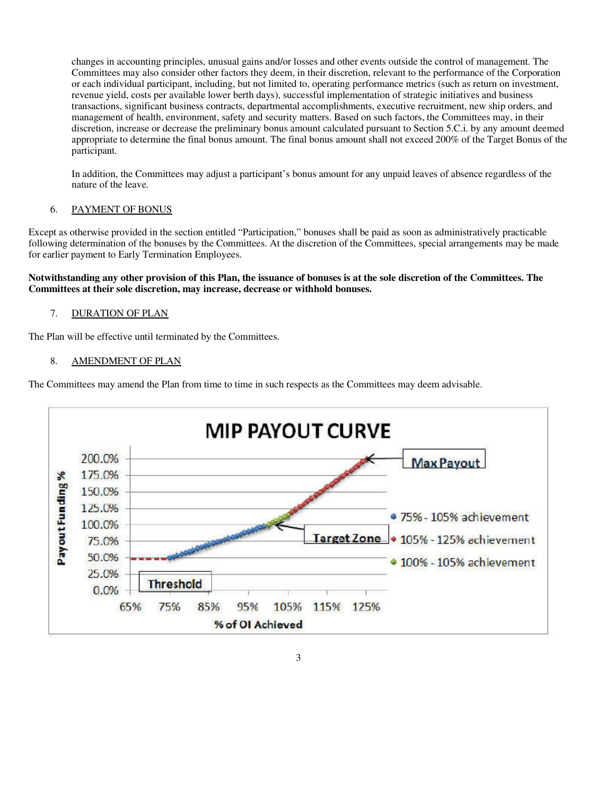changes in accounting principles, unusual gains and/or losses and other events outside the control of management. The Committees may also consider other factors they deem, in their discretion, relevant to the performance of the Corporation or each individual participant, including, but not limited to, operating performance metrics (such as return on investment, revenue yield, costs per available lower berth days), successful implementation of strategic initiatives and business transactions, significant business contracts, departmental accomplishments, executive recruitment, new ship orders, and management of health, environment, safety and security matters. Based on such factors, the Committees may, in their discretion, increase or decrease the preliminary bonus amount calculated pursuant to Section 5.C.i. by any amount deemed appropriate to determine the final bonus amount. The final bonus amount shall not exceed 200% of the Target Bonus of the participant.

In addition, the Committees may adjust a participant's bonus amount for any unpaid leaves of absence regardless of the nature of the leave.

## 6. PAYMENT OF BONUS

Except as otherwise provided in the section entitled "Participation," bonuses shall be paid as soon as administratively practicable following determination of the bonuses by the Committees. At the discretion of the Committees, special arrangements may be made for earlier payment to Early Termination Employees.

**Notwithstanding any other provision of this Plan, the issuance of bonuses is at the sole discretion of the Committees. The Committees at their sole discretion, may increase, decrease or withhold bonuses.** 

## 7. DURATION OF PLAN

The Plan will be effective until terminated by the Committees.

## 8. AMENDMENT OF PLAN

The Committees may amend the Plan from time to time in such respects as the Committees may deem advisable.

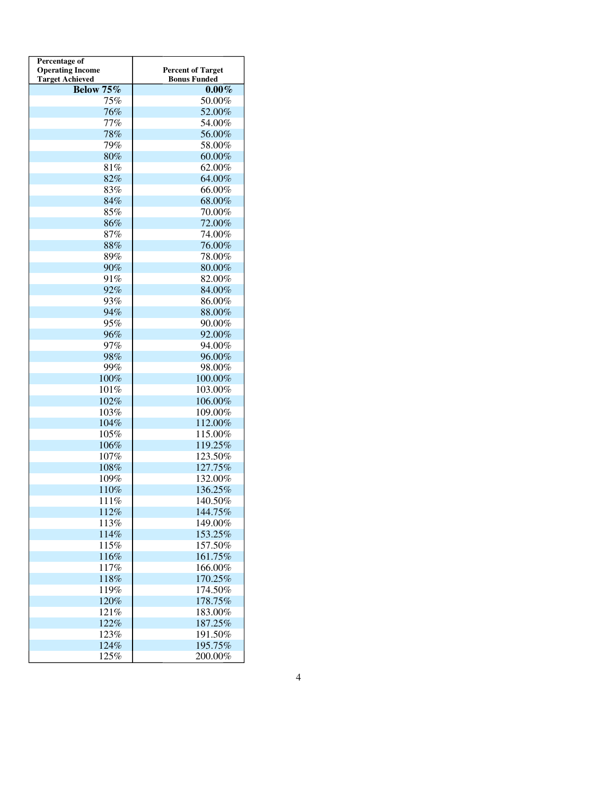| Percentage of                                     |                                                 |  |
|---------------------------------------------------|-------------------------------------------------|--|
| <b>Operating Income</b><br><b>Target Achieved</b> | <b>Percent of Target</b><br><b>Bonus Funded</b> |  |
| <b>Below 75%</b>                                  | $0.00\%$                                        |  |
| 75%                                               | 50.00%                                          |  |
| 76%                                               | 52.00%                                          |  |
| 77%                                               | 54.00%                                          |  |
| 78%                                               | 56.00%                                          |  |
| 79%                                               | 58.00%                                          |  |
| 80%                                               | 60.00%                                          |  |
| 81%                                               | 62.00%                                          |  |
| 82%                                               | 64.00%                                          |  |
| 83%                                               | 66.00%                                          |  |
| 84%                                               | 68.00%                                          |  |
| 85%                                               | 70.00%                                          |  |
| 86%                                               | 72.00%                                          |  |
| 87%                                               | 74.00%                                          |  |
| 88%                                               | 76.00%                                          |  |
| 89%                                               | 78.00%                                          |  |
| 90%                                               | 80.00%                                          |  |
| 91%                                               | 82.00%                                          |  |
| 92%                                               | 84.00%                                          |  |
| 93%                                               | 86.00%                                          |  |
| 94%                                               | 88.00%                                          |  |
| 95%                                               | 90.00%                                          |  |
| 96%                                               | 92.00%                                          |  |
| 97%                                               | 94.00%                                          |  |
| 98%                                               | 96.00%                                          |  |
| 99%                                               | 98.00%                                          |  |
| 100%                                              | 100.00%                                         |  |
| 101%                                              | 103.00%                                         |  |
| 102%                                              | 106.00%                                         |  |
| 103%                                              | 109.00%                                         |  |
| 104%                                              | 112.00%                                         |  |
| 105%                                              | 115.00%                                         |  |
| 106%                                              | 119.25%                                         |  |
| 107%                                              | 123.50%                                         |  |
| 108%                                              | 127.75%                                         |  |
| 109%                                              | 132.00%                                         |  |
| 110%                                              | 136.25%                                         |  |
| 111%                                              | 140.50%                                         |  |
| 112%                                              | 144.75%                                         |  |
| 113%                                              | 149.00%                                         |  |
| 114%                                              | 153.25%                                         |  |
| 115%                                              | 157.50%                                         |  |
| 116%                                              | 161.75%<br>166.00%                              |  |
| 117%                                              | 170.25%                                         |  |
| 118%                                              |                                                 |  |
| 119%<br>120%                                      | 174.50%<br>178.75%                              |  |
| 121%                                              | 183.00%                                         |  |
| 122%                                              | 187.25%                                         |  |
| 123%                                              | 191.50%                                         |  |
| 124%                                              | 195.75%                                         |  |
| 125%                                              | 200.00%                                         |  |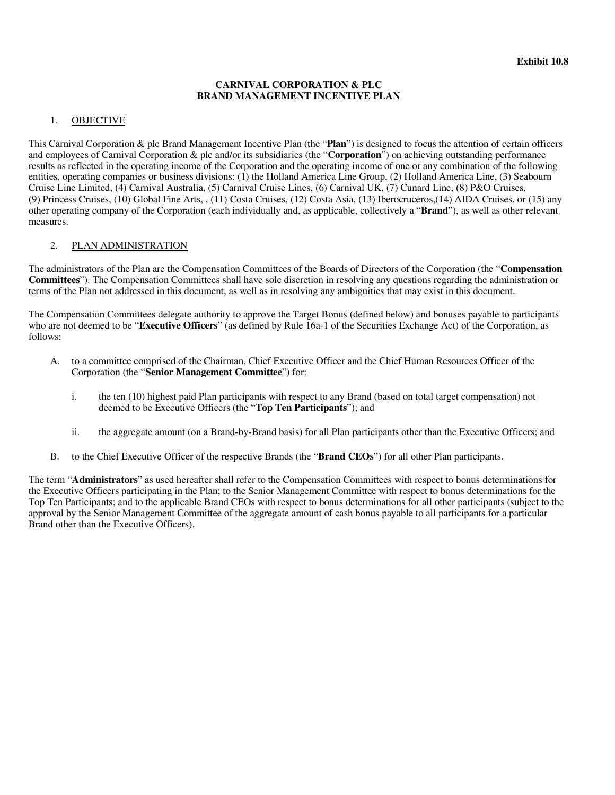## **CARNIVAL CORPORATION & PLC BRAND MANAGEMENT INCENTIVE PLAN**

## 1. OBJECTIVE

This Carnival Corporation & plc Brand Management Incentive Plan (the "**Plan**") is designed to focus the attention of certain officers and employees of Carnival Corporation & plc and/or its subsidiaries (the "**Corporation**") on achieving outstanding performance results as reflected in the operating income of the Corporation and the operating income of one or any combination of the following entities, operating companies or business divisions: (1) the Holland America Line Group, (2) Holland America Line, (3) Seabourn Cruise Line Limited, (4) Carnival Australia, (5) Carnival Cruise Lines, (6) Carnival UK, (7) Cunard Line, (8) P&O Cruises, (9) Princess Cruises, (10) Global Fine Arts, , (11) Costa Cruises, (12) Costa Asia, (13) Iberocruceros,(14) AIDA Cruises, or (15) any other operating company of the Corporation (each individually and, as applicable, collectively a "**Brand**"), as well as other relevant measures.

## 2. PLAN ADMINISTRATION

The administrators of the Plan are the Compensation Committees of the Boards of Directors of the Corporation (the "**Compensation Committees**"). The Compensation Committees shall have sole discretion in resolving any questions regarding the administration or terms of the Plan not addressed in this document, as well as in resolving any ambiguities that may exist in this document.

The Compensation Committees delegate authority to approve the Target Bonus (defined below) and bonuses payable to participants who are not deemed to be "**Executive Officers**" (as defined by Rule 16a-1 of the Securities Exchange Act) of the Corporation, as follows:

- A. to a committee comprised of the Chairman, Chief Executive Officer and the Chief Human Resources Officer of the Corporation (the "**Senior Management Committee**") for:
	- i. the ten (10) highest paid Plan participants with respect to any Brand (based on total target compensation) not deemed to be Executive Officers (the "**Top Ten Participants**"); and
	- ii. the aggregate amount (on a Brand-by-Brand basis) for all Plan participants other than the Executive Officers; and
- B. to the Chief Executive Officer of the respective Brands (the "**Brand CEOs**") for all other Plan participants.

The term "**Administrators**" as used hereafter shall refer to the Compensation Committees with respect to bonus determinations for the Executive Officers participating in the Plan; to the Senior Management Committee with respect to bonus determinations for the Top Ten Participants; and to the applicable Brand CEOs with respect to bonus determinations for all other participants (subject to the approval by the Senior Management Committee of the aggregate amount of cash bonus payable to all participants for a particular Brand other than the Executive Officers).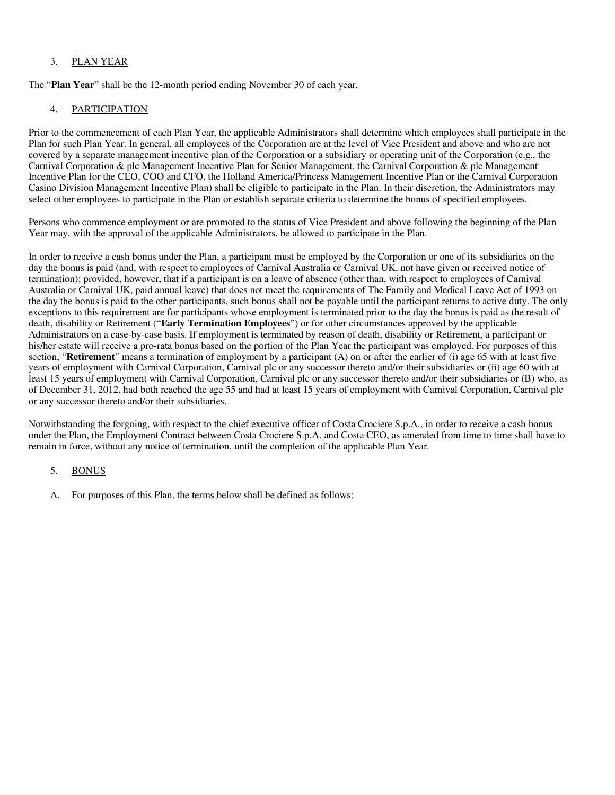## 3. PLAN YEAR

The "**Plan Year**" shall be the 12-month period ending November 30 of each year.

## 4. PARTICIPATION

Prior to the commencement of each Plan Year, the applicable Administrators shall determine which employees shall participate in the Plan for such Plan Year. In general, all employees of the Corporation are at the level of Vice President and above and who are not covered by a separate management incentive plan of the Corporation or a subsidiary or operating unit of the Corporation (e.g., the Carnival Corporation & plc Management Incentive Plan for Senior Management, the Carnival Corporation & plc Management Incentive Plan for the CEO, COO and CFO, the Holland America/Princess Management Incentive Plan or the Carnival Corporation Casino Division Management Incentive Plan) shall be eligible to participate in the Plan. In their discretion, the Administrators may select other employees to participate in the Plan or establish separate criteria to determine the bonus of specified employees.

Persons who commence employment or are promoted to the status of Vice President and above following the beginning of the Plan Year may, with the approval of the applicable Administrators, be allowed to participate in the Plan.

In order to receive a cash bonus under the Plan, a participant must be employed by the Corporation or one of its subsidiaries on the day the bonus is paid (and, with respect to employees of Carnival Australia or Carnival UK, not have given or received notice of termination); provided, however, that if a participant is on a leave of absence (other than, with respect to employees of Carnival Australia or Carnival UK, paid annual leave) that does not meet the requirements of The Family and Medical Leave Act of 1993 on the day the bonus is paid to the other participants, such bonus shall not be payable until the participant returns to active duty. The only exceptions to this requirement are for participants whose employment is terminated prior to the day the bonus is paid as the result of death, disability or Retirement ("**Early Termination Employees**") or for other circumstances approved by the applicable Administrators on a case-by-case basis. If employment is terminated by reason of death, disability or Retirement, a participant or his/her estate will receive a pro-rata bonus based on the portion of the Plan Year the participant was employed. For purposes of this section, "**Retirement**" means a termination of employment by a participant (A) on or after the earlier of (i) age 65 with at least five years of employment with Carnival Corporation, Carnival plc or any successor thereto and/or their subsidiaries or (ii) age 60 with at least 15 years of employment with Carnival Corporation, Carnival plc or any successor thereto and/or their subsidiaries or (B) who, as of December 31, 2012, had both reached the age 55 and had at least 15 years of employment with Carnival Corporation, Carnival plc or any successor thereto and/or their subsidiaries.

Notwithstanding the forgoing, with respect to the chief executive officer of Costa Crociere S.p.A., in order to receive a cash bonus under the Plan, the Employment Contract between Costa Crociere S.p.A. and Costa CEO, as amended from time to time shall have to remain in force, without any notice of termination, until the completion of the applicable Plan Year.

#### 5. BONUS

A. For purposes of this Plan, the terms below shall be defined as follows: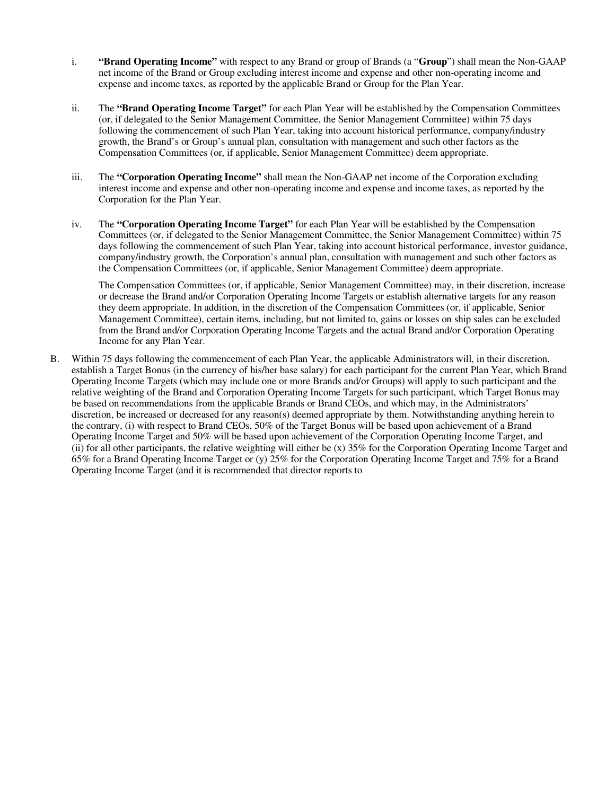- i. **"Brand Operating Income"** with respect to any Brand or group of Brands (a "**Group**") shall mean the Non-GAAP net income of the Brand or Group excluding interest income and expense and other non-operating income and expense and income taxes, as reported by the applicable Brand or Group for the Plan Year.
- ii. The **"Brand Operating Income Target"** for each Plan Year will be established by the Compensation Committees (or, if delegated to the Senior Management Committee, the Senior Management Committee) within 75 days following the commencement of such Plan Year, taking into account historical performance, company/industry growth, the Brand's or Group's annual plan, consultation with management and such other factors as the Compensation Committees (or, if applicable, Senior Management Committee) deem appropriate.
- iii. The **"Corporation Operating Income"** shall mean the Non-GAAP net income of the Corporation excluding interest income and expense and other non-operating income and expense and income taxes, as reported by the Corporation for the Plan Year.
- iv. The **"Corporation Operating Income Target"** for each Plan Year will be established by the Compensation Committees (or, if delegated to the Senior Management Committee, the Senior Management Committee) within 75 days following the commencement of such Plan Year, taking into account historical performance, investor guidance, company/industry growth, the Corporation's annual plan, consultation with management and such other factors as the Compensation Committees (or, if applicable, Senior Management Committee) deem appropriate.

The Compensation Committees (or, if applicable, Senior Management Committee) may, in their discretion, increase or decrease the Brand and/or Corporation Operating Income Targets or establish alternative targets for any reason they deem appropriate. In addition, in the discretion of the Compensation Committees (or, if applicable, Senior Management Committee), certain items, including, but not limited to, gains or losses on ship sales can be excluded from the Brand and/or Corporation Operating Income Targets and the actual Brand and/or Corporation Operating Income for any Plan Year.

B. Within 75 days following the commencement of each Plan Year, the applicable Administrators will, in their discretion, establish a Target Bonus (in the currency of his/her base salary) for each participant for the current Plan Year, which Brand Operating Income Targets (which may include one or more Brands and/or Groups) will apply to such participant and the relative weighting of the Brand and Corporation Operating Income Targets for such participant, which Target Bonus may be based on recommendations from the applicable Brands or Brand CEOs, and which may, in the Administrators' discretion, be increased or decreased for any reason(s) deemed appropriate by them. Notwithstanding anything herein to the contrary, (i) with respect to Brand CEOs, 50% of the Target Bonus will be based upon achievement of a Brand Operating Income Target and 50% will be based upon achievement of the Corporation Operating Income Target, and (ii) for all other participants, the relative weighting will either be (x) 35% for the Corporation Operating Income Target and 65% for a Brand Operating Income Target or (y) 25% for the Corporation Operating Income Target and 75% for a Brand Operating Income Target (and it is recommended that director reports to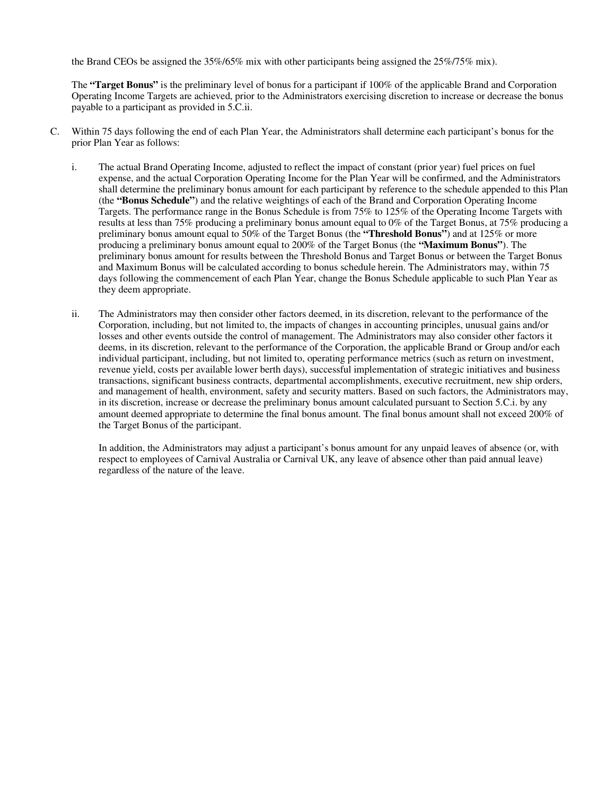the Brand CEOs be assigned the 35%/65% mix with other participants being assigned the 25%/75% mix).

The **"Target Bonus"** is the preliminary level of bonus for a participant if 100% of the applicable Brand and Corporation Operating Income Targets are achieved, prior to the Administrators exercising discretion to increase or decrease the bonus payable to a participant as provided in 5.C.ii.

- C. Within 75 days following the end of each Plan Year, the Administrators shall determine each participant's bonus for the prior Plan Year as follows:
	- i. The actual Brand Operating Income, adjusted to reflect the impact of constant (prior year) fuel prices on fuel expense, and the actual Corporation Operating Income for the Plan Year will be confirmed, and the Administrators shall determine the preliminary bonus amount for each participant by reference to the schedule appended to this Plan (the **"Bonus Schedule"**) and the relative weightings of each of the Brand and Corporation Operating Income Targets. The performance range in the Bonus Schedule is from 75% to 125% of the Operating Income Targets with results at less than 75% producing a preliminary bonus amount equal to 0% of the Target Bonus, at 75% producing a preliminary bonus amount equal to 50% of the Target Bonus (the **"Threshold Bonus"**) and at 125% or more producing a preliminary bonus amount equal to 200% of the Target Bonus (the **"Maximum Bonus"**). The preliminary bonus amount for results between the Threshold Bonus and Target Bonus or between the Target Bonus and Maximum Bonus will be calculated according to bonus schedule herein. The Administrators may, within 75 days following the commencement of each Plan Year, change the Bonus Schedule applicable to such Plan Year as they deem appropriate.
	- ii. The Administrators may then consider other factors deemed, in its discretion, relevant to the performance of the Corporation, including, but not limited to, the impacts of changes in accounting principles, unusual gains and/or losses and other events outside the control of management. The Administrators may also consider other factors it deems, in its discretion, relevant to the performance of the Corporation, the applicable Brand or Group and/or each individual participant, including, but not limited to, operating performance metrics (such as return on investment, revenue yield, costs per available lower berth days), successful implementation of strategic initiatives and business transactions, significant business contracts, departmental accomplishments, executive recruitment, new ship orders, and management of health, environment, safety and security matters. Based on such factors, the Administrators may, in its discretion, increase or decrease the preliminary bonus amount calculated pursuant to Section 5.C.i. by any amount deemed appropriate to determine the final bonus amount. The final bonus amount shall not exceed 200% of the Target Bonus of the participant.

In addition, the Administrators may adjust a participant's bonus amount for any unpaid leaves of absence (or, with respect to employees of Carnival Australia or Carnival UK, any leave of absence other than paid annual leave) regardless of the nature of the leave.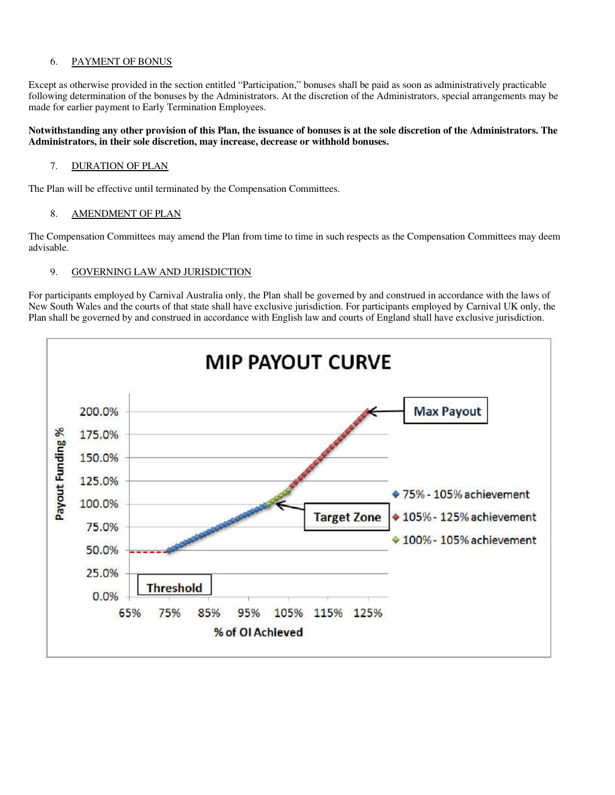## 6. PAYMENT OF BONUS

Except as otherwise provided in the section entitled "Participation," bonuses shall be paid as soon as administratively practicable following determination of the bonuses by the Administrators. At the discretion of the Administrators, special arrangements may be made for earlier payment to Early Termination Employees.

#### **Notwithstanding any other provision of this Plan, the issuance of bonuses is at the sole discretion of the Administrators. The Administrators, in their sole discretion, may increase, decrease or withhold bonuses.**

# 7. DURATION OF PLAN

The Plan will be effective until terminated by the Compensation Committees.

### 8. AMENDMENT OF PLAN

The Compensation Committees may amend the Plan from time to time in such respects as the Compensation Committees may deem advisable.

### 9. GOVERNING LAW AND JURISDICTION

For participants employed by Carnival Australia only, the Plan shall be governed by and construed in accordance with the laws of New South Wales and the courts of that state shall have exclusive jurisdiction. For participants employed by Carnival UK only, the Plan shall be governed by and construed in accordance with English law and courts of England shall have exclusive jurisdiction.

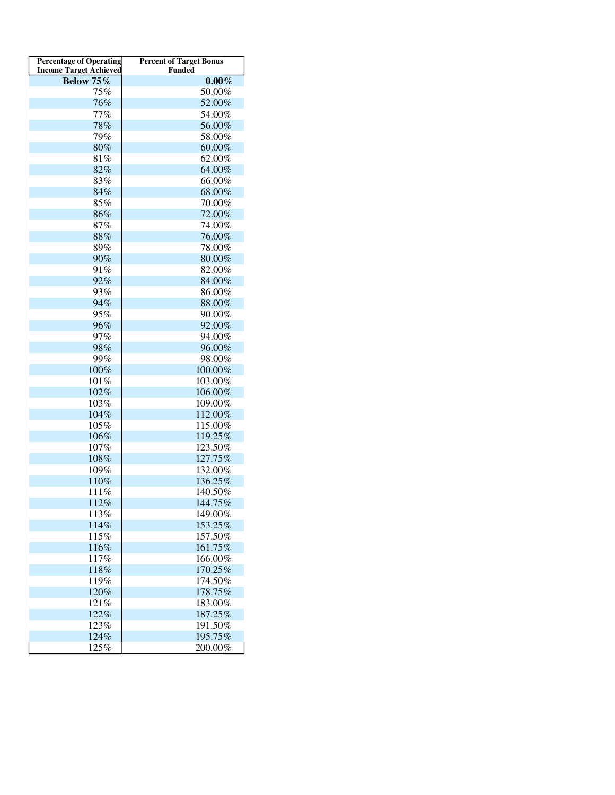| <b>Percentage of Operating</b> | <b>Percent of Target Bonus</b> |
|--------------------------------|--------------------------------|
| <b>Income Target Achieved</b>  | <b>Funded</b>                  |
| Below 75%                      | $0.00\%$                       |
| 75%                            | 50.00%                         |
| 76%                            | 52.00%                         |
| 77%                            | 54.00%                         |
| 78%                            | 56.00%                         |
| 79%                            | 58.00%                         |
| 80%                            | 60.00%                         |
| 81%                            | 62.00%                         |
| 82%                            | 64.00%                         |
| 83%                            | 66.00%                         |
| 84%                            | 68.00%                         |
| 85%                            | 70.00%                         |
| 86%                            | 72.00%                         |
| 87%                            | 74.00%                         |
| 88%                            | 76.00%                         |
| 89%                            | 78.00%                         |
| 90%                            | 80.00%                         |
| 91%                            | 82.00%                         |
| 92%                            | 84.00%                         |
| 93%                            | 86.00%                         |
| 94%                            | 88.00%                         |
| 95%                            | 90.00%                         |
| 96%                            | 92.00%                         |
| 97%                            | 94.00%                         |
| 98%                            | 96.00%                         |
| 99%                            | 98.00%                         |
| 100%                           | 100.00%                        |
| 101%                           | 103.00%                        |
| 102%                           | 106.00%                        |
| 103%                           | 109.00%                        |
| 104%                           | 112.00%                        |
| 105%                           | 115.00%                        |
| 106%                           | 119.25%                        |
| 107%                           | 123.50%                        |
| 108%                           | 127.75%                        |
| 109%                           | 132.00%                        |
| 110%                           | 136.25%                        |
| 111%                           | 140.50%                        |
| 112%                           | 144.75%                        |
| 113%                           | 149.00%                        |
| 114%                           | 153.25%                        |
| 115%                           | 157.50%                        |
| 116%                           | 161.75%                        |
| 117%                           | 166.00%                        |
| 118%                           | 170.25%                        |
| 119%                           | 174.50%                        |
| 120%                           | 178.75%                        |
| 121%                           | 183.00%                        |
| 122%                           | 187.25%                        |
| 123%                           | 191.50%                        |
| 124%                           | 195.75%                        |
| 125%                           | 200.00%                        |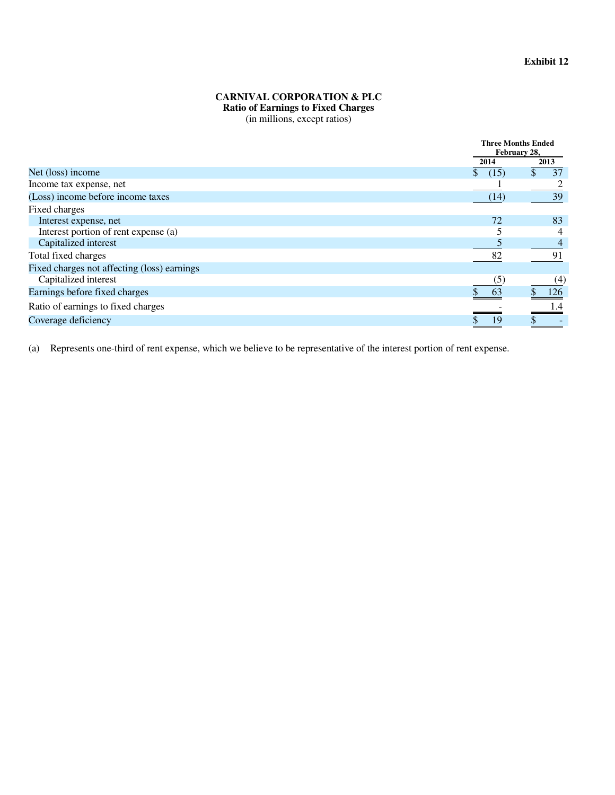# **Exhibit 12**

## **CARNIVAL CORPORATION & PLC Ratio of Earnings to Fixed Charges**  (in millions, except ratios)

|                                             |      | <b>Three Months Ended</b><br>February 28, |  |
|---------------------------------------------|------|-------------------------------------------|--|
|                                             | 2014 | 2013                                      |  |
| Net (loss) income                           | (15) | 37                                        |  |
| Income tax expense, net                     |      |                                           |  |
| (Loss) income before income taxes           | (14) | 39                                        |  |
| Fixed charges                               |      |                                           |  |
| Interest expense, net                       | 72   | 83                                        |  |
| Interest portion of rent expense (a)        |      | 4                                         |  |
| Capitalized interest                        |      |                                           |  |
| Total fixed charges                         | 82   | 91                                        |  |
| Fixed charges not affecting (loss) earnings |      |                                           |  |
| Capitalized interest                        |      | (4)                                       |  |
| Earnings before fixed charges               | 63   | 126                                       |  |
| Ratio of earnings to fixed charges          |      | 1.4                                       |  |
| Coverage deficiency                         | 19   |                                           |  |
|                                             |      |                                           |  |

(a) Represents one-third of rent expense, which we believe to be representative of the interest portion of rent expense.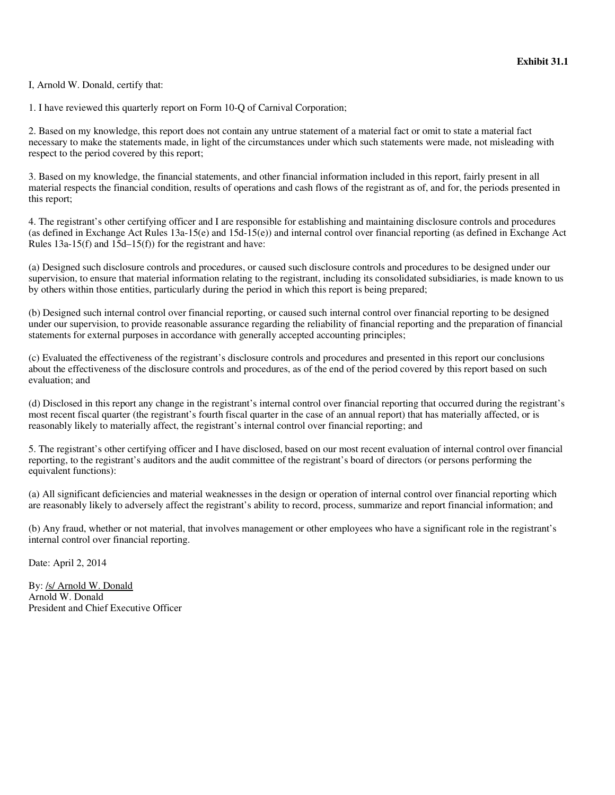### I, Arnold W. Donald, certify that:

1. I have reviewed this quarterly report on Form 10-Q of Carnival Corporation;

2. Based on my knowledge, this report does not contain any untrue statement of a material fact or omit to state a material fact necessary to make the statements made, in light of the circumstances under which such statements were made, not misleading with respect to the period covered by this report;

3. Based on my knowledge, the financial statements, and other financial information included in this report, fairly present in all material respects the financial condition, results of operations and cash flows of the registrant as of, and for, the periods presented in this report;

4. The registrant's other certifying officer and I are responsible for establishing and maintaining disclosure controls and procedures (as defined in Exchange Act Rules 13a-15(e) and 15d-15(e)) and internal control over financial reporting (as defined in Exchange Act Rules 13a-15(f) and 15d–15(f)) for the registrant and have:

(a) Designed such disclosure controls and procedures, or caused such disclosure controls and procedures to be designed under our supervision, to ensure that material information relating to the registrant, including its consolidated subsidiaries, is made known to us by others within those entities, particularly during the period in which this report is being prepared;

(b) Designed such internal control over financial reporting, or caused such internal control over financial reporting to be designed under our supervision, to provide reasonable assurance regarding the reliability of financial reporting and the preparation of financial statements for external purposes in accordance with generally accepted accounting principles;

(c) Evaluated the effectiveness of the registrant's disclosure controls and procedures and presented in this report our conclusions about the effectiveness of the disclosure controls and procedures, as of the end of the period covered by this report based on such evaluation; and

(d) Disclosed in this report any change in the registrant's internal control over financial reporting that occurred during the registrant's most recent fiscal quarter (the registrant's fourth fiscal quarter in the case of an annual report) that has materially affected, or is reasonably likely to materially affect, the registrant's internal control over financial reporting; and

5. The registrant's other certifying officer and I have disclosed, based on our most recent evaluation of internal control over financial reporting, to the registrant's auditors and the audit committee of the registrant's board of directors (or persons performing the equivalent functions):

(a) All significant deficiencies and material weaknesses in the design or operation of internal control over financial reporting which are reasonably likely to adversely affect the registrant's ability to record, process, summarize and report financial information; and

(b) Any fraud, whether or not material, that involves management or other employees who have a significant role in the registrant's internal control over financial reporting.

Date: April 2, 2014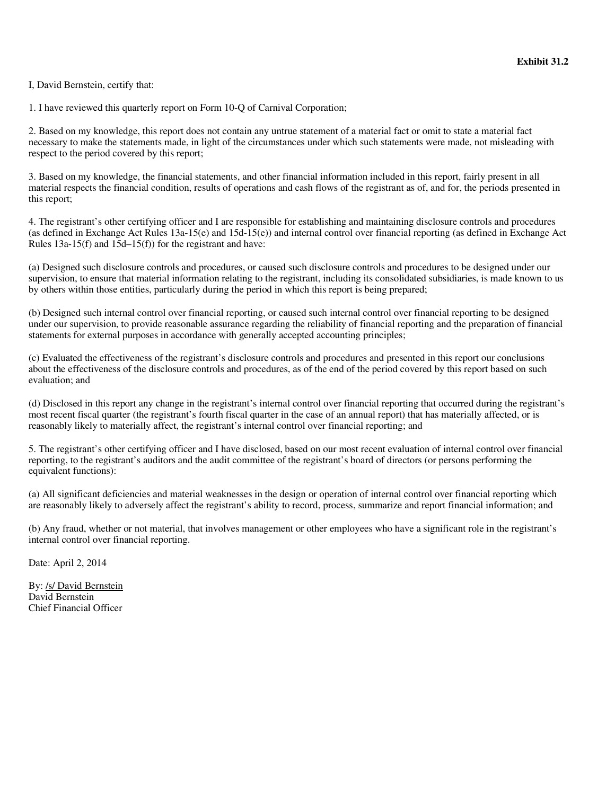### I, David Bernstein, certify that:

1. I have reviewed this quarterly report on Form 10-Q of Carnival Corporation;

2. Based on my knowledge, this report does not contain any untrue statement of a material fact or omit to state a material fact necessary to make the statements made, in light of the circumstances under which such statements were made, not misleading with respect to the period covered by this report;

3. Based on my knowledge, the financial statements, and other financial information included in this report, fairly present in all material respects the financial condition, results of operations and cash flows of the registrant as of, and for, the periods presented in this report;

4. The registrant's other certifying officer and I are responsible for establishing and maintaining disclosure controls and procedures (as defined in Exchange Act Rules 13a-15(e) and 15d-15(e)) and internal control over financial reporting (as defined in Exchange Act Rules 13a-15(f) and 15d–15(f)) for the registrant and have:

(a) Designed such disclosure controls and procedures, or caused such disclosure controls and procedures to be designed under our supervision, to ensure that material information relating to the registrant, including its consolidated subsidiaries, is made known to us by others within those entities, particularly during the period in which this report is being prepared;

(b) Designed such internal control over financial reporting, or caused such internal control over financial reporting to be designed under our supervision, to provide reasonable assurance regarding the reliability of financial reporting and the preparation of financial statements for external purposes in accordance with generally accepted accounting principles;

(c) Evaluated the effectiveness of the registrant's disclosure controls and procedures and presented in this report our conclusions about the effectiveness of the disclosure controls and procedures, as of the end of the period covered by this report based on such evaluation; and

(d) Disclosed in this report any change in the registrant's internal control over financial reporting that occurred during the registrant's most recent fiscal quarter (the registrant's fourth fiscal quarter in the case of an annual report) that has materially affected, or is reasonably likely to materially affect, the registrant's internal control over financial reporting; and

5. The registrant's other certifying officer and I have disclosed, based on our most recent evaluation of internal control over financial reporting, to the registrant's auditors and the audit committee of the registrant's board of directors (or persons performing the equivalent functions):

(a) All significant deficiencies and material weaknesses in the design or operation of internal control over financial reporting which are reasonably likely to adversely affect the registrant's ability to record, process, summarize and report financial information; and

(b) Any fraud, whether or not material, that involves management or other employees who have a significant role in the registrant's internal control over financial reporting.

Date: April 2, 2014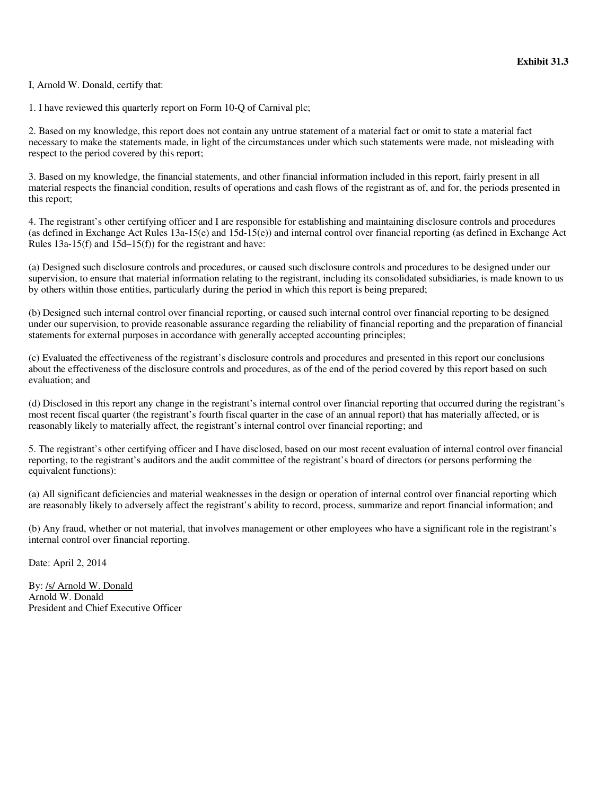### I, Arnold W. Donald, certify that:

1. I have reviewed this quarterly report on Form 10-Q of Carnival plc;

2. Based on my knowledge, this report does not contain any untrue statement of a material fact or omit to state a material fact necessary to make the statements made, in light of the circumstances under which such statements were made, not misleading with respect to the period covered by this report;

3. Based on my knowledge, the financial statements, and other financial information included in this report, fairly present in all material respects the financial condition, results of operations and cash flows of the registrant as of, and for, the periods presented in this report;

4. The registrant's other certifying officer and I are responsible for establishing and maintaining disclosure controls and procedures (as defined in Exchange Act Rules 13a-15(e) and 15d-15(e)) and internal control over financial reporting (as defined in Exchange Act Rules 13a-15(f) and 15d–15(f)) for the registrant and have:

(a) Designed such disclosure controls and procedures, or caused such disclosure controls and procedures to be designed under our supervision, to ensure that material information relating to the registrant, including its consolidated subsidiaries, is made known to us by others within those entities, particularly during the period in which this report is being prepared;

(b) Designed such internal control over financial reporting, or caused such internal control over financial reporting to be designed under our supervision, to provide reasonable assurance regarding the reliability of financial reporting and the preparation of financial statements for external purposes in accordance with generally accepted accounting principles;

(c) Evaluated the effectiveness of the registrant's disclosure controls and procedures and presented in this report our conclusions about the effectiveness of the disclosure controls and procedures, as of the end of the period covered by this report based on such evaluation; and

(d) Disclosed in this report any change in the registrant's internal control over financial reporting that occurred during the registrant's most recent fiscal quarter (the registrant's fourth fiscal quarter in the case of an annual report) that has materially affected, or is reasonably likely to materially affect, the registrant's internal control over financial reporting; and

5. The registrant's other certifying officer and I have disclosed, based on our most recent evaluation of internal control over financial reporting, to the registrant's auditors and the audit committee of the registrant's board of directors (or persons performing the equivalent functions):

(a) All significant deficiencies and material weaknesses in the design or operation of internal control over financial reporting which are reasonably likely to adversely affect the registrant's ability to record, process, summarize and report financial information; and

(b) Any fraud, whether or not material, that involves management or other employees who have a significant role in the registrant's internal control over financial reporting.

Date: April 2, 2014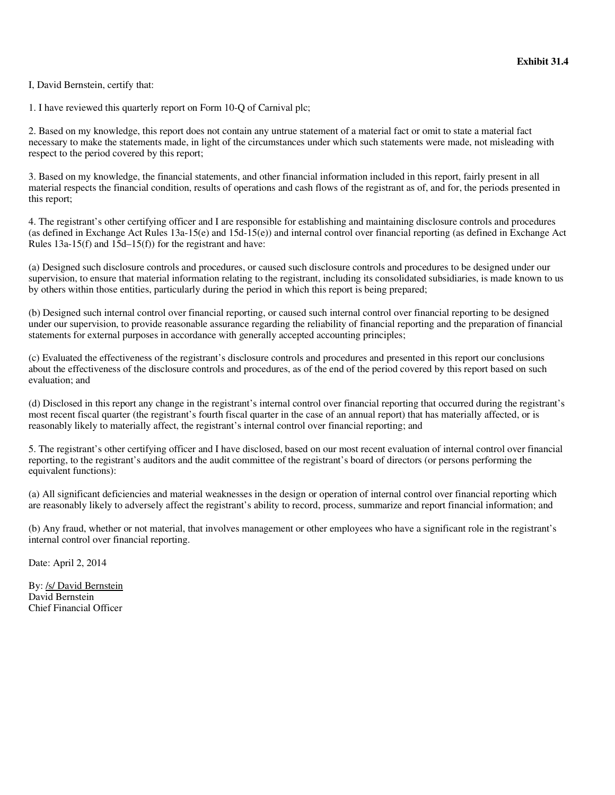### I, David Bernstein, certify that:

1. I have reviewed this quarterly report on Form 10-Q of Carnival plc;

2. Based on my knowledge, this report does not contain any untrue statement of a material fact or omit to state a material fact necessary to make the statements made, in light of the circumstances under which such statements were made, not misleading with respect to the period covered by this report;

3. Based on my knowledge, the financial statements, and other financial information included in this report, fairly present in all material respects the financial condition, results of operations and cash flows of the registrant as of, and for, the periods presented in this report;

4. The registrant's other certifying officer and I are responsible for establishing and maintaining disclosure controls and procedures (as defined in Exchange Act Rules 13a-15(e) and 15d-15(e)) and internal control over financial reporting (as defined in Exchange Act Rules 13a-15(f) and 15d–15(f)) for the registrant and have:

(a) Designed such disclosure controls and procedures, or caused such disclosure controls and procedures to be designed under our supervision, to ensure that material information relating to the registrant, including its consolidated subsidiaries, is made known to us by others within those entities, particularly during the period in which this report is being prepared;

(b) Designed such internal control over financial reporting, or caused such internal control over financial reporting to be designed under our supervision, to provide reasonable assurance regarding the reliability of financial reporting and the preparation of financial statements for external purposes in accordance with generally accepted accounting principles;

(c) Evaluated the effectiveness of the registrant's disclosure controls and procedures and presented in this report our conclusions about the effectiveness of the disclosure controls and procedures, as of the end of the period covered by this report based on such evaluation; and

(d) Disclosed in this report any change in the registrant's internal control over financial reporting that occurred during the registrant's most recent fiscal quarter (the registrant's fourth fiscal quarter in the case of an annual report) that has materially affected, or is reasonably likely to materially affect, the registrant's internal control over financial reporting; and

5. The registrant's other certifying officer and I have disclosed, based on our most recent evaluation of internal control over financial reporting, to the registrant's auditors and the audit committee of the registrant's board of directors (or persons performing the equivalent functions):

(a) All significant deficiencies and material weaknesses in the design or operation of internal control over financial reporting which are reasonably likely to adversely affect the registrant's ability to record, process, summarize and report financial information; and

(b) Any fraud, whether or not material, that involves management or other employees who have a significant role in the registrant's internal control over financial reporting.

Date: April 2, 2014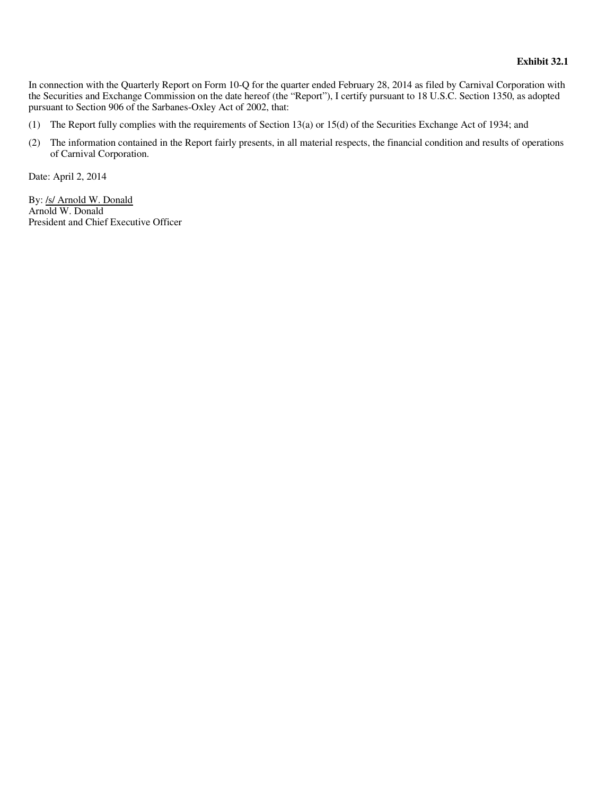In connection with the Quarterly Report on Form 10-Q for the quarter ended February 28, 2014 as filed by Carnival Corporation with the Securities and Exchange Commission on the date hereof (the "Report"), I certify pursuant to 18 U.S.C. Section 1350, as adopted pursuant to Section 906 of the Sarbanes-Oxley Act of 2002, that:

- (1) The Report fully complies with the requirements of Section 13(a) or 15(d) of the Securities Exchange Act of 1934; and
- (2) The information contained in the Report fairly presents, in all material respects, the financial condition and results of operations of Carnival Corporation.

Date: April 2, 2014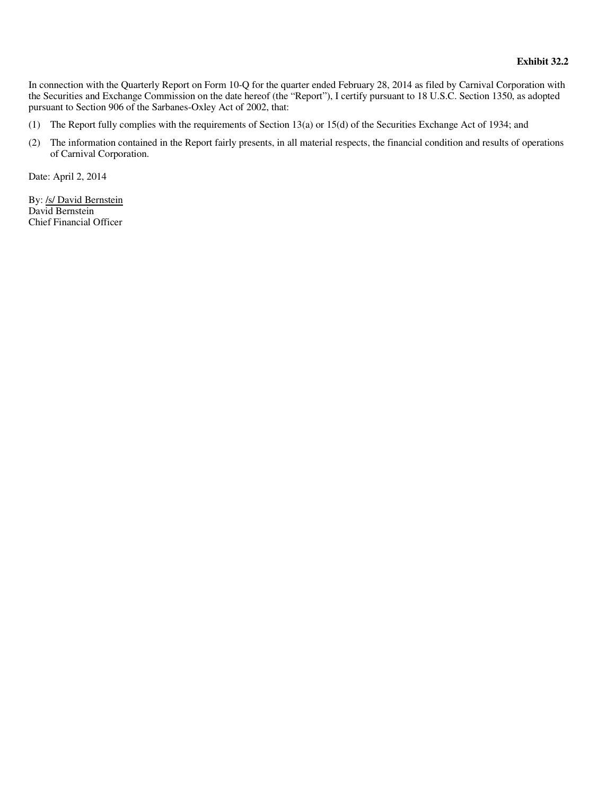In connection with the Quarterly Report on Form 10-Q for the quarter ended February 28, 2014 as filed by Carnival Corporation with the Securities and Exchange Commission on the date hereof (the "Report"), I certify pursuant to 18 U.S.C. Section 1350, as adopted pursuant to Section 906 of the Sarbanes-Oxley Act of 2002, that:

- (1) The Report fully complies with the requirements of Section 13(a) or 15(d) of the Securities Exchange Act of 1934; and
- (2) The information contained in the Report fairly presents, in all material respects, the financial condition and results of operations of Carnival Corporation.

Date: April 2, 2014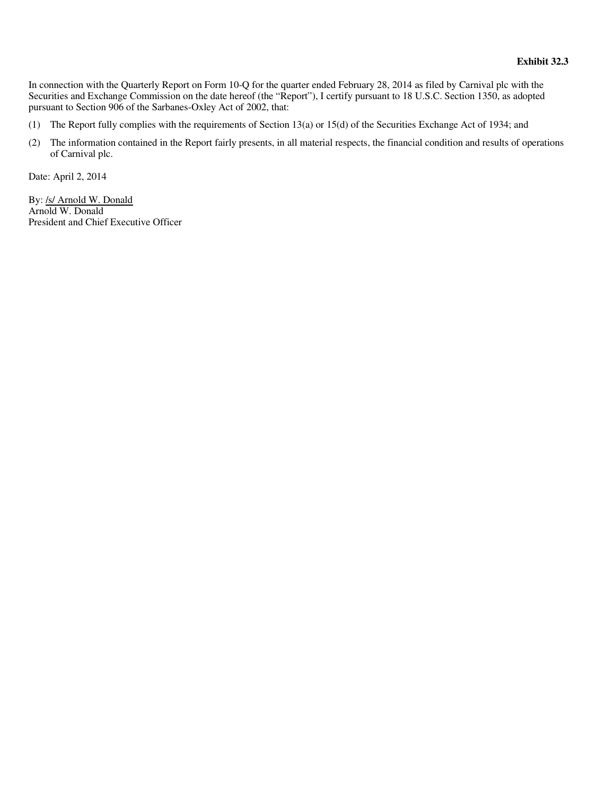In connection with the Quarterly Report on Form 10-Q for the quarter ended February 28, 2014 as filed by Carnival plc with the Securities and Exchange Commission on the date hereof (the "Report"), I certify pursuant to 18 U.S.C. Section 1350, as adopted pursuant to Section 906 of the Sarbanes-Oxley Act of 2002, that:

- (1) The Report fully complies with the requirements of Section 13(a) or 15(d) of the Securities Exchange Act of 1934; and
- (2) The information contained in the Report fairly presents, in all material respects, the financial condition and results of operations of Carnival plc.

Date: April 2, 2014